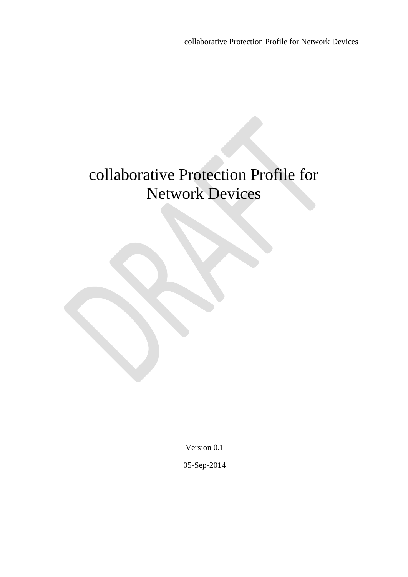# collaborative Protection Profile for Network Devices

Version 0.1

05-Sep-2014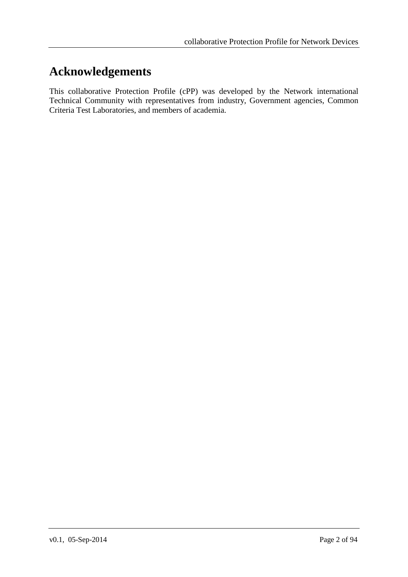# <span id="page-1-0"></span>**Acknowledgements**

This collaborative Protection Profile (cPP) was developed by the Network international Technical Community with representatives from industry, Government agencies, Common Criteria Test Laboratories, and members of academia.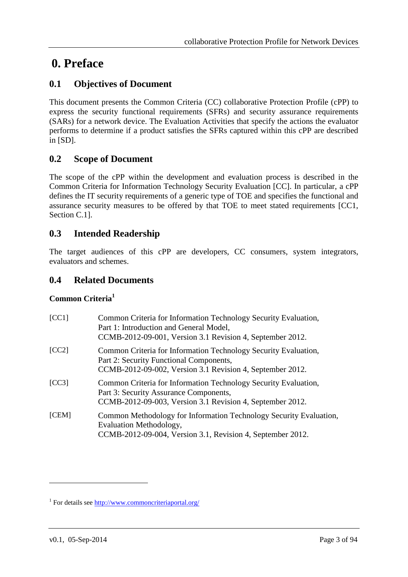# <span id="page-2-0"></span>**0. Preface**

# <span id="page-2-1"></span>**0.1 Objectives of Document**

This document presents the Common Criteria (CC) collaborative Protection Profile (cPP) to express the security functional requirements (SFRs) and security assurance requirements (SARs) for a network device. The Evaluation Activities that specify the actions the evaluator performs to determine if a product satisfies the SFRs captured within this cPP are described in [SD].

# <span id="page-2-2"></span>**0.2 Scope of Document**

The scope of the cPP within the development and evaluation process is described in the Common Criteria for Information Technology Security Evaluation [CC]. In particular, a cPP defines the IT security requirements of a generic type of TOE and specifies the functional and assurance security measures to be offered by that TOE to meet stated requirements [CC1, Section C.1].

# <span id="page-2-3"></span>**0.3 Intended Readership**

The target audiences of this cPP are developers, CC consumers, system integrators, evaluators and schemes.

## <span id="page-2-4"></span>**0.4 Related Documents**

## **Common Criteria<sup>1</sup>**

| [CC1] | Common Criteria for Information Technology Security Evaluation,<br>Part 1: Introduction and General Model,<br>CCMB-2012-09-001, Version 3.1 Revision 4, September 2012. |
|-------|-------------------------------------------------------------------------------------------------------------------------------------------------------------------------|
| [CC2] | Common Criteria for Information Technology Security Evaluation,<br>Part 2: Security Functional Components,<br>CCMB-2012-09-002, Version 3.1 Revision 4, September 2012. |
| [CC3] | Common Criteria for Information Technology Security Evaluation,<br>Part 3: Security Assurance Components,<br>CCMB-2012-09-003, Version 3.1 Revision 4, September 2012.  |
| [CEM] | Common Methodology for Information Technology Security Evaluation,<br>Evaluation Methodology,<br>CCMB-2012-09-004, Version 3.1, Revision 4, September 2012.             |

1

<sup>&</sup>lt;sup>1</sup> For details see<http://www.commoncriteriaportal.org/>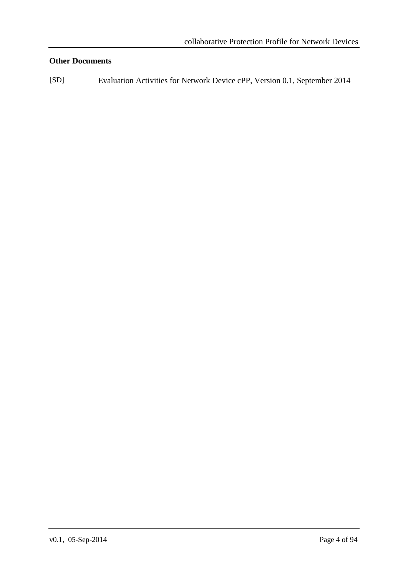## **Other Documents**

[SD] Evaluation Activities for Network Device cPP, Version 0.1, September 2014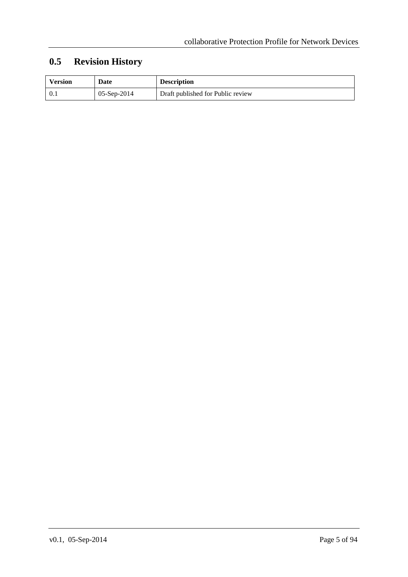# <span id="page-4-0"></span>**0.5 Revision History**

| <b>Version</b> | Date          | <b>Description</b>                |
|----------------|---------------|-----------------------------------|
|                | $05-Sep-2014$ | Draft published for Public review |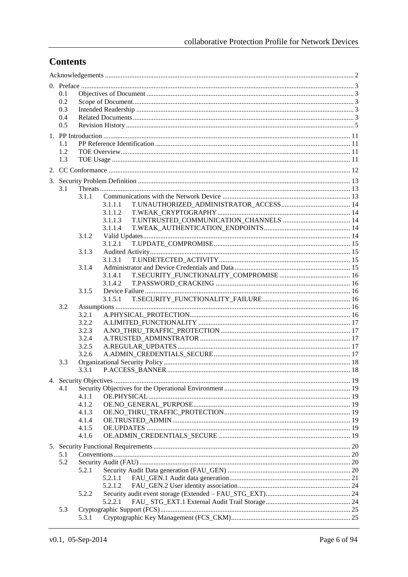# **Contents**

| 0.1        |                |         |  |
|------------|----------------|---------|--|
| 0.2        |                |         |  |
| 0.3<br>0.4 |                |         |  |
| 0.5        |                |         |  |
|            |                |         |  |
| 1.1        |                |         |  |
| 1.2        |                |         |  |
| 1.3        |                |         |  |
|            |                |         |  |
|            |                |         |  |
| 3.1        |                |         |  |
|            | 3.1.1          |         |  |
|            |                | 3.1.1.1 |  |
|            |                | 3.1.1.2 |  |
|            |                | 3.1.1.3 |  |
|            | 3.1.2          | 3.1.1.4 |  |
|            |                | 3.1.2.1 |  |
|            | 3.1.3          |         |  |
|            |                | 3.1.3.1 |  |
|            | 3.1.4          |         |  |
|            |                | 3.1.4.1 |  |
|            | 3.1.5          | 3.1.4.2 |  |
|            |                | 3.1.5.1 |  |
| 3.2        |                |         |  |
|            | 3.2.1          |         |  |
|            | 3.2.2          |         |  |
|            | 3.2.3          |         |  |
|            | 3.2.4          |         |  |
|            | 3.2.5<br>3.2.6 |         |  |
| 3.3        |                |         |  |
|            | 3.3.1          |         |  |
|            |                |         |  |
| 4.1        |                |         |  |
|            | 4.1.1          |         |  |
|            | 4.1.2          |         |  |
|            | 4.1.3<br>4.1.4 |         |  |
|            | 4.1.5          |         |  |
|            | 4.1.6          |         |  |
|            |                |         |  |
| 5.1        |                |         |  |
| 5.2        |                |         |  |
|            | 5.2.1          |         |  |
|            |                | 5.2.1.1 |  |
|            |                | 5.2.1.2 |  |
|            | 5.2.2          | 5.2.2.1 |  |
| 5.3        |                |         |  |
|            | 5.3.1          |         |  |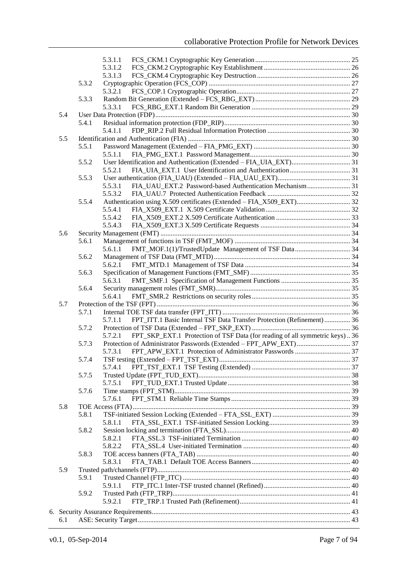|     |       | 5.3.1.1                                                                                |  |
|-----|-------|----------------------------------------------------------------------------------------|--|
|     |       | 5.3.1.2                                                                                |  |
|     |       | 5.3.1.3                                                                                |  |
|     | 5.3.2 |                                                                                        |  |
|     |       | 5.3.2.1                                                                                |  |
|     | 5.3.3 |                                                                                        |  |
|     |       | 5.3.3.1                                                                                |  |
| 5.4 |       |                                                                                        |  |
|     | 5.4.1 |                                                                                        |  |
|     |       | 5.4.1.1                                                                                |  |
| 5.5 |       |                                                                                        |  |
|     | 5.5.1 |                                                                                        |  |
|     |       | 5.5.1.1                                                                                |  |
|     | 5.5.2 |                                                                                        |  |
|     |       | 5.5.2.1                                                                                |  |
|     | 5.5.3 |                                                                                        |  |
|     |       | FIA_UAU_EXT.2 Password-based Authentication Mechanism 31<br>5.5.3.1                    |  |
|     |       | 5.5.3.2                                                                                |  |
|     | 5.5.4 | Authentication using X.509 certificates (Extended - FIA_X509_EXT) 32                   |  |
|     |       | 5.5.4.1                                                                                |  |
|     |       | 5.5.4.2                                                                                |  |
|     |       | 5.5.4.3                                                                                |  |
| 5.6 | 5.6.1 |                                                                                        |  |
|     |       | 5.6.1.1                                                                                |  |
|     | 5.6.2 |                                                                                        |  |
|     |       | 5.6.2.1                                                                                |  |
|     | 5.6.3 |                                                                                        |  |
|     |       | 5.6.3.1                                                                                |  |
|     | 5.6.4 |                                                                                        |  |
|     |       | 5.6.4.1                                                                                |  |
| 5.7 |       |                                                                                        |  |
|     | 5.7.1 |                                                                                        |  |
|     |       | FPT_ITT.1 Basic Internal TSF Data Transfer Protection (Refinement)  36<br>5.7.1.1      |  |
|     | 5.7.2 |                                                                                        |  |
|     |       | FPT_SKP_EXT.1 Protection of TSF Data (for reading of all symmetric keys) 36<br>5.7.2.1 |  |
|     | 5.7.3 |                                                                                        |  |
|     |       | 5.7.3.1                                                                                |  |
|     | 5.7.4 |                                                                                        |  |
|     |       | 5.7.4.1                                                                                |  |
|     | 5.7.5 |                                                                                        |  |
|     |       | 5.7.5.1                                                                                |  |
|     | 5.7.6 |                                                                                        |  |
|     |       | 5.7.6.1                                                                                |  |
| 5.8 |       |                                                                                        |  |
|     | 5.8.1 |                                                                                        |  |
|     |       | 5.8.1.1                                                                                |  |
|     | 5.8.2 |                                                                                        |  |
|     |       | 5.8.2.1                                                                                |  |
|     |       | 5.8.2.2                                                                                |  |
|     | 5.8.3 |                                                                                        |  |
|     |       | 5.8.3.1                                                                                |  |
| 5.9 |       |                                                                                        |  |
|     | 5.9.1 |                                                                                        |  |
|     |       | 5.9.1.1                                                                                |  |
|     | 5.9.2 | 5.9.2.1                                                                                |  |
|     |       |                                                                                        |  |
|     |       |                                                                                        |  |
| 6.1 |       |                                                                                        |  |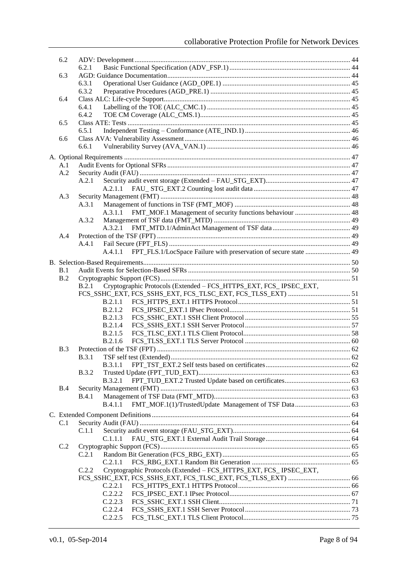| 6.2 |                                                                             |  |
|-----|-----------------------------------------------------------------------------|--|
|     | 6.2.1                                                                       |  |
| 6.3 |                                                                             |  |
|     | 6.3.1                                                                       |  |
|     | 6.3.2                                                                       |  |
| 6.4 |                                                                             |  |
|     | 6.4.1                                                                       |  |
|     | 6.4.2                                                                       |  |
| 6.5 | 6.5.1                                                                       |  |
| 6.6 |                                                                             |  |
|     | 6.6.1                                                                       |  |
|     |                                                                             |  |
|     |                                                                             |  |
| A.1 |                                                                             |  |
| A.2 |                                                                             |  |
|     | A.2.1                                                                       |  |
|     | A.2.1.1                                                                     |  |
| A.3 | A.3.1                                                                       |  |
|     | FMT_MOF.1 Management of security functions behaviour  48<br>A.3.1.1         |  |
|     | A.3.2                                                                       |  |
|     | A.3.2.1                                                                     |  |
| A.4 |                                                                             |  |
|     | A.4.1                                                                       |  |
|     | FPT_FLS.1/LocSpace Failure with preservation of secure state  49<br>A.4.1.1 |  |
|     |                                                                             |  |
|     |                                                                             |  |
| B.1 |                                                                             |  |
| B.2 |                                                                             |  |
|     | Cryptographic Protocols (Extended - FCS_HTTPS_EXT, FCS_ IPSEC_EXT,<br>B.2.1 |  |
|     |                                                                             |  |
|     | B.2.1.1                                                                     |  |
|     | <b>B.2.1.2</b>                                                              |  |
|     | B.2.1.3                                                                     |  |
|     | B.2.1.4                                                                     |  |
|     | B.2.1.5                                                                     |  |
|     | B.2.1.6                                                                     |  |
| B.3 | B.3.1                                                                       |  |
|     |                                                                             |  |
|     | <b>B.3.1.1</b><br><b>B.3.2</b>                                              |  |
|     | B.3.2.1                                                                     |  |
| B.4 |                                                                             |  |
|     | <b>B.4.1</b>                                                                |  |
|     | <b>B.4.1.1</b>                                                              |  |
|     |                                                                             |  |
|     |                                                                             |  |
| C.1 |                                                                             |  |
|     | C.1.1                                                                       |  |
|     | C.1.1.1                                                                     |  |
| C.2 |                                                                             |  |
|     | C.2.1                                                                       |  |
|     | C.2.1.1                                                                     |  |
|     | C.2.2<br>Cryptographic Protocols (Extended - FCS_HTTPS_EXT, FCS_ IPSEC_EXT, |  |
|     | C.2.2.1                                                                     |  |
|     | C.2.2.2                                                                     |  |
|     | C.2.2.3                                                                     |  |
|     | C.2.2.4                                                                     |  |
|     | C.2.2.5                                                                     |  |
|     |                                                                             |  |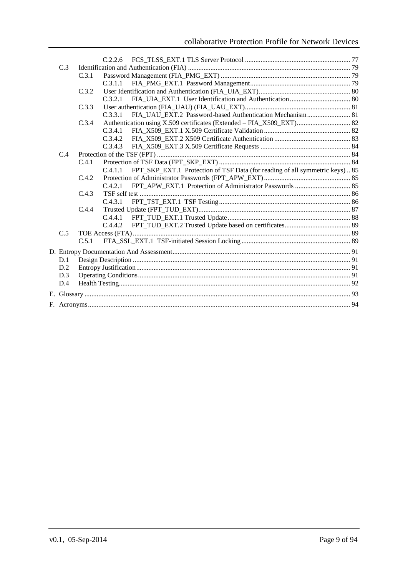| C.3 |       |         |                                                                              |  |
|-----|-------|---------|------------------------------------------------------------------------------|--|
|     | C.3.1 |         |                                                                              |  |
|     |       | C.3.1.1 |                                                                              |  |
|     | C.3.2 |         |                                                                              |  |
|     |       | C.3.2.1 |                                                                              |  |
|     | C.3.3 |         |                                                                              |  |
|     |       | C.3.3.1 |                                                                              |  |
|     | C.3.4 |         | Authentication using X.509 certificates (Extended - FIA_X509_EXT) 82         |  |
|     |       | C.3.4.1 |                                                                              |  |
|     |       | C.3.4.2 |                                                                              |  |
|     |       | C.3.4.3 |                                                                              |  |
| C.4 |       |         |                                                                              |  |
|     | C.4.1 |         |                                                                              |  |
|     |       | C.4.1.1 | FPT_SKP_EXT.1 Protection of TSF Data (for reading of all symmetric keys)  85 |  |
|     | C.4.2 |         |                                                                              |  |
|     |       | C.4.2.1 |                                                                              |  |
|     | C.4.3 |         |                                                                              |  |
|     |       | C.4.3.1 |                                                                              |  |
|     | C.4.4 |         |                                                                              |  |
|     |       | C.4.4.1 |                                                                              |  |
|     |       | C.4.4.2 |                                                                              |  |
| C.5 |       |         |                                                                              |  |
|     | C.5.1 |         |                                                                              |  |
|     |       |         |                                                                              |  |
| D.1 |       |         |                                                                              |  |
| D.2 |       |         |                                                                              |  |
| D.3 |       |         |                                                                              |  |
| D.4 |       |         |                                                                              |  |
|     |       |         |                                                                              |  |
|     |       |         |                                                                              |  |
|     |       |         |                                                                              |  |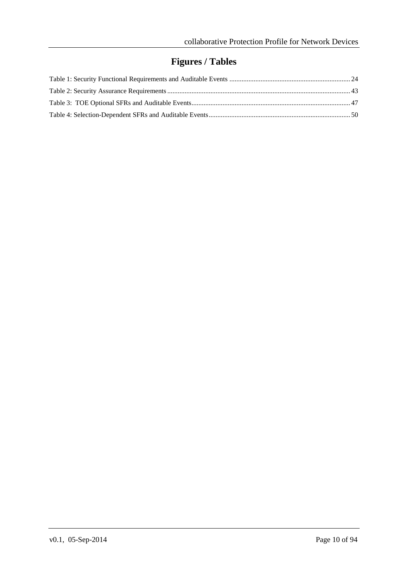# **Figures / Tables**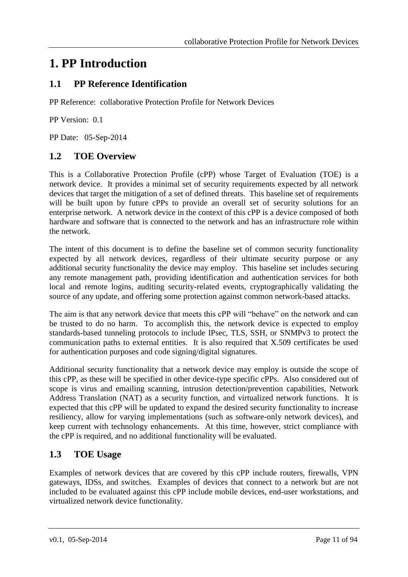# <span id="page-10-0"></span>**1. PP Introduction**

# <span id="page-10-1"></span>**1.1 PP Reference Identification**

PP Reference: collaborative Protection Profile for Network Devices

PP Version: 0.1

PP Date: 05-Sep-2014

# <span id="page-10-2"></span>**1.2 TOE Overview**

This is a Collaborative Protection Profile (cPP) whose Target of Evaluation (TOE) is a network device. It provides a minimal set of security requirements expected by all network devices that target the mitigation of a set of defined threats. This baseline set of requirements will be built upon by future cPPs to provide an overall set of security solutions for an enterprise network. A network device in the context of this cPP is a device composed of both hardware and software that is connected to the network and has an infrastructure role within the network.

The intent of this document is to define the baseline set of common security functionality expected by all network devices, regardless of their ultimate security purpose or any additional security functionality the device may employ. This baseline set includes securing any remote management path, providing identification and authentication services for both local and remote logins, auditing security-related events, cryptographically validating the source of any update, and offering some protection against common network-based attacks.

The aim is that any network device that meets this cPP will "behave" on the network and can be trusted to do no harm. To accomplish this, the network device is expected to employ standards-based tunneling protocols to include IPsec, TLS, SSH, or SNMPv3 to protect the communication paths to external entities. It is also required that X.509 certificates be used for authentication purposes and code signing/digital signatures.

Additional security functionality that a network device may employ is outside the scope of this cPP, as these will be specified in other device-type specific cPPs. Also considered out of scope is virus and emailing scanning, intrusion detection/prevention capabilities, Network Address Translation (NAT) as a security function, and virtualized network functions. It is expected that this cPP will be updated to expand the desired security functionality to increase resiliency, allow for varying implementations (such as software-only network devices), and keep current with technology enhancements. At this time, however, strict compliance with the cPP is required, and no additional functionality will be evaluated.

# <span id="page-10-3"></span>**1.3 TOE Usage**

Examples of network devices that are covered by this cPP include routers, firewalls, VPN gateways, IDSs, and switches. Examples of devices that connect to a network but are not included to be evaluated against this cPP include mobile devices, end-user workstations, and virtualized network device functionality.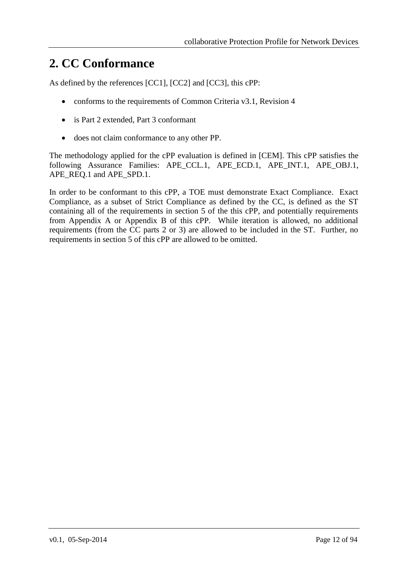# <span id="page-11-0"></span>**2. CC Conformance**

As defined by the references [CC1], [CC2] and [CC3], this cPP:

- conforms to the requirements of Common Criteria v3.1, Revision 4
- is Part 2 extended, Part 3 conformant
- does not claim conformance to any other PP.

The methodology applied for the cPP evaluation is defined in [CEM]. This cPP satisfies the following Assurance Families: APE CCL.1, APE ECD.1, APE\_INT.1, APE\_OBJ.1, APE\_REQ.1 and APE\_SPD.1.

In order to be conformant to this cPP, a TOE must demonstrate Exact Compliance. Exact Compliance, as a subset of Strict Compliance as defined by the CC, is defined as the ST containing all of the requirements in section 5 of the this cPP, and potentially requirements from Appendix A or Appendix B of this cPP. While iteration is allowed, no additional requirements (from the CC parts 2 or 3) are allowed to be included in the ST. Further, no requirements in section 5 of this cPP are allowed to be omitted.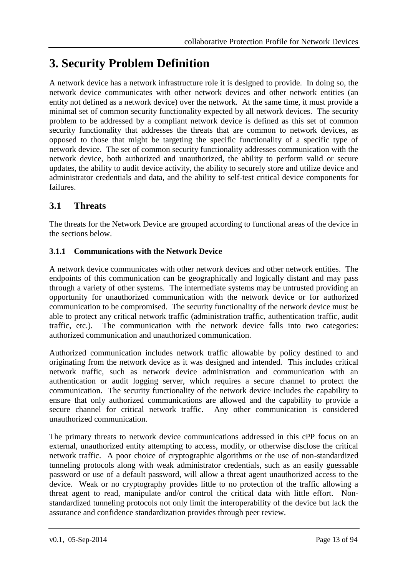# <span id="page-12-0"></span>**3. Security Problem Definition**

A network device has a network infrastructure role it is designed to provide. In doing so, the network device communicates with other network devices and other network entities (an entity not defined as a network device) over the network. At the same time, it must provide a minimal set of common security functionality expected by all network devices. The security problem to be addressed by a compliant network device is defined as this set of common security functionality that addresses the threats that are common to network devices, as opposed to those that might be targeting the specific functionality of a specific type of network device. The set of common security functionality addresses communication with the network device, both authorized and unauthorized, the ability to perform valid or secure updates, the ability to audit device activity, the ability to securely store and utilize device and administrator credentials and data, and the ability to self-test critical device components for failures.

# <span id="page-12-1"></span>**3.1 Threats**

The threats for the Network Device are grouped according to functional areas of the device in the sections below.

## <span id="page-12-2"></span>**3.1.1 Communications with the Network Device**

A network device communicates with other network devices and other network entities. The endpoints of this communication can be geographically and logically distant and may pass through a variety of other systems. The intermediate systems may be untrusted providing an opportunity for unauthorized communication with the network device or for authorized communication to be compromised. The security functionality of the network device must be able to protect any critical network traffic (administration traffic, authentication traffic, audit traffic, etc.). The communication with the network device falls into two categories: authorized communication and unauthorized communication.

Authorized communication includes network traffic allowable by policy destined to and originating from the network device as it was designed and intended. This includes critical network traffic, such as network device administration and communication with an authentication or audit logging server, which requires a secure channel to protect the communication. The security functionality of the network device includes the capability to ensure that only authorized communications are allowed and the capability to provide a secure channel for critical network traffic. Any other communication is considered unauthorized communication.

The primary threats to network device communications addressed in this cPP focus on an external, unauthorized entity attempting to access, modify, or otherwise disclose the critical network traffic. A poor choice of cryptographic algorithms or the use of non-standardized tunneling protocols along with weak administrator credentials, such as an easily guessable password or use of a default password, will allow a threat agent unauthorized access to the device. Weak or no cryptography provides little to no protection of the traffic allowing a threat agent to read, manipulate and/or control the critical data with little effort. Nonstandardized tunneling protocols not only limit the interoperability of the device but lack the assurance and confidence standardization provides through peer review.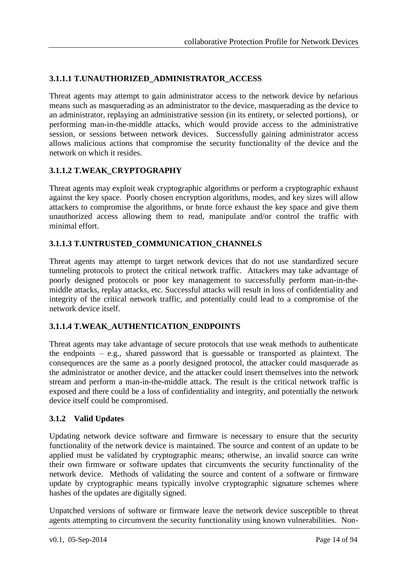## <span id="page-13-0"></span>**3.1.1.1 T.UNAUTHORIZED\_ADMINISTRATOR\_ACCESS**

Threat agents may attempt to gain administrator access to the network device by nefarious means such as masquerading as an administrator to the device, masquerading as the device to an administrator, replaying an administrative session (in its entirety, or selected portions), or performing man-in-the-middle attacks, which would provide access to the administrative session, or sessions between network devices. Successfully gaining administrator access allows malicious actions that compromise the security functionality of the device and the network on which it resides.

## <span id="page-13-1"></span>**3.1.1.2 T.WEAK\_CRYPTOGRAPHY**

Threat agents may exploit weak cryptographic algorithms or perform a cryptographic exhaust against the key space. Poorly chosen encryption algorithms, modes, and key sizes will allow attackers to compromise the algorithms, or brute force exhaust the key space and give them unauthorized access allowing them to read, manipulate and/or control the traffic with minimal effort.

## <span id="page-13-2"></span>**3.1.1.3 T.UNTRUSTED\_COMMUNICATION\_CHANNELS**

Threat agents may attempt to target network devices that do not use standardized secure tunneling protocols to protect the critical network traffic. Attackers may take advantage of poorly designed protocols or poor key management to successfully perform man-in-themiddle attacks, replay attacks, etc. Successful attacks will result in loss of confidentiality and integrity of the critical network traffic, and potentially could lead to a compromise of the network device itself.

## <span id="page-13-3"></span>**3.1.1.4 T.WEAK\_AUTHENTICATION\_ENDPOINTS**

Threat agents may take advantage of secure protocols that use weak methods to authenticate the endpoints – e.g., shared password that is guessable or transported as plaintext. The consequences are the same as a poorly designed protocol, the attacker could masquerade as the administrator or another device, and the attacker could insert themselves into the network stream and perform a man-in-the-middle attack. The result is the critical network traffic is exposed and there could be a loss of confidentiality and integrity, and potentially the network device itself could be compromised.

## <span id="page-13-4"></span>**3.1.2 Valid Updates**

Updating network device software and firmware is necessary to ensure that the security functionality of the network device is maintained. The source and content of an update to be applied must be validated by cryptographic means; otherwise, an invalid source can write their own firmware or software updates that circumvents the security functionality of the network device. Methods of validating the source and content of a software or firmware update by cryptographic means typically involve cryptographic signature schemes where hashes of the updates are digitally signed.

Unpatched versions of software or firmware leave the network device susceptible to threat agents attempting to circumvent the security functionality using known vulnerabilities. Non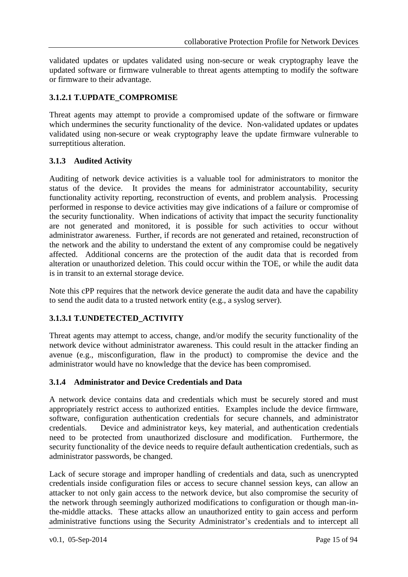validated updates or updates validated using non-secure or weak cryptography leave the updated software or firmware vulnerable to threat agents attempting to modify the software or firmware to their advantage.

## <span id="page-14-0"></span>**3.1.2.1 T.UPDATE\_COMPROMISE**

Threat agents may attempt to provide a compromised update of the software or firmware which undermines the security functionality of the device. Non-validated updates or updates validated using non-secure or weak cryptography leave the update firmware vulnerable to surreptitious alteration.

## <span id="page-14-1"></span>**3.1.3 Audited Activity**

Auditing of network device activities is a valuable tool for administrators to monitor the status of the device. It provides the means for administrator accountability, security functionality activity reporting, reconstruction of events, and problem analysis. Processing performed in response to device activities may give indications of a failure or compromise of the security functionality. When indications of activity that impact the security functionality are not generated and monitored, it is possible for such activities to occur without administrator awareness. Further, if records are not generated and retained, reconstruction of the network and the ability to understand the extent of any compromise could be negatively affected. Additional concerns are the protection of the audit data that is recorded from alteration or unauthorized deletion. This could occur within the TOE, or while the audit data is in transit to an external storage device.

Note this cPP requires that the network device generate the audit data and have the capability to send the audit data to a trusted network entity (e.g., a syslog server).

## <span id="page-14-2"></span>**3.1.3.1 T.UNDETECTED\_ACTIVITY**

Threat agents may attempt to access, change, and/or modify the security functionality of the network device without administrator awareness. This could result in the attacker finding an avenue (e.g., misconfiguration, flaw in the product) to compromise the device and the administrator would have no knowledge that the device has been compromised.

## <span id="page-14-3"></span>**3.1.4 Administrator and Device Credentials and Data**

A network device contains data and credentials which must be securely stored and must appropriately restrict access to authorized entities. Examples include the device firmware, software, configuration authentication credentials for secure channels, and administrator credentials. Device and administrator keys, key material, and authentication credentials need to be protected from unauthorized disclosure and modification. Furthermore, the security functionality of the device needs to require default authentication credentials, such as administrator passwords, be changed.

Lack of secure storage and improper handling of credentials and data, such as unencrypted credentials inside configuration files or access to secure channel session keys, can allow an attacker to not only gain access to the network device, but also compromise the security of the network through seemingly authorized modifications to configuration or though man-inthe-middle attacks. These attacks allow an unauthorized entity to gain access and perform administrative functions using the Security Administrator's credentials and to intercept all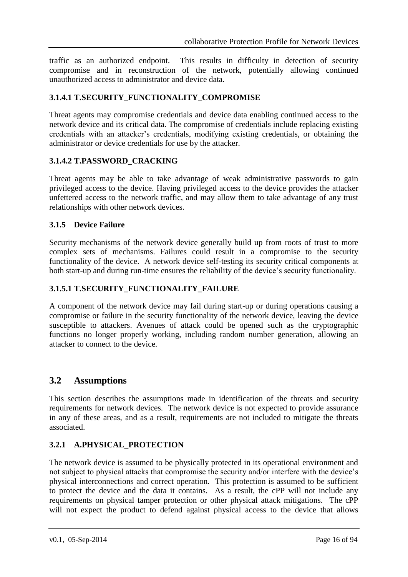traffic as an authorized endpoint. This results in difficulty in detection of security compromise and in reconstruction of the network, potentially allowing continued unauthorized access to administrator and device data.

## <span id="page-15-0"></span>**3.1.4.1 T.SECURITY\_FUNCTIONALITY\_COMPROMISE**

Threat agents may compromise credentials and device data enabling continued access to the network device and its critical data. The compromise of credentials include replacing existing credentials with an attacker's credentials, modifying existing credentials, or obtaining the administrator or device credentials for use by the attacker.

## <span id="page-15-1"></span>**3.1.4.2 T.PASSWORD\_CRACKING**

Threat agents may be able to take advantage of weak administrative passwords to gain privileged access to the device. Having privileged access to the device provides the attacker unfettered access to the network traffic, and may allow them to take advantage of any trust relationships with other network devices.

#### <span id="page-15-2"></span>**3.1.5 Device Failure**

Security mechanisms of the network device generally build up from roots of trust to more complex sets of mechanisms. Failures could result in a compromise to the security functionality of the device. A network device self-testing its security critical components at both start-up and during run-time ensures the reliability of the device's security functionality.

## <span id="page-15-3"></span>**3.1.5.1 T.SECURITY\_FUNCTIONALITY\_FAILURE**

A component of the network device may fail during start-up or during operations causing a compromise or failure in the security functionality of the network device, leaving the device susceptible to attackers. Avenues of attack could be opened such as the cryptographic functions no longer properly working, including random number generation, allowing an attacker to connect to the device.

## <span id="page-15-4"></span>**3.2 Assumptions**

This section describes the assumptions made in identification of the threats and security requirements for network devices. The network device is not expected to provide assurance in any of these areas, and as a result, requirements are not included to mitigate the threats associated.

## <span id="page-15-5"></span>**3.2.1 A.PHYSICAL\_PROTECTION**

The network device is assumed to be physically protected in its operational environment and not subject to physical attacks that compromise the security and/or interfere with the device's physical interconnections and correct operation. This protection is assumed to be sufficient to protect the device and the data it contains. As a result, the cPP will not include any requirements on physical tamper protection or other physical attack mitigations. The cPP will not expect the product to defend against physical access to the device that allows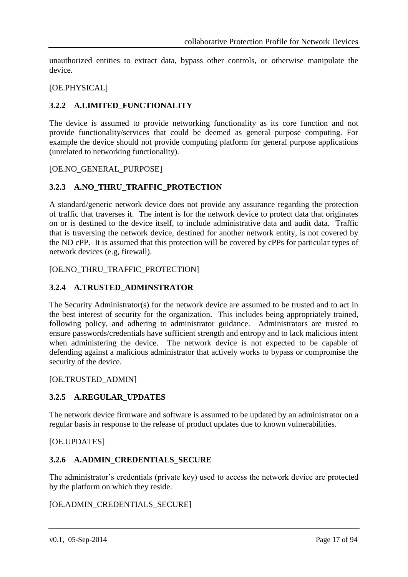unauthorized entities to extract data, bypass other controls, or otherwise manipulate the device.

#### [OE.PHYSICAL]

#### <span id="page-16-0"></span>**3.2.2 A.LIMITED\_FUNCTIONALITY**

The device is assumed to provide networking functionality as its core function and not provide functionality/services that could be deemed as general purpose computing. For example the device should not provide computing platform for general purpose applications (unrelated to networking functionality).

#### [OE.NO\_GENERAL\_PURPOSE]

#### <span id="page-16-1"></span>**3.2.3 A.NO\_THRU\_TRAFFIC\_PROTECTION**

A standard/generic network device does not provide any assurance regarding the protection of traffic that traverses it. The intent is for the network device to protect data that originates on or is destined to the device itself, to include administrative data and audit data. Traffic that is traversing the network device, destined for another network entity, is not covered by the ND cPP. It is assumed that this protection will be covered by cPPs for particular types of network devices (e.g, firewall).

[OE.NO\_THRU\_TRAFFIC\_PROTECTION]

#### <span id="page-16-2"></span>**3.2.4 A.TRUSTED\_ADMINSTRATOR**

The Security Administrator(s) for the network device are assumed to be trusted and to act in the best interest of security for the organization. This includes being appropriately trained, following policy, and adhering to administrator guidance. Administrators are trusted to ensure passwords/credentials have sufficient strength and entropy and to lack malicious intent when administering the device. The network device is not expected to be capable of defending against a malicious administrator that actively works to bypass or compromise the security of the device.

#### [OE.TRUSTED\_ADMIN]

#### <span id="page-16-3"></span>**3.2.5 A.REGULAR\_UPDATES**

The network device firmware and software is assumed to be updated by an administrator on a regular basis in response to the release of product updates due to known vulnerabilities.

#### [OE.UPDATES]

#### <span id="page-16-4"></span>**3.2.6 A.ADMIN\_CREDENTIALS\_SECURE**

The administrator's credentials (private key) used to access the network device are protected by the platform on which they reside.

#### [OE.ADMIN\_CREDENTIALS\_SECURE]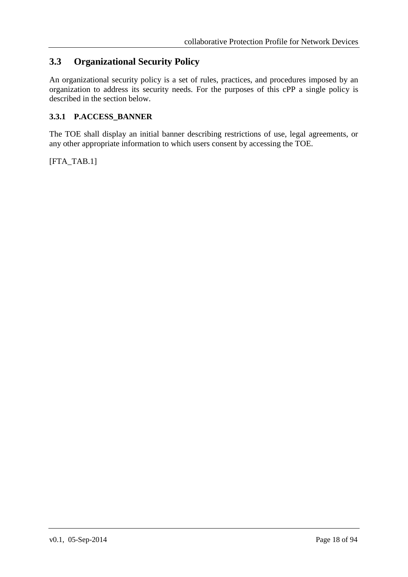# <span id="page-17-0"></span>**3.3 Organizational Security Policy**

An organizational security policy is a set of rules, practices, and procedures imposed by an organization to address its security needs. For the purposes of this cPP a single policy is described in the section below.

## <span id="page-17-1"></span>**3.3.1 P.ACCESS\_BANNER**

The TOE shall display an initial banner describing restrictions of use, legal agreements, or any other appropriate information to which users consent by accessing the TOE.

[FTA\_TAB.1]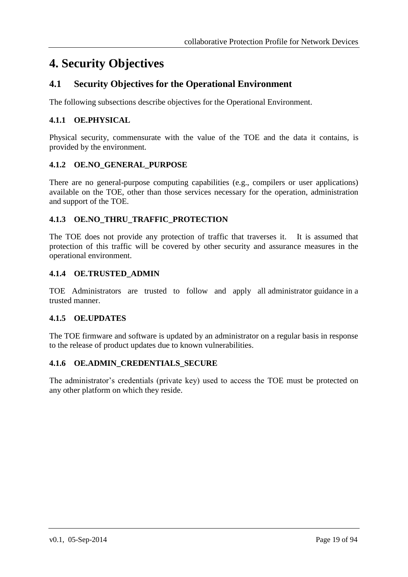# <span id="page-18-0"></span>**4. Security Objectives**

# <span id="page-18-1"></span>**4.1 Security Objectives for the Operational Environment**

The following subsections describe objectives for the Operational Environment.

## <span id="page-18-2"></span>**4.1.1 OE.PHYSICAL**

Physical security, commensurate with the value of the TOE and the data it contains, is provided by the environment.

## <span id="page-18-3"></span>**4.1.2 OE.NO\_GENERAL\_PURPOSE**

There are no general-purpose computing capabilities (e.g., compilers or user applications) available on the TOE, other than those services necessary for the operation, administration and support of the TOE.

## <span id="page-18-4"></span>**4.1.3 OE.NO\_THRU\_TRAFFIC\_PROTECTION**

The TOE does not provide any protection of traffic that traverses it. It is assumed that protection of this traffic will be covered by other security and assurance measures in the operational environment.

#### <span id="page-18-5"></span>**4.1.4 OE.TRUSTED\_ADMIN**

TOE Administrators are trusted to follow and apply all administrator guidance in a trusted manner.

#### <span id="page-18-6"></span>**4.1.5 OE.UPDATES**

The TOE firmware and software is updated by an administrator on a regular basis in response to the release of product updates due to known vulnerabilities.

## <span id="page-18-7"></span>**4.1.6 OE.ADMIN\_CREDENTIALS\_SECURE**

The administrator's credentials (private key) used to access the TOE must be protected on any other platform on which they reside.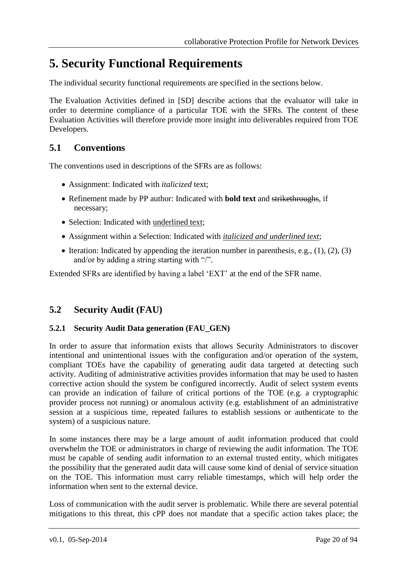# <span id="page-19-0"></span>**5. Security Functional Requirements**

The individual security functional requirements are specified in the sections below.

The Evaluation Activities defined in [SD] describe actions that the evaluator will take in order to determine compliance of a particular TOE with the SFRs. The content of these Evaluation Activities will therefore provide more insight into deliverables required from TOE Developers.

# <span id="page-19-1"></span>**5.1 Conventions**

The conventions used in descriptions of the SFRs are as follows:

- Assignment: Indicated with *italicized* text;
- Refinement made by PP author: Indicated with **bold text** and strikethroughs, if necessary;
- Selection: Indicated with underlined text;
- Assignment within a Selection: Indicated with *italicized and underlined text*;
- Iteration: Indicated by appending the iteration number in parenthesis, e.g.,  $(1)$ ,  $(2)$ ,  $(3)$ and/or by adding a string starting with "/".

Extended SFRs are identified by having a label 'EXT' at the end of the SFR name.

## <span id="page-19-2"></span>**5.2 Security Audit (FAU)**

## <span id="page-19-3"></span>**5.2.1 Security Audit Data generation (FAU\_GEN)**

In order to assure that information exists that allows Security Administrators to discover intentional and unintentional issues with the configuration and/or operation of the system, compliant TOEs have the capability of generating audit data targeted at detecting such activity. Auditing of administrative activities provides information that may be used to hasten corrective action should the system be configured incorrectly. Audit of select system events can provide an indication of failure of critical portions of the TOE (e.g. a cryptographic provider process not running) or anomalous activity (e.g. establishment of an administrative session at a suspicious time, repeated failures to establish sessions or authenticate to the system) of a suspicious nature.

In some instances there may be a large amount of audit information produced that could overwhelm the TOE or administrators in charge of reviewing the audit information. The TOE must be capable of sending audit information to an external trusted entity, which mitigates the possibility that the generated audit data will cause some kind of denial of service situation on the TOE. This information must carry reliable timestamps, which will help order the information when sent to the external device.

Loss of communication with the audit server is problematic. While there are several potential mitigations to this threat, this cPP does not mandate that a specific action takes place; the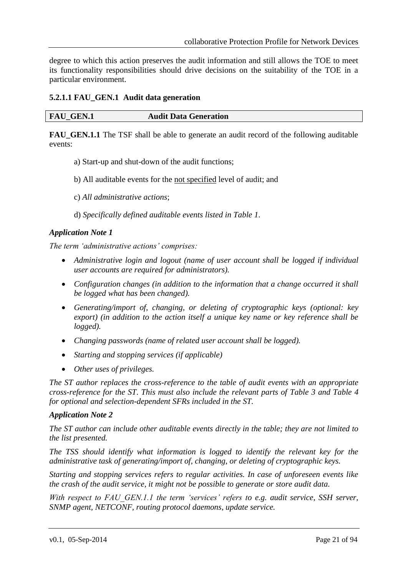degree to which this action preserves the audit information and still allows the TOE to meet its functionality responsibilities should drive decisions on the suitability of the TOE in a particular environment.

#### <span id="page-20-0"></span>**5.2.1.1 FAU\_GEN.1 Audit data generation**

**FAU GEN.1.1** The TSF shall be able to generate an audit record of the following auditable events:

- a) Start-up and shut-down of the audit functions;
- b) All auditable events for the not specified level of audit; and
- c) *All administrative actions*;
- d) *Specifically defined auditable events listed in [Table 1](#page-23-3)*.

#### *Application Note 1*

*The term 'administrative actions' comprises:*

- *Administrative login and logout (name of user account shall be logged if individual user accounts are required for administrators).*
- *Configuration changes (in addition to the information that a change occurred it shall be logged what has been changed).*
- *Generating/import of, changing, or deleting of cryptographic keys (optional: key export) (in addition to the action itself a unique key name or key reference shall be logged).*
- *Changing passwords (name of related user account shall be logged).*
- *Starting and stopping services (if applicable)*
- *Other uses of privileges.*

*The ST author replaces the cross-reference to the table of audit events with an appropriate cross-reference for the ST. This must also include the relevant parts of [Table 3](#page-46-5) and [Table 4](#page-49-2) for optional and selection-dependent SFRs included in the ST.* 

#### *Application Note 2*

*The ST author can include other auditable events directly in the table; they are not limited to the list presented.* 

*The TSS should identify what information is logged to identify the relevant key for the administrative task of generating/import of, changing, or deleting of cryptographic keys.* 

*Starting and stopping services refers to regular activities. In case of unforeseen events like the crash of the audit service, it might not be possible to generate or store audit data.*

*With respect to FAU\_GEN.1.1 the term 'services' refers to e.g. audit service, SSH server, SNMP agent, NETCONF, routing protocol daemons, update service.*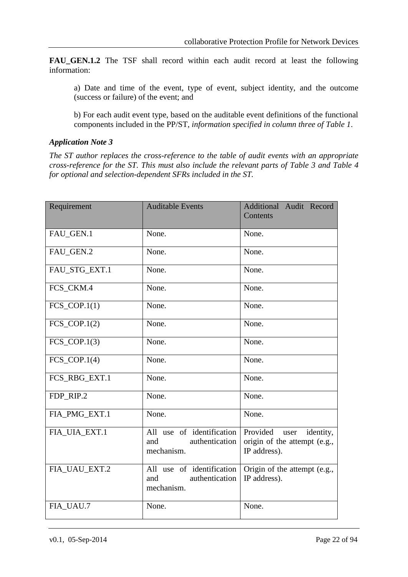**FAU\_GEN.1.2** The TSF shall record within each audit record at least the following information:

a) Date and time of the event, type of event, subject identity, and the outcome (success or failure) of the event; and

b) For each audit event type, based on the auditable event definitions of the functional components included in the PP/ST, *information specified in column three of [Table 1](#page-23-3)*.

#### *Application Note 3*

*The ST author replaces the cross-reference to the table of audit events with an appropriate cross-reference for the ST. This must also include the relevant parts of [Table 3](#page-46-5) and [Table 4](#page-49-2) for optional and selection-dependent SFRs included in the ST.*

| Requirement    | <b>Auditable Events</b>                                          | Additional Audit Record<br>Contents                                           |
|----------------|------------------------------------------------------------------|-------------------------------------------------------------------------------|
| FAU_GEN.1      | None.                                                            | None.                                                                         |
| FAU_GEN.2      | None.                                                            | None.                                                                         |
| FAU_STG_EXT.1  | None.                                                            | None.                                                                         |
| FCS_CKM.4      | None.                                                            | None.                                                                         |
| $FCS_COP.1(1)$ | None.                                                            | None.                                                                         |
| $FCS_COP.1(2)$ | None.                                                            | None.                                                                         |
| $FCS_COP.1(3)$ | None.                                                            | None.                                                                         |
| $FCS_COP.1(4)$ | None.                                                            | None.                                                                         |
| FCS_RBG_EXT.1  | None.                                                            | None.                                                                         |
| FDP_RIP.2      | None.                                                            | None.                                                                         |
| FIA_PMG_EXT.1  | None.                                                            | None.                                                                         |
| FIA_UIA_EXT.1  | All use of identification<br>authentication<br>and<br>mechanism. | Provided<br>identity,<br>user<br>origin of the attempt (e.g.,<br>IP address). |
| FIA_UAU_EXT.2  | All use of identification<br>authentication<br>and<br>mechanism. | Origin of the attempt (e.g.,<br>IP address).                                  |
| FIA UAU.7      | None.                                                            | None.                                                                         |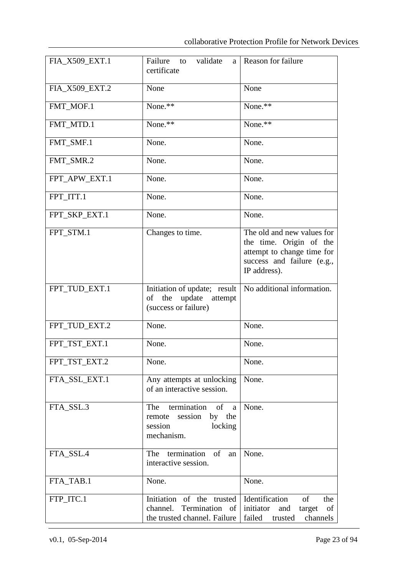| FIA_X509_EXT.1 | Failure to<br>validate<br>a<br>certificate                                                     | Reason for failure                                                                                                                |
|----------------|------------------------------------------------------------------------------------------------|-----------------------------------------------------------------------------------------------------------------------------------|
| FIA_X509_EXT.2 | None                                                                                           | None                                                                                                                              |
| FMT MOF.1      | None.**                                                                                        | None.**                                                                                                                           |
| FMT_MTD.1      | $\overline{\text{None}}$ .**                                                                   | None.**                                                                                                                           |
| FMT_SMF.1      | None.                                                                                          | None.                                                                                                                             |
| FMT_SMR.2      | None.                                                                                          | None.                                                                                                                             |
| FPT_APW_EXT.1  | None.                                                                                          | None.                                                                                                                             |
| FPT_ITT.1      | None.                                                                                          | None.                                                                                                                             |
| FPT_SKP_EXT.1  | None.                                                                                          | None.                                                                                                                             |
| FPT_STM.1      | Changes to time.                                                                               | The old and new values for<br>the time. Origin of the<br>attempt to change time for<br>success and failure (e.g.,<br>IP address). |
| FPT_TUD_EXT.1  | Initiation of update; result<br>update attempt<br>of the<br>(success or failure)               | No additional information.                                                                                                        |
| FPT_TUD_EXT.2  | None.                                                                                          | None.                                                                                                                             |
| FPT_TST_EXT.1  | None.                                                                                          | None.                                                                                                                             |
| FPT_TST_EXT.2  | None.                                                                                          | None.                                                                                                                             |
| FTA_SSL_EXT.1  | Any attempts at unlocking<br>of an interactive session.                                        | None.                                                                                                                             |
| FTA_SSL.3      | termination of a<br>The<br>by the<br>session<br>remote<br>session<br>locking<br>mechanism.     | None.                                                                                                                             |
| FTA_SSL.4      | termination<br>$of$ <sup><math>\overline{ }</math></sup><br>The<br>an<br>interactive session.  | None.                                                                                                                             |
| FTA_TAB.1      | None.                                                                                          | None.                                                                                                                             |
| FTP_ITC.1      | Initiation of the trusted<br>channel. Termination of initiator<br>the trusted channel. Failure | Identification<br>of<br>the<br>and<br>target<br>of<br>failed<br>channels<br>trusted                                               |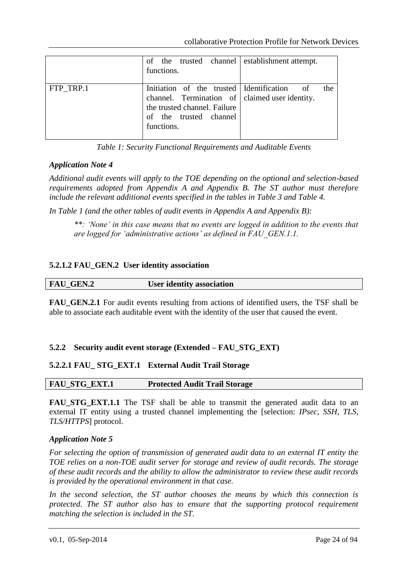|           | of the trusted channel establishment attempt.<br>functions.                                                                                                           |     |
|-----------|-----------------------------------------------------------------------------------------------------------------------------------------------------------------------|-----|
| FTP TRP.1 | Initiation of the trusted Identification of<br>channel. Termination of claimed user identity.<br>the trusted channel. Failure<br>of the trusted channel<br>functions. | the |

*Table 1: Security Functional Requirements and Auditable Events*

## <span id="page-23-3"></span>*Application Note 4*

*Additional audit events will apply to the TOE depending on the optional and selection-based requirements adopted from Appendix [A](#page-46-0) and Appendix [B.](#page-49-0) The ST author must therefore include the relevant additional events specified in the tables in [Table 3](#page-46-5) and [Table 4.](#page-49-2)*

*In [Table 1](#page-23-3) (and the other tables of audit events in Appendix [A](#page-46-0) and Appendix [B\)](#page-49-0):* 

*\*\*: 'None' in this case means that no events are logged in addition to the events that are logged for 'administrative actions' as defined in FAU\_GEN.1.1.*

#### <span id="page-23-0"></span>**5.2.1.2 FAU\_GEN.2 User identity association**

| <b>FAU_GEN.2</b> | <b>User identity association</b> |
|------------------|----------------------------------|
|                  |                                  |

**FAU\_GEN.2.1** For audit events resulting from actions of identified users, the TSF shall be able to associate each auditable event with the identity of the user that caused the event.

## <span id="page-23-1"></span>**5.2.2 Security audit event storage (Extended – FAU\_STG\_EXT)**

## <span id="page-23-2"></span>**5.2.2.1 FAU\_ STG\_EXT.1 External Audit Trail Storage**

| FAU STG EXT.1 | <b>Protected Audit Trail Storage</b> |
|---------------|--------------------------------------|
|               |                                      |

**FAU STG EXT.1.1** The TSF shall be able to transmit the generated audit data to an external IT entity using a trusted channel implementing the [selection: *IPsec, SSH, TLS, TLS/HTTPS*] protocol.

#### *Application Note 5*

*For selecting the option of transmission of generated audit data to an external IT entity the TOE relies on a non-TOE audit server for storage and review of audit records. The storage of these audit records and the ability to allow the administrator to review these audit records is provided by the operational environment in that case.* 

*In the second selection, the ST author chooses the means by which this connection is protected. The ST author also has to ensure that the supporting protocol requirement matching the selection is included in the ST.*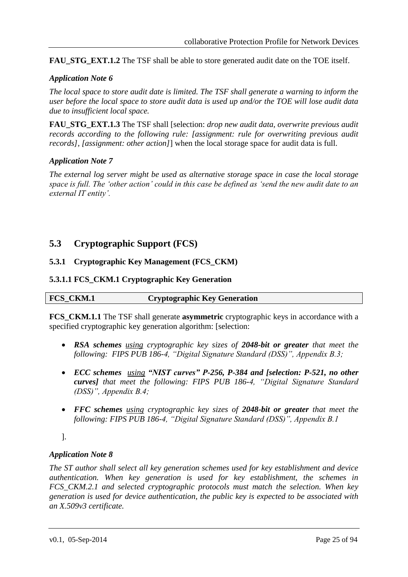**FAU STG EXT.1.2** The TSF shall be able to store generated audit date on the TOE itself.

## *Application Note 6*

*The local space to store audit date is limited. The TSF shall generate a warning to inform the user before the local space to store audit data is used up and/or the TOE will lose audit data due to insufficient local space.* 

**FAU\_STG\_EXT.1.3** The TSF shall [selection: *drop new audit data, overwrite previous audit records according to the following rule: [assignment: rule for overwriting previous audit records], [assignment: other action]*] when the local storage space for audit data is full.

## *Application Note 7*

*The external log server might be used as alternative storage space in case the local storage space is full. The 'other action' could in this case be defined as 'send the new audit date to an external IT entity'.* 

# <span id="page-24-0"></span>**5.3 Cryptographic Support (FCS)**

## <span id="page-24-1"></span>**5.3.1 Cryptographic Key Management (FCS\_CKM)**

## <span id="page-24-2"></span>**5.3.1.1 FCS\_CKM.1 Cryptographic Key Generation**

| FCS CKM.1 | <b>Cryptographic Key Generation</b> |
|-----------|-------------------------------------|
|           |                                     |

**FCS\_CKM.1.1** The TSF shall generate **asymmetric** cryptographic keys in accordance with a specified cryptographic key generation algorithm: [selection:

- *RSA schemes using cryptographic key sizes of 2048-bit or greater that meet the following: FIPS PUB 186-4, "Digital Signature Standard (DSS)", Appendix B.3;*
- *ECC schemes using "NIST curves" P-256, P-384 and [selection: P-521, no other curves] that meet the following: FIPS PUB 186-4, "Digital Signature Standard (DSS)", Appendix B.4;*
- *FFC schemes using cryptographic key sizes of 2048-bit or greater that meet the following: FIPS PUB 186-4, "Digital Signature Standard (DSS)", Appendix B.1*

].

## *Application Note 8*

*The ST author shall select all key generation schemes used for key establishment and device authentication. When key generation is used for key establishment, the schemes in FCS\_CKM.2.1 and selected cryptographic protocols must match the selection. When key generation is used for device authentication, the public key is expected to be associated with an X.509v3 certificate.*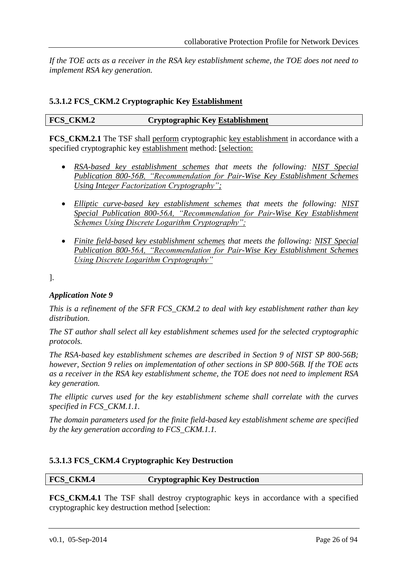*If the TOE acts as a receiver in the RSA key establishment scheme, the TOE does not need to implement RSA key generation.*

## <span id="page-25-0"></span>**5.3.1.2 FCS\_CKM.2 Cryptographic Key Establishment**

#### **FCS\_CKM.2 Cryptographic Key Establishment**

**FCS** CKM.2.1 The TSF shall perform cryptographic key establishment in accordance with a specified cryptographic key establishment method: [selection:

- *RSA-based key establishment schemes that meets the following: NIST Special Publication 800-56B, "Recommendation for Pair-Wise Key Establishment Schemes Using Integer Factorization Cryptography";*
- *Elliptic curve-based key establishment schemes that meets the following: NIST Special Publication 800-56A, "Recommendation for Pair-Wise Key Establishment Schemes Using Discrete Logarithm Cryptography";*
- *Finite field-based key establishment schemes that meets the following: NIST Special Publication 800-56A, "Recommendation for Pair-Wise Key Establishment Schemes Using Discrete Logarithm Cryptography"*

].

## *Application Note 9*

*This is a refinement of the SFR FCS\_CKM.2 to deal with key establishment rather than key distribution.* 

*The ST author shall select all key establishment schemes used for the selected cryptographic protocols.*

*The RSA-based key establishment schemes are described in Section 9 of NIST SP 800-56B; however, Section 9 relies on implementation of other sections in SP 800-56B. If the TOE acts as a receiver in the RSA key establishment scheme, the TOE does not need to implement RSA key generation.*

*The elliptic curves used for the key establishment scheme shall correlate with the curves specified in FCS\_CKM.1.1.*

*The domain parameters used for the finite field-based key establishment scheme are specified by the key generation according to FCS\_CKM.1.1.*

## <span id="page-25-1"></span>**5.3.1.3 FCS\_CKM.4 Cryptographic Key Destruction**

**FCS\_CKM.4 Cryptographic Key Destruction**

**FCS\_CKM.4.1** The TSF shall destroy cryptographic keys in accordance with a specified cryptographic key destruction method [selection: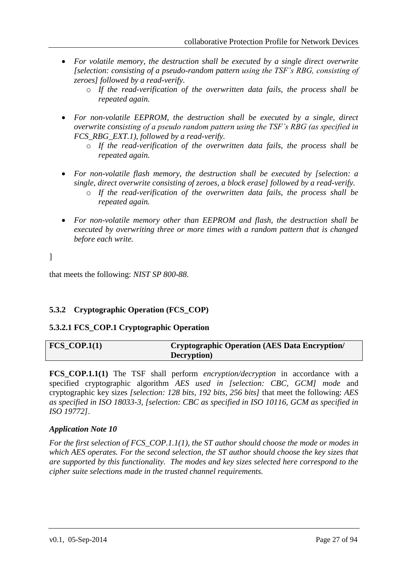- *For volatile memory, the destruction shall be executed by a single direct overwrite [selection: consisting of a pseudo-random pattern using the TSF's RBG, consisting of zeroes] followed by a read-verify.*
	- o *If the read-verification of the overwritten data fails, the process shall be repeated again.*
- *For non-volatile EEPROM, the destruction shall be executed by a single, direct overwrite consisting of a pseudo random pattern using the TSF's RBG (as specified in FCS\_RBG\_EXT.1), followed by a read-verify.*
	- o *If the read-verification of the overwritten data fails, the process shall be repeated again.*
- *For non-volatile flash memory, the destruction shall be executed by [selection: a single, direct overwrite consisting of zeroes, a block erase] followed by a read-verify.*
	- o *If the read-verification of the overwritten data fails, the process shall be repeated again.*
- *For non-volatile memory other than EEPROM and flash, the destruction shall be executed by overwriting three or more times with a random pattern that is changed before each write.*

]

that meets the following: *NIST SP 800-88*.

## <span id="page-26-0"></span>**5.3.2 Cryptographic Operation (FCS\_COP)**

## <span id="page-26-1"></span>**5.3.2.1 FCS\_COP.1 Cryptographic Operation**

| $FCS$ $COP.1(1)$ | Cryptographic Operation (AES Data Encryption/ |
|------------------|-----------------------------------------------|
|                  | Decryption)                                   |

**FCS\_COP.1.1(1)** The TSF shall perform *encryption/decryption* in accordance with a specified cryptographic algorithm *AES used in [selection: CBC, GCM] mode* and cryptographic key sizes *[selection: 128 bits, 192 bits, 256 bits]* that meet the following: *AES as specified in ISO 18033-3, [selection: CBC as specified in ISO 10116, GCM as specified in ISO 19772]*.

#### *Application Note 10*

*For the first selection of FCS\_COP.1.1(1), the ST author should choose the mode or modes in which AES operates. For the second selection, the ST author should choose the key sizes that are supported by this functionality. The modes and key sizes selected here correspond to the cipher suite selections made in the trusted channel requirements.*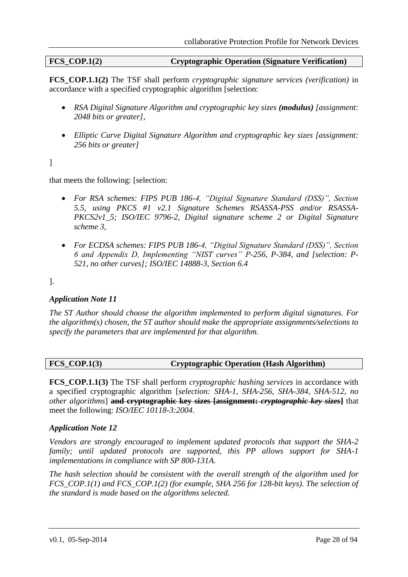## **FCS\_COP.1(2) Cryptographic Operation (Signature Verification)**

**FCS\_COP.1.1(2)** The TSF shall perform *cryptographic signature services (verification)* in accordance with a specified cryptographic algorithm [selection:

- *RSA Digital Signature Algorithm and cryptographic key sizes (modulus) [assignment: 2048 bits or greater],*
- *Elliptic Curve Digital Signature Algorithm and cryptographic key sizes [assignment: 256 bits or greater]*

]

that meets the following: [selection:

- *For RSA schemes: FIPS PUB 186-4, "Digital Signature Standard (DSS)", Section 5.5, using PKCS #1 v2.1 Signature Schemes RSASSA-PSS and/or RSASSA-PKCS2v1\_5; ISO/IEC 9796-2, Digital signature scheme 2 or Digital Signature scheme 3,*
- *For ECDSA schemes: FIPS PUB 186-4, "Digital Signature Standard (DSS)", Section 6 and Appendix D, Implementing "NIST curves" P-256, P-384, and [selection: P-521, no other curves]; ISO/IEC 14888-3, Section 6.4*

].

## *Application Note 11*

*The ST Author should choose the algorithm implemented to perform digital signatures. For the algorithm(s) chosen, the ST author should make the appropriate assignments/selections to specify the parameters that are implemented for that algorithm.*

## **FCS\_COP.1(3) Cryptographic Operation (Hash Algorithm)**

**FCS\_COP.1.1(3)** The TSF shall perform *cryptographic hashing services* in accordance with a specified cryptographic algorithm [*selection: SHA-1, SHA-256, SHA-384, SHA-512, no other algorithms*] **and cryptographic key sizes [assignment:** *cryptographic key sizes***]** that meet the following: *ISO/IEC 10118-3:2004*.

#### *Application Note 12*

*Vendors are strongly encouraged to implement updated protocols that support the SHA-2 family; until updated protocols are supported, this PP allows support for SHA-1 implementations in compliance with SP 800-131A.*

*The hash selection should be consistent with the overall strength of the algorithm used for FCS\_COP.1(1) and FCS\_COP.1(2) (for example, SHA 256 for 128-bit keys). The selection of the standard is made based on the algorithms selected.*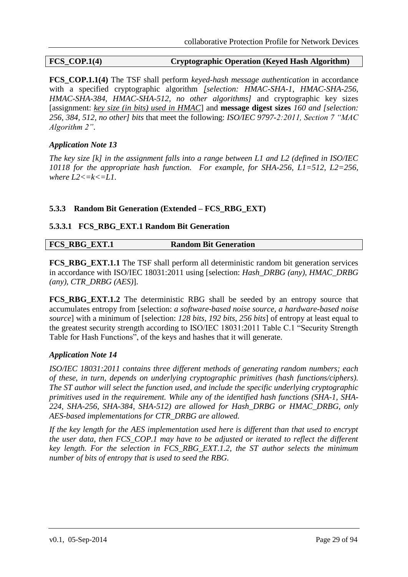## **FCS\_COP.1(4) Cryptographic Operation (Keyed Hash Algorithm)**

**FCS** COP.1.1(4) The TSF shall perform *keyed-hash message authentication* in accordance with a specified cryptographic algorithm *[selection: HMAC-SHA-1, HMAC-SHA-256, HMAC-SHA-384, HMAC-SHA-512, no other algorithms]* and cryptographic key sizes [assignment: *key size (in bits) used in HMAC*] and **message digest sizes** *160 and [selection: 256, 384, 512, no other] bits* that meet the following: *ISO/IEC 9797-2:2011, Section 7 "MAC Algorithm 2"*.

## *Application Note 13*

*The key size [k] in the assignment falls into a range between L1 and L2 (defined in ISO/IEC 10118 for the appropriate hash function. For example, for SHA-256, L1=512, L2=256,*  where  $L2 \le k \le L1$ .

## <span id="page-28-0"></span>**5.3.3 Random Bit Generation (Extended – FCS\_RBG\_EXT)**

#### <span id="page-28-1"></span>**5.3.3.1 FCS\_RBG\_EXT.1 Random Bit Generation**

| <b>FCS RBG EXT.1</b> | <b>Random Bit Generation</b> |
|----------------------|------------------------------|

**FCS RBG EXT.1.1** The TSF shall perform all deterministic random bit generation services in accordance with ISO/IEC 18031:2011 using [selection: *Hash\_DRBG (any), HMAC\_DRBG (any), CTR\_DRBG (AES)*].

**FCS\_RBG\_EXT.1.2** The deterministic RBG shall be seeded by an entropy source that accumulates entropy from [selection: *a software-based noise source, a hardware-based noise source*] with a minimum of [selection: *128 bits, 192 bits, 256 bits*] of entropy at least equal to the greatest security strength according to ISO/IEC 18031:2011 Table C.1 "Security Strength Table for Hash Functions", of the keys and hashes that it will generate.

## *Application Note 14*

*ISO/IEC 18031:2011 contains three different methods of generating random numbers; each of these, in turn, depends on underlying cryptographic primitives (hash functions/ciphers). The ST author will select the function used, and include the specific underlying cryptographic primitives used in the requirement. While any of the identified hash functions (SHA-1, SHA-224, SHA-256, SHA-384, SHA-512) are allowed for Hash\_DRBG or HMAC\_DRBG, only AES-based implementations for CTR\_DRBG are allowed.* 

*If the key length for the AES implementation used here is different than that used to encrypt the user data, then FCS\_COP.1 may have to be adjusted or iterated to reflect the different key length. For the selection in FCS\_RBG\_EXT.1.2, the ST author selects the minimum number of bits of entropy that is used to seed the RBG.*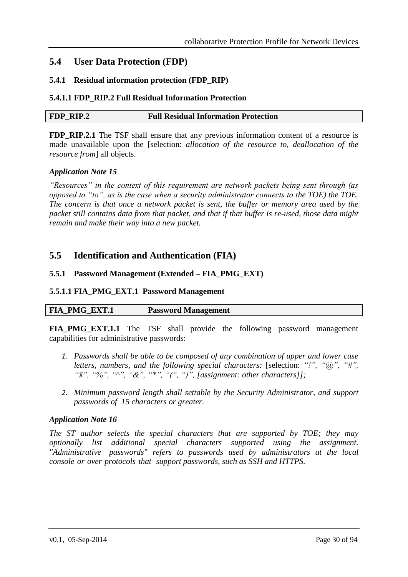## <span id="page-29-0"></span>**5.4 User Data Protection (FDP)**

#### <span id="page-29-1"></span>**5.4.1 Residual information protection (FDP\_RIP)**

#### <span id="page-29-2"></span>**5.4.1.1 FDP\_RIP.2 Full Residual Information Protection**

| FDP RIP.2<br><b>Full Residual Information Protection</b> |
|----------------------------------------------------------|
|----------------------------------------------------------|

**FDP\_RIP.2.1** The TSF shall ensure that any previous information content of a resource is made unavailable upon the [selection: *allocation of the resource to, deallocation of the resource from*] all objects.

#### *Application Note 15*

*"Resources" in the context of this requirement are network packets being sent through (as opposed to "to", as is the case when a security administrator connects to the TOE) the TOE. The concern is that once a network packet is sent, the buffer or memory area used by the packet still contains data from that packet, and that if that buffer is re-used, those data might remain and make their way into a new packet.*

## <span id="page-29-3"></span>**5.5 Identification and Authentication (FIA)**

#### <span id="page-29-4"></span>**5.5.1 Password Management (Extended – FIA\_PMG\_EXT)**

#### <span id="page-29-5"></span>**5.5.1.1 FIA\_PMG\_EXT.1 Password Management**

## **FIA\_PMG\_EXT.1 Password Management**

**FIA\_PMG\_EXT.1.1** The TSF shall provide the following password management capabilities for administrative passwords:

- *1. Passwords shall be able to be composed of any combination of upper and lower case letters, numbers, and the following special characters:* [selection: *"!", "@", "#", "\$", "%", "^", "&", "\*", "(", ")", [assignment: other characters]];*
- *2. Minimum password length shall settable by the Security Administrator, and support passwords of 15 characters or greater.*

#### *Application Note 16*

*The ST author selects the special characters that are supported by TOE; they may optionally list additional special characters supported using the assignment. "Administrative passwords" refers to passwords used by administrators at the local console or over protocols that support passwords, such as SSH and HTTPS.*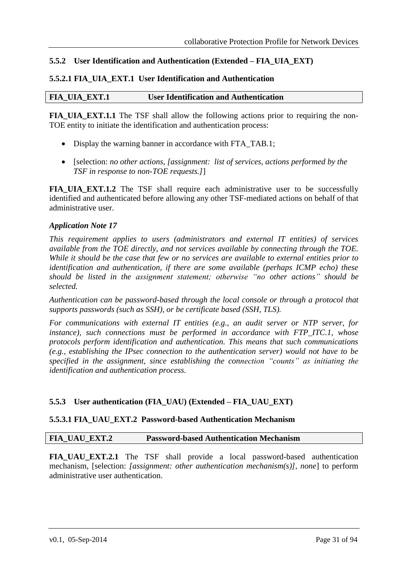## <span id="page-30-0"></span>**5.5.2 User Identification and Authentication (Extended – FIA\_UIA\_EXT)**

#### <span id="page-30-1"></span>**5.5.2.1 FIA\_UIA\_EXT.1 User Identification and Authentication**

#### **FIA\_UIA\_EXT.1 User Identification and Authentication**

**FIA\_UIA\_EXT.1.1** The TSF shall allow the following actions prior to requiring the non-TOE entity to initiate the identification and authentication process:

- Display the warning banner in accordance with FTA\_TAB.1;
- [selection: *no other actions, [assignment: list of services, actions performed by the TSF in response to non-TOE requests.]*]

**FIA\_UIA\_EXT.1.2** The TSF shall require each administrative user to be successfully identified and authenticated before allowing any other TSF-mediated actions on behalf of that administrative user.

#### *Application Note 17*

*This requirement applies to users (administrators and external IT entities) of services available from the TOE directly, and not services available by connecting through the TOE. While it should be the case that few or no services are available to external entities prior to identification and authentication, if there are some available (perhaps ICMP echo) these should be listed in the assignment statement; otherwise "no other actions" should be selected.*

*Authentication can be password-based through the local console or through a protocol that supports passwords (such as SSH), or be certificate based (SSH, TLS).*

*For communications with external IT entities (e.g., an audit server or NTP server, for instance), such connections must be performed in accordance with FTP\_ITC.1, whose protocols perform identification and authentication. This means that such communications (e.g., establishing the IPsec connection to the authentication server) would not have to be specified in the assignment, since establishing the connection "counts" as initiating the identification and authentication process.*

#### <span id="page-30-2"></span>**5.5.3 User authentication (FIA\_UAU) (Extended – FIA\_UAU\_EXT)**

#### <span id="page-30-3"></span>**5.5.3.1 FIA\_UAU\_EXT.2 Password-based Authentication Mechanism**

#### **FIA\_UAU\_EXT.2 Password-based Authentication Mechanism**

**FIA\_UAU\_EXT.2.1** The TSF shall provide a local password-based authentication mechanism, [selection: *[assignment: other authentication mechanism(s)], none*] to perform administrative user authentication.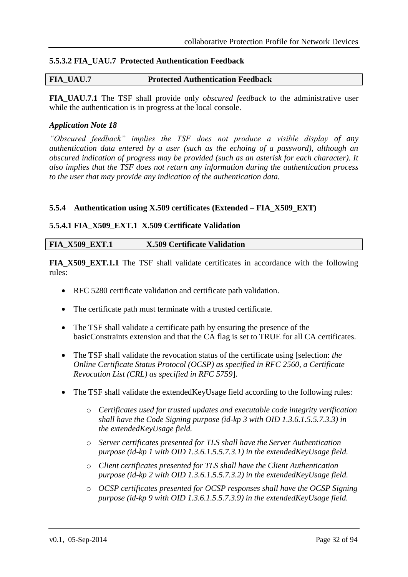## <span id="page-31-0"></span>**5.5.3.2 FIA\_UAU.7 Protected Authentication Feedback**

#### **FIA\_UAU.7 Protected Authentication Feedback**

**FIA\_UAU.7.1** The TSF shall provide only *obscured feedback* to the administrative user while the authentication is in progress at the local console.

#### *Application Note 18*

*"Obscured feedback" implies the TSF does not produce a visible display of any authentication data entered by a user (such as the echoing of a password), although an obscured indication of progress may be provided (such as an asterisk for each character). It also implies that the TSF does not return any information during the authentication process to the user that may provide any indication of the authentication data.*

#### <span id="page-31-1"></span>**5.5.4 Authentication using X.509 certificates (Extended – FIA\_X509\_EXT)**

#### <span id="page-31-2"></span>**5.5.4.1 FIA\_X509\_EXT.1 X.509 Certificate Validation**

|  | <b>FIA X509 EXT.1</b> | <b>X.509 Certificate Validation</b> |
|--|-----------------------|-------------------------------------|
|--|-----------------------|-------------------------------------|

**FIA X509 EXT.1.1** The TSF shall validate certificates in accordance with the following rules:

- RFC 5280 certificate validation and certificate path validation.
- The certificate path must terminate with a trusted certificate.
- The TSF shall validate a certificate path by ensuring the presence of the basicConstraints extension and that the CA flag is set to TRUE for all CA certificates.
- The TSF shall validate the revocation status of the certificate using [selection: *the Online Certificate Status Protocol (OCSP) as specified in RFC 2560, a Certificate Revocation List (CRL) as specified in RFC 5759*].
- The TSF shall validate the extendedKeyUsage field according to the following rules:
	- o *Certificates used for trusted updates and executable code integrity verification shall have the Code Signing purpose (id-kp 3 with OID 1.3.6.1.5.5.7.3.3) in the extendedKeyUsage field.*
	- o *Server certificates presented for TLS shall have the Server Authentication purpose (id-kp 1 with OID 1.3.6.1.5.5.7.3.1) in the extendedKeyUsage field.*
	- o *Client certificates presented for TLS shall have the Client Authentication purpose (id-kp 2 with OID 1.3.6.1.5.5.7.3.2) in the extendedKeyUsage field.*
	- o *OCSP certificates presented for OCSP responses shall have the OCSP Signing purpose (id-kp 9 with OID 1.3.6.1.5.5.7.3.9) in the extendedKeyUsage field.*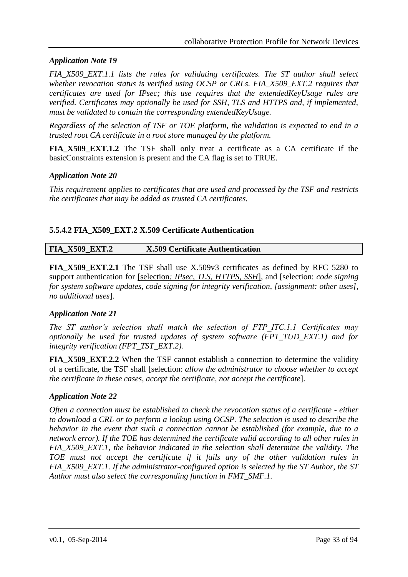## *Application Note 19*

*FIA\_X509\_EXT.1.1 lists the rules for validating certificates. The ST author shall select whether revocation status is verified using OCSP or CRLs. FIA\_X509\_EXT.2 requires that certificates are used for IPsec; this use requires that the extendedKeyUsage rules are verified. Certificates may optionally be used for SSH, TLS and HTTPS and, if implemented, must be validated to contain the corresponding extendedKeyUsage.* 

*Regardless of the selection of TSF or TOE platform, the validation is expected to end in a trusted root CA certificate in a root store managed by the platform.*

**FIA\_X509\_EXT.1.2** The TSF shall only treat a certificate as a CA certificate if the basicConstraints extension is present and the CA flag is set to TRUE.

#### *Application Note 20*

*This requirement applies to certificates that are used and processed by the TSF and restricts the certificates that may be added as trusted CA certificates.*

## <span id="page-32-0"></span>**5.5.4.2 FIA\_X509\_EXT.2 X.509 Certificate Authentication**

**FIA\_X509\_EXT.2 X.509 Certificate Authentication**

**FIA\_X509\_EXT.2.1** The TSF shall use X.509v3 certificates as defined by RFC 5280 to support authentication for [selection*: IPsec, TLS, HTTPS, SSH*], and [selection: *code signing for system software updates, code signing for integrity verification, [assignment: other uses], no additional uses*].

## *Application Note 21*

*The ST author's selection shall match the selection of FTP\_ITC.1.1 Certificates may optionally be used for trusted updates of system software (FPT\_TUD\_EXT.1) and for integrity verification (FPT\_TST\_EXT.2).* 

**FIA\_X509\_EXT.2.2** When the TSF cannot establish a connection to determine the validity of a certificate, the TSF shall [selection: *allow the administrator to choose whether to accept the certificate in these cases, accept the certificate, not accept the certificate*].

## *Application Note 22*

*Often a connection must be established to check the revocation status of a certificate - either to download a CRL or to perform a lookup using OCSP. The selection is used to describe the behavior in the event that such a connection cannot be established (for example, due to a network error). If the TOE has determined the certificate valid according to all other rules in FIA\_X509\_EXT.1, the behavior indicated in the selection shall determine the validity. The TOE must not accept the certificate if it fails any of the other validation rules in FIA\_X509\_EXT.1. If the administrator-configured option is selected by the ST Author, the ST Author must also select the corresponding function in FMT\_SMF.1.*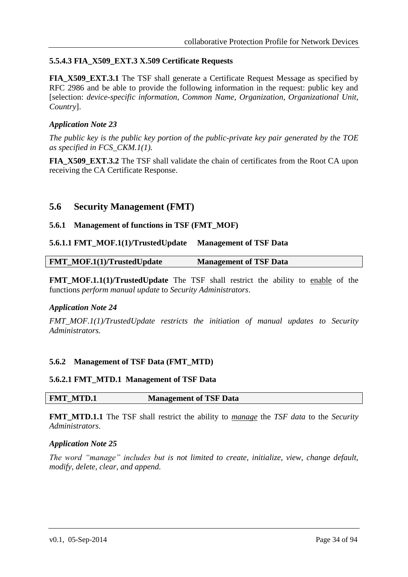## <span id="page-33-0"></span>**5.5.4.3 FIA\_X509\_EXT.3 X.509 Certificate Requests**

**FIA\_X509\_EXT.3.1** The TSF shall generate a Certificate Request Message as specified by RFC 2986 and be able to provide the following information in the request: public key and [selection: *device-specific information, Common Name, Organization, Organizational Unit, Country*].

#### *Application Note 23*

*The public key is the public key portion of the public-private key pair generated by the TOE as specified in FCS\_CKM.1(1).*

**FIA\_X509\_EXT.3.2** The TSF shall validate the chain of certificates from the Root CA upon receiving the CA Certificate Response.

## <span id="page-33-1"></span>**5.6 Security Management (FMT)**

## <span id="page-33-2"></span>**5.6.1 Management of functions in TSF (FMT\_MOF)**

#### <span id="page-33-3"></span>**5.6.1.1 FMT\_MOF.1(1)/TrustedUpdate Management of TSF Data**

| <b>FMT_MOF.1(1)/TrustedUpdate</b> | <b>Management of TSF Data</b> |  |
|-----------------------------------|-------------------------------|--|
|                                   |                               |  |

**FMT\_MOF.1.1(1)/TrustedUpdate** The TSF shall restrict the ability to enable of the functions *perform manual update* to *Security Administrators*.

#### *Application Note 24*

*FMT\_MOF.1(1)/TrustedUpdate restricts the initiation of manual updates to Security Administrators.*

#### <span id="page-33-4"></span>**5.6.2 Management of TSF Data (FMT\_MTD)**

#### <span id="page-33-5"></span>**5.6.2.1 FMT\_MTD.1 Management of TSF Data**

**FMT\_MTD.1 Management of TSF Data**

**FMT\_MTD.1.1** The TSF shall restrict the ability to *manage* the *TSF data* to the *Security Administrators*.

#### *Application Note 25*

*The word "manage" includes but is not limited to create, initialize, view, change default, modify, delete, clear, and append.*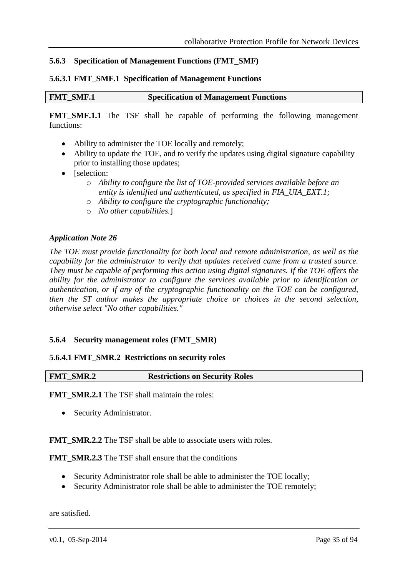## <span id="page-34-0"></span>**5.6.3 Specification of Management Functions (FMT\_SMF)**

#### <span id="page-34-1"></span>**5.6.3.1 FMT\_SMF.1 Specification of Management Functions**

```
FMT_SMF.1 Specification of Management Functions
```
**FMT\_SMF.1.1** The TSF shall be capable of performing the following management functions:

- Ability to administer the TOE locally and remotely;
- Ability to update the TOE, and to verify the updates using digital signature capability prior to installing those updates;
- [selection:
	- o *Ability to configure the list of TOE-provided services available before an entity is identified and authenticated, as specified in FIA\_UIA\_EXT.1;*
	- o *Ability to configure the cryptographic functionality;*
	- o *No other capabilities.*]

#### *Application Note 26*

*The TOE must provide functionality for both local and remote administration, as well as the capability for the administrator to verify that updates received came from a trusted source. They must be capable of performing this action using digital signatures. If the TOE offers the ability for the administrator to configure the services available prior to identification or authentication, or if any of the cryptographic functionality on the TOE can be configured, then the ST author makes the appropriate choice or choices in the second selection, otherwise select "No other capabilities."*

#### <span id="page-34-2"></span>**5.6.4 Security management roles (FMT\_SMR)**

#### <span id="page-34-3"></span>**5.6.4.1 FMT\_SMR.2 Restrictions on security roles**

#### **FMT\_SMR.2 Restrictions on Security Roles**

**FMT\_SMR.2.1** The TSF shall maintain the roles:

• Security Administrator.

#### **FMT\_SMR.2.2** The TSF shall be able to associate users with roles.

**FMT\_SMR.2.3** The TSF shall ensure that the conditions

- Security Administrator role shall be able to administer the TOE locally;
- Security Administrator role shall be able to administer the TOE remotely;

are satisfied.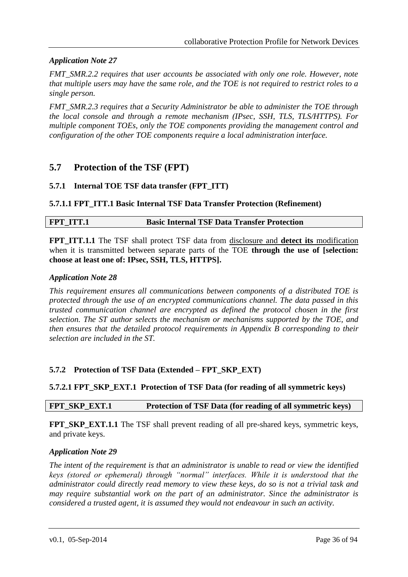## *Application Note 27*

*FMT\_SMR.2.2 requires that user accounts be associated with only one role. However, note that multiple users may have the same role, and the TOE is not required to restrict roles to a single person.* 

*FMT\_SMR.2.3 requires that a Security Administrator be able to administer the TOE through the local console and through a remote mechanism (IPsec, SSH, TLS, TLS/HTTPS). For multiple component TOEs, only the TOE components providing the management control and configuration of the other TOE components require a local administration interface.* 

## <span id="page-35-0"></span>**5.7 Protection of the TSF (FPT)**

#### <span id="page-35-1"></span>**5.7.1 Internal TOE TSF data transfer (FPT\_ITT)**

#### <span id="page-35-2"></span>**5.7.1.1 FPT\_ITT.1 Basic Internal TSF Data Transfer Protection (Refinement)**

#### **FPT** ITT.1 **Basic Internal TSF Data Transfer Protection**

**FPT\_ITT.1.1** The TSF shall protect TSF data from disclosure and **detect its** modification when it is transmitted between separate parts of the TOE **through the use of [selection: choose at least one of: IPsec, SSH, TLS, HTTPS].**

#### *Application Note 28*

*This requirement ensures all communications between components of a distributed TOE is protected through the use of an encrypted communications channel. The data passed in this trusted communication channel are encrypted as defined the protocol chosen in the first selection. The ST author selects the mechanism or mechanisms supported by the TOE, and then ensures that the detailed protocol requirements in Appendix [B](#page-49-0) corresponding to their selection are included in the ST.*

## <span id="page-35-3"></span>**5.7.2 Protection of TSF Data (Extended – FPT\_SKP\_EXT)**

#### <span id="page-35-4"></span>**5.7.2.1 FPT\_SKP\_EXT.1 Protection of TSF Data (for reading of all symmetric keys)**

#### **FPT\_SKP\_EXT.1 Protection of TSF Data (for reading of all symmetric keys)**

**FPT\_SKP\_EXT.1.1** The TSF shall prevent reading of all pre-shared keys, symmetric keys, and private keys.

#### *Application Note 29*

*The intent of the requirement is that an administrator is unable to read or view the identified keys (stored or ephemeral) through "normal" interfaces. While it is understood that the administrator could directly read memory to view these keys, do so is not a trivial task and may require substantial work on the part of an administrator. Since the administrator is considered a trusted agent, it is assumed they would not endeavour in such an activity.*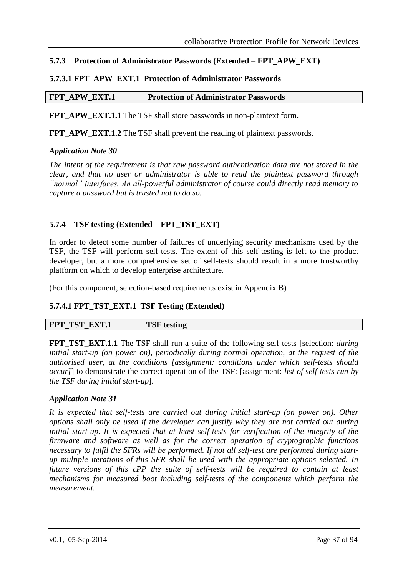## **5.7.3 Protection of Administrator Passwords (Extended – FPT\_APW\_EXT)**

## **5.7.3.1 FPT\_APW\_EXT.1 Protection of Administrator Passwords**

### **FPT\_APW\_EXT.1 Protection of Administrator Passwords**

**FPT\_APW\_EXT.1.1** The TSF shall store passwords in non-plaintext form.

**FPT\_APW\_EXT.1.2** The TSF shall prevent the reading of plaintext passwords.

#### *Application Note 30*

*The intent of the requirement is that raw password authentication data are not stored in the clear, and that no user or administrator is able to read the plaintext password through "normal" interfaces. An all-powerful administrator of course could directly read memory to capture a password but is trusted not to do so.*

## **5.7.4 TSF testing (Extended – FPT\_TST\_EXT)**

In order to detect some number of failures of underlying security mechanisms used by the TSF, the TSF will perform self-tests. The extent of this self-testing is left to the product developer, but a more comprehensive set of self-tests should result in a more trustworthy platform on which to develop enterprise architecture.

(For this component, selection-based requirements exist in Appendix [B\)](#page-49-0)

## **5.7.4.1 FPT\_TST\_EXT.1 TSF Testing (Extended)**

| FPT_TST_EXT.1 | <b>TSF</b> testing |  |
|---------------|--------------------|--|
|---------------|--------------------|--|

**FPT\_TST\_EXT.1.1** The TSF shall run a suite of the following self-tests [selection: *during initial start-up (on power on), periodically during normal operation, at the request of the authorised user, at the conditions [assignment: conditions under which self-tests should occur]*] to demonstrate the correct operation of the TSF: [assignment: *list of self-tests run by the TSF during initial start-up*].

#### *Application Note 31*

*It is expected that self-tests are carried out during initial start-up (on power on). Other options shall only be used if the developer can justify why they are not carried out during initial start-up. It is expected that at least self-tests for verification of the integrity of the firmware and software as well as for the correct operation of cryptographic functions necessary to fulfil the SFRs will be performed. If not all self-test are performed during startup multiple iterations of this SFR shall be used with the appropriate options selected. In future versions of this cPP the suite of self-tests will be required to contain at least mechanisms for measured boot including self-tests of the components which perform the measurement.*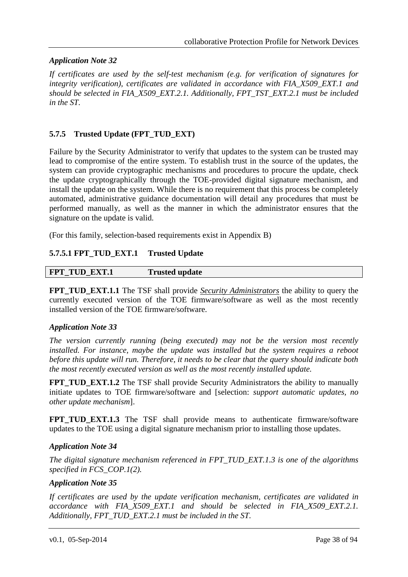## *Application Note 32*

*If certificates are used by the self-test mechanism (e.g. for verification of signatures for integrity verification), certificates are validated in accordance with FIA\_X509\_EXT.1 and should be selected in FIA\_X509\_EXT.2.1. Additionally, FPT\_TST\_EXT.2.1 must be included in the ST.*

## **5.7.5 Trusted Update (FPT\_TUD\_EXT)**

Failure by the Security Administrator to verify that updates to the system can be trusted may lead to compromise of the entire system. To establish trust in the source of the updates, the system can provide cryptographic mechanisms and procedures to procure the update, check the update cryptographically through the TOE-provided digital signature mechanism, and install the update on the system. While there is no requirement that this process be completely automated, administrative guidance documentation will detail any procedures that must be performed manually, as well as the manner in which the administrator ensures that the signature on the update is valid.

(For this family, selection-based requirements exist in Appendix [B\)](#page-49-0)

## **5.7.5.1 FPT\_TUD\_EXT.1 Trusted Update**

| FPT TUD EXT.1 | <b>Trusted update</b> |
|---------------|-----------------------|
|---------------|-----------------------|

**FPT\_TUD\_EXT.1.1** The TSF shall provide *Security Administrators* the ability to query the currently executed version of the TOE firmware/software as well as the most recently installed version of the TOE firmware/software.

#### *Application Note 33*

*The version currently running (being executed) may not be the version most recently installed. For instance, maybe the update was installed but the system requires a reboot before this update will run. Therefore, it needs to be clear that the query should indicate both the most recently executed version as well as the most recently installed update.*

**FPT\_TUD\_EXT.1.2** The TSF shall provide Security Administrators the ability to manually initiate updates to TOE firmware/software and [selection: *support automatic updates, no other update mechanism*].

**FPT\_TUD\_EXT.1.3** The TSF shall provide means to authenticate firmware/software updates to the TOE using a digital signature mechanism prior to installing those updates.

## *Application Note 34*

*The digital signature mechanism referenced in FPT\_TUD\_EXT.1.3 is one of the algorithms specified in FCS\_COP.1(2).*

#### *Application Note 35*

*If certificates are used by the update verification mechanism, certificates are validated in accordance with FIA\_X509\_EXT.1 and should be selected in FIA\_X509\_EXT.2.1. Additionally, FPT\_TUD\_EXT.2.1 must be included in the ST.*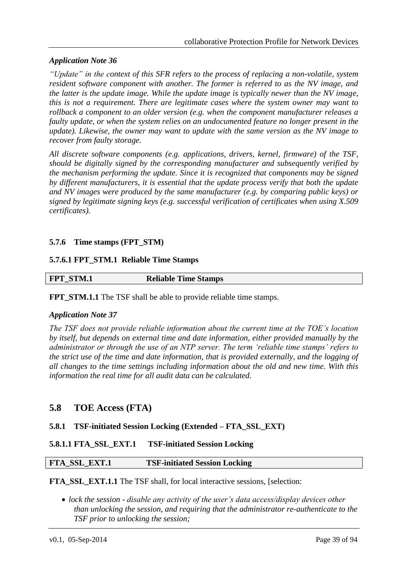## *Application Note 36*

*"Update" in the context of this SFR refers to the process of replacing a non-volatile, system resident software component with another. The former is referred to as the NV image, and the latter is the update image. While the update image is typically newer than the NV image, this is not a requirement. There are legitimate cases where the system owner may want to rollback a component to an older version (e.g. when the component manufacturer releases a faulty update, or when the system relies on an undocumented feature no longer present in the update). Likewise, the owner may want to update with the same version as the NV image to recover from faulty storage.* 

*All discrete software components (e.g. applications, drivers, kernel, firmware) of the TSF, should be digitally signed by the corresponding manufacturer and subsequently verified by the mechanism performing the update. Since it is recognized that components may be signed by different manufacturers, it is essential that the update process verify that both the update and NV images were produced by the same manufacturer (e.g. by comparing public keys) or signed by legitimate signing keys (e.g. successful verification of certificates when using X.509 certificates).*

## **5.7.6 Time stamps (FPT\_STM)**

#### **5.7.6.1 FPT\_STM.1 Reliable Time Stamps**

| FPT_STM.1 | <b>Reliable Time Stamps</b> |  |
|-----------|-----------------------------|--|

**FPT\_STM.1.1** The TSF shall be able to provide reliable time stamps.

#### *Application Note 37*

*The TSF does not provide reliable information about the current time at the TOE's location by itself, but depends on external time and date information, either provided manually by the administrator or through the use of an NTP server. The term 'reliable time stamps' refers to the strict use of the time and date information, that is provided externally, and the logging of all changes to the time settings including information about the old and new time. With this information the real time for all audit data can be calculated.*

## **5.8 TOE Access (FTA)**

#### **5.8.1 TSF-initiated Session Locking (Extended – FTA\_SSL\_EXT)**

#### **5.8.1.1 FTA\_SSL\_EXT.1 TSF-initiated Session Locking**

#### **FTA\_SSL\_EXT.1 TSF-initiated Session Locking**

**FTA\_SSL\_EXT.1.1** The TSF shall, for local interactive sessions, [selection:

 *lock the session - disable any activity of the user's data access/display devices other than unlocking the session, and requiring that the administrator re-authenticate to the TSF prior to unlocking the session;*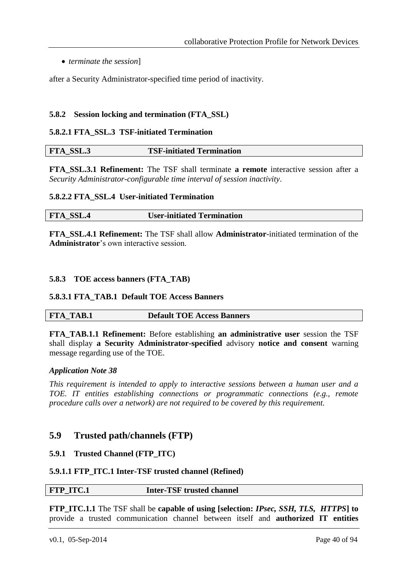*terminate the session*]

after a Security Administrator-specified time period of inactivity.

#### **5.8.2 Session locking and termination (FTA\_SSL)**

#### **5.8.2.1 FTA\_SSL.3 TSF-initiated Termination**

| FTA_SSL.3<br><b>TSF-initiated Termination</b> |  |
|-----------------------------------------------|--|
|-----------------------------------------------|--|

**FTA\_SSL.3.1 Refinement:** The TSF shall terminate **a remote** interactive session after a *Security Administrator-configurable time interval of session inactivity*.

#### **5.8.2.2 FTA\_SSL.4 User-initiated Termination**

**FTA\_SSL.4 User-initiated Termination**

**FTA\_SSL.4.1 Refinement:** The TSF shall allow **Administrator**-initiated termination of the **Administrator**'s own interactive session.

#### **5.8.3 TOE access banners (FTA\_TAB)**

#### **5.8.3.1 FTA\_TAB.1 Default TOE Access Banners**

| <b>FTA TAB.1</b> |  |  | <b>Default TOE Access Banners</b> |
|------------------|--|--|-----------------------------------|
|------------------|--|--|-----------------------------------|

**FTA\_TAB.1.1 Refinement:** Before establishing **an administrative user** session the TSF shall display **a Security Administrator-specified** advisory **notice and consent** warning message regarding use of the TOE.

#### *Application Note 38*

*This requirement is intended to apply to interactive sessions between a human user and a TOE. IT entities establishing connections or programmatic connections (e.g., remote procedure calls over a network) are not required to be covered by this requirement.*

## **5.9 Trusted path/channels (FTP)**

#### **5.9.1 Trusted Channel (FTP\_ITC)**

#### **5.9.1.1 FTP\_ITC.1 Inter-TSF trusted channel (Refined)**

#### **FTP** ITC.1 **Inter-TSF trusted channel**

**FTP\_ITC.1.1** The TSF shall be **capable of using [selection:** *IPsec, SSH, TLS, HTTPS***] to** provide a trusted communication channel between itself and **authorized IT entities**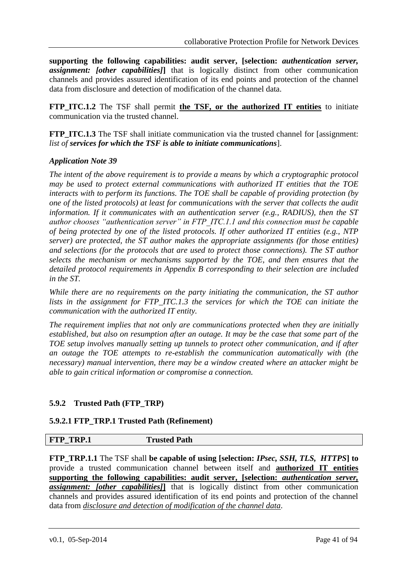**supporting the following capabilities: audit server, [selection:** *authentication server, assignment: [other capabilities]***]** that is logically distinct from other communication channels and provides assured identification of its end points and protection of the channel data from disclosure and detection of modification of the channel data.

**FTP\_ITC.1.2** The TSF shall permit **the TSF, or the authorized IT entities** to initiate communication via the trusted channel.

**FTP ITC.1.3** The TSF shall initiate communication via the trusted channel for [assignment: *list of services for which the TSF is able to initiate communications*].

## *Application Note 39*

*The intent of the above requirement is to provide a means by which a cryptographic protocol may be used to protect external communications with authorized IT entities that the TOE interacts with to perform its functions. The TOE shall be capable of providing protection (by one of the listed protocols) at least for communications with the server that collects the audit information. If it communicates with an authentication server (e.g., RADIUS), then the ST author chooses "authentication server" in FTP\_ITC.1.1 and this connection must be capable of being protected by one of the listed protocols. If other authorized IT entities (e.g., NTP server) are protected, the ST author makes the appropriate assignments (for those entities) and selections (for the protocols that are used to protect those connections). The ST author selects the mechanism or mechanisms supported by the TOE, and then ensures that the detailed protocol requirements in Appendix [B](#page-49-0) corresponding to their selection are included in the ST.*

*While there are no requirements on the party initiating the communication, the ST author lists in the assignment for FTP\_ITC.1.3 the services for which the TOE can initiate the communication with the authorized IT entity.*

*The requirement implies that not only are communications protected when they are initially established, but also on resumption after an outage. It may be the case that some part of the TOE setup involves manually setting up tunnels to protect other communication, and if after an outage the TOE attempts to re-establish the communication automatically with (the necessary) manual intervention, there may be a window created where an attacker might be able to gain critical information or compromise a connection.*

## **5.9.2 Trusted Path (FTP\_TRP)**

#### **5.9.2.1 FTP\_TRP.1 Trusted Path (Refinement)**

#### **FTP\_TRP.1** Trusted Path

**FTP\_TRP.1.1** The TSF shall **be capable of using [selection:** *IPsec, SSH, TLS, HTTPS***] to** provide a trusted communication channel between itself and **authorized IT entities supporting the following capabilities: audit server, [selection:** *authentication server, assignment: [other capabilities]***]** that is logically distinct from other communication channels and provides assured identification of its end points and protection of the channel data from *disclosure and detection of modification of the channel data*.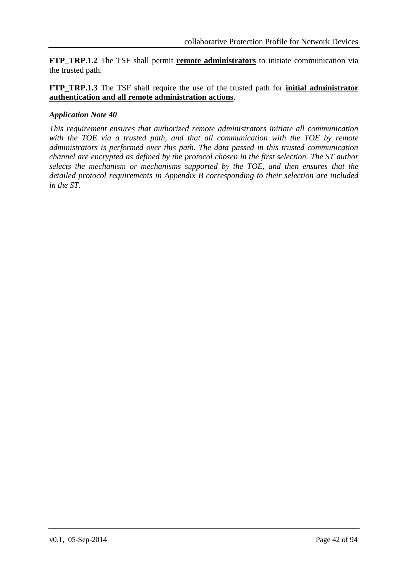**FTP\_TRP.1.2** The TSF shall permit **remote administrators** to initiate communication via the trusted path.

**FTP\_TRP.1.3** The TSF shall require the use of the trusted path for **initial administrator authentication and all remote administration actions**.

## *Application Note 40*

*This requirement ensures that authorized remote administrators initiate all communication with the TOE via a trusted path, and that all communication with the TOE by remote administrators is performed over this path. The data passed in this trusted communication channel are encrypted as defined by the protocol chosen in the first selection. The ST author selects the mechanism or mechanisms supported by the TOE, and then ensures that the detailed protocol requirements in Appendix [B](#page-49-0) corresponding to their selection are included in the ST.*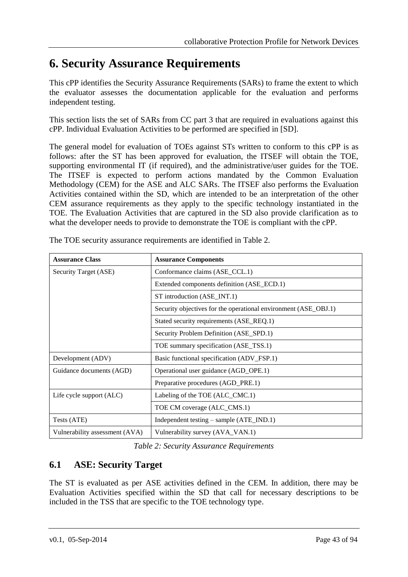# **6. Security Assurance Requirements**

This cPP identifies the Security Assurance Requirements (SARs) to frame the extent to which the evaluator assesses the documentation applicable for the evaluation and performs independent testing.

This section lists the set of SARs from CC part 3 that are required in evaluations against this cPP. Individual Evaluation Activities to be performed are specified in [SD].

The general model for evaluation of TOEs against STs written to conform to this cPP is as follows: after the ST has been approved for evaluation, the ITSEF will obtain the TOE, supporting environmental IT (if required), and the administrative/user guides for the TOE. The ITSEF is expected to perform actions mandated by the Common Evaluation Methodology (CEM) for the ASE and ALC SARs. The ITSEF also performs the Evaluation Activities contained within the SD, which are intended to be an interpretation of the other CEM assurance requirements as they apply to the specific technology instantiated in the TOE. The Evaluation Activities that are captured in the SD also provide clarification as to what the developer needs to provide to demonstrate the TOE is compliant with the cPP.

| <b>Assurance Class</b>         | <b>Assurance Components</b>                                     |
|--------------------------------|-----------------------------------------------------------------|
| Security Target (ASE)          | Conformance claims (ASE_CCL.1)                                  |
|                                | Extended components definition (ASE_ECD.1)                      |
|                                | ST introduction (ASE_INT.1)                                     |
|                                | Security objectives for the operational environment (ASE_OBJ.1) |
|                                | Stated security requirements (ASE_REQ.1)                        |
|                                | Security Problem Definition (ASE_SPD.1)                         |
|                                | TOE summary specification (ASE_TSS.1)                           |
| Development (ADV)              | Basic functional specification (ADV_FSP.1)                      |
| Guidance documents (AGD)       | Operational user guidance (AGD_OPE.1)                           |
|                                | Preparative procedures (AGD_PRE.1)                              |
| Life cycle support (ALC)       | Labeling of the TOE (ALC_CMC.1)                                 |
|                                | TOE CM coverage (ALC_CMS.1)                                     |
| Tests (ATE)                    | Independent testing - sample (ATE_IND.1)                        |
| Vulnerability assessment (AVA) | Vulnerability survey (AVA_VAN.1)                                |

The TOE security assurance requirements are identified in [Table 2.](#page-42-0)

*Table 2: Security Assurance Requirements*

# <span id="page-42-0"></span>**6.1 ASE: Security Target**

The ST is evaluated as per ASE activities defined in the CEM. In addition, there may be Evaluation Activities specified within the SD that call for necessary descriptions to be included in the TSS that are specific to the TOE technology type.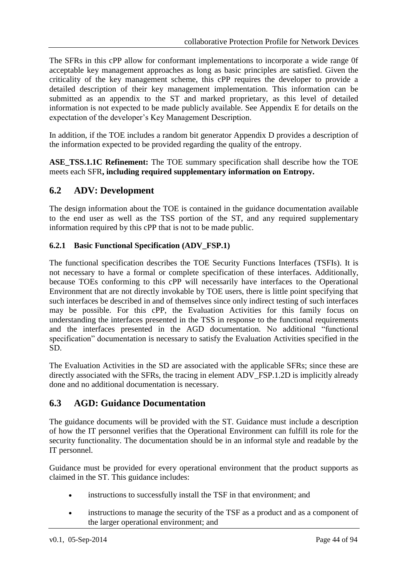The SFRs in this cPP allow for conformant implementations to incorporate a wide range 0f acceptable key management approaches as long as basic principles are satisfied. Given the criticality of the key management scheme, this cPP requires the developer to provide a detailed description of their key management implementation. This information can be submitted as an appendix to the ST and marked proprietary, as this level of detailed information is not expected to be made publicly available. See Appendix E for details on the expectation of the developer's Key Management Description.

In addition, if the TOE includes a random bit generator Appendix D provides a description of the information expected to be provided regarding the quality of the entropy.

**ASE\_TSS.1.1C Refinement:** The TOE summary specification shall describe how the TOE meets each SFR**, including required supplementary information on Entropy.**

## **6.2 ADV: Development**

The design information about the TOE is contained in the guidance documentation available to the end user as well as the TSS portion of the ST, and any required supplementary information required by this cPP that is not to be made public.

## **6.2.1 Basic Functional Specification (ADV\_FSP.1)**

The functional specification describes the TOE Security Functions Interfaces (TSFIs). It is not necessary to have a formal or complete specification of these interfaces. Additionally, because TOEs conforming to this cPP will necessarily have interfaces to the Operational Environment that are not directly invokable by TOE users, there is little point specifying that such interfaces be described in and of themselves since only indirect testing of such interfaces may be possible. For this cPP, the Evaluation Activities for this family focus on understanding the interfaces presented in the TSS in response to the functional requirements and the interfaces presented in the AGD documentation. No additional "functional specification" documentation is necessary to satisfy the Evaluation Activities specified in the SD.

The Evaluation Activities in the SD are associated with the applicable SFRs; since these are directly associated with the SFRs, the tracing in element ADV\_FSP.1.2D is implicitly already done and no additional documentation is necessary.

## **6.3 AGD: Guidance Documentation**

The guidance documents will be provided with the ST. Guidance must include a description of how the IT personnel verifies that the Operational Environment can fulfill its role for the security functionality. The documentation should be in an informal style and readable by the IT personnel.

Guidance must be provided for every operational environment that the product supports as claimed in the ST. This guidance includes:

- instructions to successfully install the TSF in that environment; and
- instructions to manage the security of the TSF as a product and as a component of the larger operational environment; and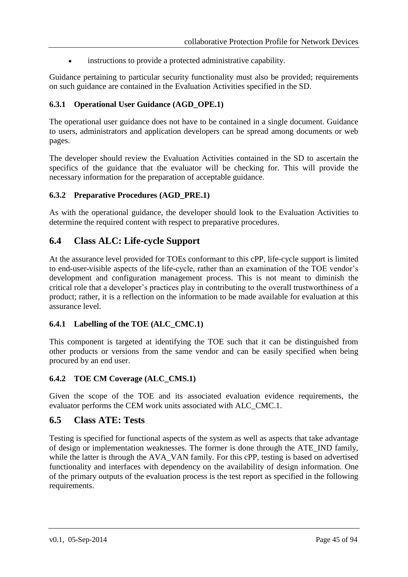instructions to provide a protected administrative capability.

Guidance pertaining to particular security functionality must also be provided; requirements on such guidance are contained in the Evaluation Activities specified in the SD.

## **6.3.1 Operational User Guidance (AGD\_OPE.1)**

The operational user guidance does not have to be contained in a single document. Guidance to users, administrators and application developers can be spread among documents or web pages.

The developer should review the Evaluation Activities contained in the SD to ascertain the specifics of the guidance that the evaluator will be checking for. This will provide the necessary information for the preparation of acceptable guidance.

#### **6.3.2 Preparative Procedures (AGD\_PRE.1)**

As with the operational guidance, the developer should look to the Evaluation Activities to determine the required content with respect to preparative procedures.

## **6.4 Class ALC: Life-cycle Support**

At the assurance level provided for TOEs conformant to this cPP, life-cycle support is limited to end-user-visible aspects of the life-cycle, rather than an examination of the TOE vendor's development and configuration management process. This is not meant to diminish the critical role that a developer's practices play in contributing to the overall trustworthiness of a product; rather, it is a reflection on the information to be made available for evaluation at this assurance level.

## **6.4.1 Labelling of the TOE (ALC\_CMC.1)**

This component is targeted at identifying the TOE such that it can be distinguished from other products or versions from the same vendor and can be easily specified when being procured by an end user.

## **6.4.2 TOE CM Coverage (ALC\_CMS.1)**

Given the scope of the TOE and its associated evaluation evidence requirements, the evaluator performs the CEM work units associated with ALC\_CMC.1.

## **6.5 Class ATE: Tests**

Testing is specified for functional aspects of the system as well as aspects that take advantage of design or implementation weaknesses. The former is done through the ATE\_IND family, while the latter is through the AVA\_VAN family. For this cPP, testing is based on advertised functionality and interfaces with dependency on the availability of design information. One of the primary outputs of the evaluation process is the test report as specified in the following requirements.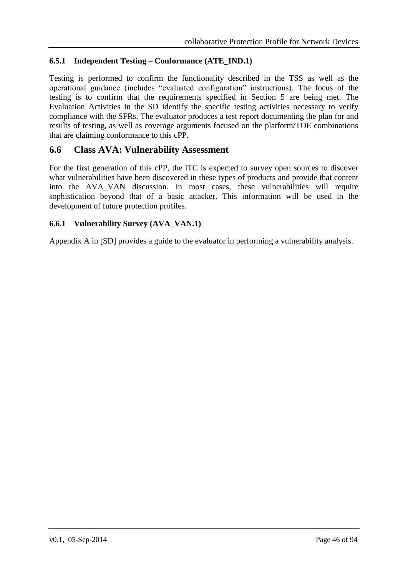## **6.5.1 Independent Testing – Conformance (ATE\_IND.1)**

Testing is performed to confirm the functionality described in the TSS as well as the operational guidance (includes "evaluated configuration" instructions). The focus of the testing is to confirm that the requirements specified in Section [5](#page-19-0) are being met. The Evaluation Activities in the SD identify the specific testing activities necessary to verify compliance with the SFRs. The evaluator produces a test report documenting the plan for and results of testing, as well as coverage arguments focused on the platform/TOE combinations that are claiming conformance to this cPP.

## **6.6 Class AVA: Vulnerability Assessment**

For the first generation of this cPP, the iTC is expected to survey open sources to discover what vulnerabilities have been discovered in these types of products and provide that content into the AVA\_VAN discussion. In most cases, these vulnerabilities will require sophistication beyond that of a basic attacker. This information will be used in the development of future protection profiles.

## **6.6.1 Vulnerability Survey (AVA\_VAN.1)**

Appendix A in [SD] provides a guide to the evaluator in performing a vulnerability analysis.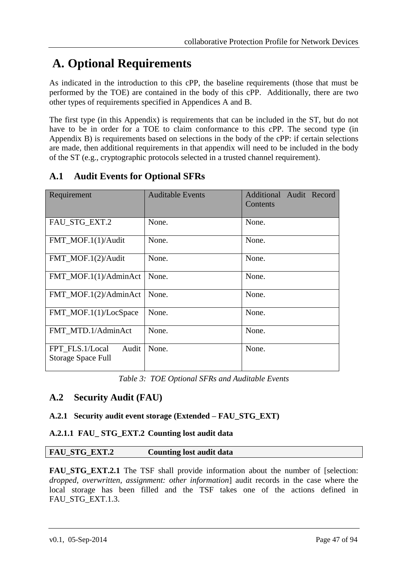# **A. Optional Requirements**

As indicated in the introduction to this cPP, the baseline requirements (those that must be performed by the TOE) are contained in the body of this cPP. Additionally, there are two other types of requirements specified in Appendices A and B.

The first type (in this Appendix) is requirements that can be included in the ST, but do not have to be in order for a TOE to claim conformance to this cPP. The second type (in Appendix B) is requirements based on selections in the body of the cPP: if certain selections are made, then additional requirements in that appendix will need to be included in the body of the ST (e.g., cryptographic protocols selected in a trusted channel requirement).

| Requirement                                    | <b>Auditable Events</b> | Additional Audit Record<br>Contents |
|------------------------------------------------|-------------------------|-------------------------------------|
| FAU STG EXT.2                                  | None.                   | None.                               |
| FMT_MOF.1(1)/Audit                             | None.                   | None.                               |
| FMT_MOF.1(2)/Audit                             | None.                   | None.                               |
| FMT_MOF.1(1)/AdminAct                          | None.                   | None.                               |
| FMT_MOF.1(2)/AdminAct                          | None.                   | None.                               |
| FMT_MOF.1(1)/LocSpace                          | None.                   | None.                               |
| FMT MTD.1/AdminAct                             | None.                   | None.                               |
| Audit<br>FPT_FLS.1/Local<br>Storage Space Full | None.                   | None.                               |

# **A.1 Audit Events for Optional SFRs**

*Table 3: TOE Optional SFRs and Auditable Events*

## **A.2 Security Audit (FAU)**

## **A.2.1 Security audit event storage (Extended – FAU\_STG\_EXT)**

## **A.2.1.1 FAU\_ STG\_EXT.2 Counting lost audit data**

## **FAU\_STG\_EXT.2 Counting lost audit data**

**FAU\_STG\_EXT.2.1** The TSF shall provide information about the number of [selection: *dropped, overwritten, assignment: other information*] audit records in the case where the local storage has been filled and the TSF takes one of the actions defined in FAU STG EXT.1.3.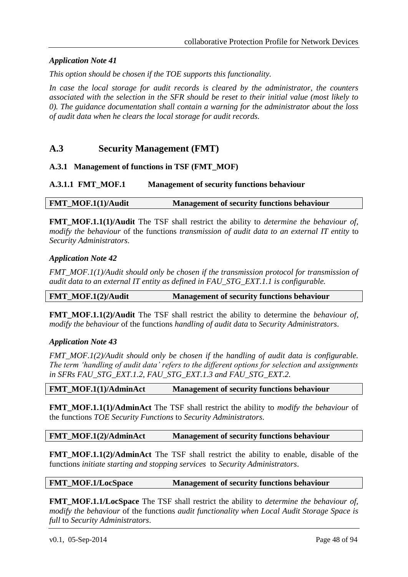## *Application Note 41*

*This option should be chosen if the TOE supports this functionality.* 

*In case the local storage for audit records is cleared by the administrator, the counters associated with the selection in the SFR should be reset to their initial value (most likely to 0). The guidance documentation shall contain a warning for the administrator about the loss of audit data when he clears the local storage for audit records.*

## **A.3 Security Management (FMT)**

#### **A.3.1 Management of functions in TSF (FMT\_MOF)**

#### **A.3.1.1 FMT\_MOF.1 Management of security functions behaviour**

**FMT\_MOF.1(1)/Audit Management of security functions behaviour**

**FMT\_MOF.1.1(1)/Audit** The TSF shall restrict the ability to *determine the behaviour of, modify the behaviour* of the functions *transmission of audit data to an external IT entity* to *Security Administrators*.

#### *Application Note 42*

*FMT\_MOF.1(1)/Audit should only be chosen if the transmission protocol for transmission of audit data to an external IT entity as defined in FAU\_STG\_EXT.1.1 is configurable.* 

**FMT\_MOF.1(2)/Audit Management of security functions behaviour**

**FMT** MOF.1.1(2)/Audit The TSF shall restrict the ability to determine the *behaviour of*, *modify the behaviour* of the functions *handling of audit data* to *Security Administrators*.

#### *Application Note 43*

*FMT\_MOF.1(2)/Audit should only be chosen if the handling of audit data is configurable. The term 'handling of audit data' refers to the different options for selection and assignments in SFRs FAU\_STG\_EXT.1.2, FAU\_STG\_EXT.1.3 and FAU\_STG\_EXT.2.* 

#### **FMT\_MOF.1(1)/AdminAct Management of security functions behaviour**

**FMT\_MOF.1.1(1)/AdminAct** The TSF shall restrict the ability to *modify the behaviour* of the functions *TOE Security Functions* to *Security Administrators*.

#### **FMT\_MOF.1(2)/AdminAct Management of security functions behaviour**

**FMT\_MOF.1.1(2)/AdminAct** The TSF shall restrict the ability to enable, disable of the functions *initiate starting and stopping services* to *Security Administrators*.

#### **FMT\_MOF.1/LocSpace Management of security functions behaviour**

**FMT\_MOF.1.1/LocSpace** The TSF shall restrict the ability to *determine the behaviour of, modify the behaviour* of the functions *audit functionality when Local Audit Storage Space is full* to *Security Administrators*.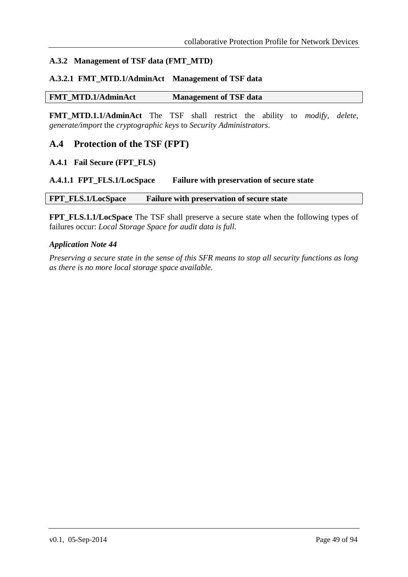## **A.3.2 Management of TSF data (FMT\_MTD)**

## **A.3.2.1 FMT\_MTD.1/AdminAct Management of TSF data**

#### **FMT\_MTD.1/AdminAct Management of TSF data**

**FMT\_MTD.1.1/AdminAct** The TSF shall restrict the ability to *modify, delete, generate/import* the *cryptographic keys* to *Security Administrators*.

## **A.4 Protection of the TSF (FPT)**

#### **A.4.1 Fail Secure (FPT\_FLS)**

#### **A.4.1.1 FPT\_FLS.1/LocSpace Failure with preservation of secure state**

#### **FPT\_FLS.1/LocSpace Failure with preservation of secure state**

**FPT\_FLS.1.1/LocSpace** The TSF shall preserve a secure state when the following types of failures occur: *Local Storage Space for audit data is full.*

#### *Application Note 44*

*Preserving a secure state in the sense of this SFR means to stop all security functions as long as there is no more local storage space available.*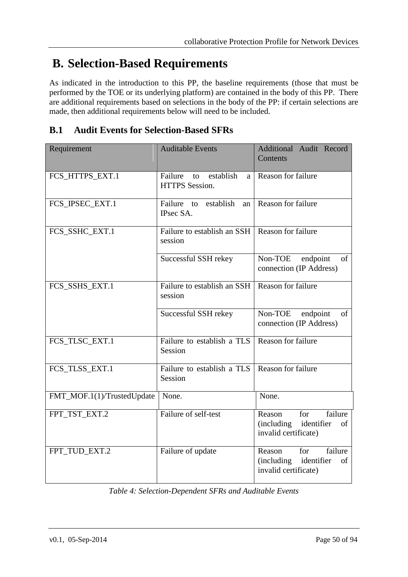# <span id="page-49-0"></span>**B. Selection-Based Requirements**

As indicated in the introduction to this PP, the baseline requirements (those that must be performed by the TOE or its underlying platform) are contained in the body of this PP. There are additional requirements based on selections in the body of the PP: if certain selections are made, then additional requirements below will need to be included.

# **B.1 Audit Events for Selection-Based SFRs**

| Requirement                | <b>Auditable Events</b>                                  | Additional Audit Record<br>Contents                                             |
|----------------------------|----------------------------------------------------------|---------------------------------------------------------------------------------|
| FCS_HTTPS_EXT.1            | Failure<br>establish<br>to<br>a<br><b>HTTPS</b> Session. | Reason for failure                                                              |
| FCS_IPSEC_EXT.1            | Failure to establish<br>an<br>IPsec SA.                  | Reason for failure                                                              |
| FCS_SSHC_EXT.1             | Failure to establish an SSH<br>session                   | Reason for failure                                                              |
|                            | Successful SSH rekey                                     | Non-TOE<br>endpoint<br>of<br>connection (IP Address)                            |
| FCS_SSHS_EXT.1             | Failure to establish an SSH<br>session                   | Reason for failure                                                              |
|                            | Successful SSH rekey                                     | Non-TOE<br>endpoint<br>of<br>connection (IP Address)                            |
| FCS_TLSC_EXT.1             | Failure to establish a TLS<br>Session                    | Reason for failure                                                              |
| FCS_TLSS_EXT.1             | Failure to establish a TLS<br>Session                    | Reason for failure                                                              |
| FMT_MOF.1(1)/TrustedUpdate | None.                                                    | None.                                                                           |
| FPT_TST_EXT.2              | Failure of self-test                                     | failure<br>for<br>Reason<br>(including identifier<br>of<br>invalid certificate) |
| FPT_TUD_EXT.2              | Failure of update                                        | failure<br>for<br>Reason<br>(including identifier<br>of<br>invalid certificate) |

*Table 4: Selection-Dependent SFRs and Auditable Events*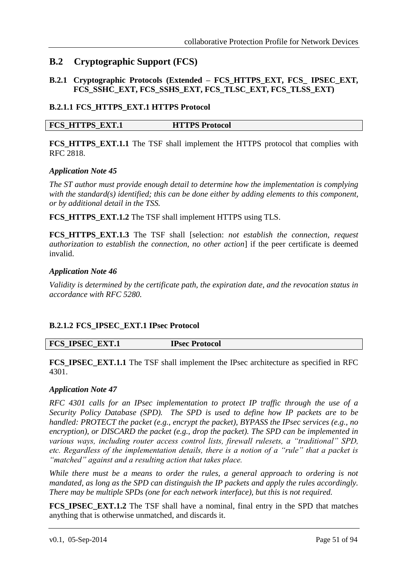## **B.2 Cryptographic Support (FCS)**

## **B.2.1 Cryptographic Protocols (Extended – FCS\_HTTPS\_EXT, FCS\_ IPSEC\_EXT***,*  **FCS\_SSHC\_EXT, FCS\_SSHS\_EXT, FCS\_TLSC\_EXT, FCS\_TLSS\_EXT)**

#### **B.2.1.1 FCS\_HTTPS\_EXT.1 HTTPS Protocol**

#### **FCS\_HTTPS\_EXT.1 HTTPS Protocol**

**FCS\_HTTPS\_EXT.1.1** The TSF shall implement the HTTPS protocol that complies with RFC 2818.

#### *Application Note 45*

*The ST author must provide enough detail to determine how the implementation is complying with the standard(s) identified; this can be done either by adding elements to this component, or by additional detail in the TSS.*

**FCS\_HTTPS\_EXT.1.2** The TSF shall implement HTTPS using TLS.

**FCS\_HTTPS\_EXT.1.3** The TSF shall [selection: *not establish the connection, request authorization to establish the connection, no other action*] if the peer certificate is deemed invalid.

#### *Application Note 46*

*Validity is determined by the certificate path, the expiration date, and the revocation status in accordance with RFC 5280.*

## **B.2.1.2 FCS\_IPSEC\_EXT.1 IPsec Protocol**

**FCS\_IPSEC\_EXT.1 IPsec Protocol**

**FCS\_IPSEC\_EXT.1.1** The TSF shall implement the IPsec architecture as specified in RFC 4301.

#### *Application Note 47*

*RFC 4301 calls for an IPsec implementation to protect IP traffic through the use of a Security Policy Database (SPD). The SPD is used to define how IP packets are to be handled: PROTECT the packet (e.g., encrypt the packet), BYPASS the IPsec services (e.g., no encryption), or DISCARD the packet (e.g., drop the packet). The SPD can be implemented in various ways, including router access control lists, firewall rulesets, a "traditional" SPD, etc. Regardless of the implementation details, there is a notion of a "rule" that a packet is "matched" against and a resulting action that takes place.* 

*While there must be a means to order the rules, a general approach to ordering is not mandated, as long as the SPD can distinguish the IP packets and apply the rules accordingly. There may be multiple SPDs (one for each network interface), but this is not required.* 

**FCS IPSEC EXT.1.2** The TSF shall have a nominal, final entry in the SPD that matches anything that is otherwise unmatched, and discards it.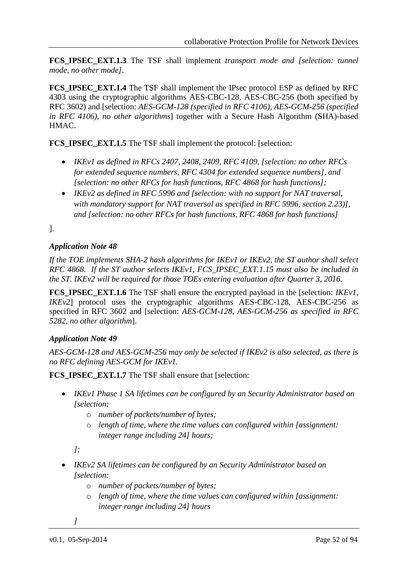**FCS IPSEC EXT.1.3** The TSF shall implement *transport mode and [selection: tunnel mode, no other mode]*.

**FCS IPSEC EXT.1.4** The TSF shall implement the IPsec protocol ESP as defined by RFC 4303 using the cryptographic algorithms AES-CBC-128, AES-CBC-256 (both specified by RFC 3602) and [selection: *AES-GCM-128 (specified in RFC 4106), AES-GCM-256 (specified in RFC 4106), no other algorithms*] together with a Secure Hash Algorithm (SHA)-based HMAC.

**FCS\_IPSEC\_EXT.1.5** The TSF shall implement the protocol: [selection:

- *IKEv1 as defined in RFCs 2407, 2408, 2409, RFC 4109, [selection: no other RFCs for extended sequence numbers, RFC 4304 for extended sequence numbers], and [selection: no other RFCs for hash functions, RFC 4868 for hash functions];*
- *IKEv2 as defined in RFC 5996 and [selection: with no support for NAT traversal, with mandatory support for NAT traversal as specified in RFC 5996, section 2.23)], and [selection: no other RFCs for hash functions, RFC 4868 for hash functions]*

].

## *Application Note 48*

*If the TOE implements SHA-2 hash algorithms for IKEv1 or IKEv2, the ST author shall select RFC 4868. If the ST author selects IKEv1, FCS\_IPSEC\_EXT.1.15 must also be included in the ST. IKEv2 will be required for those TOEs entering evaluation after Quarter 3, 2016.*

**FCS\_IPSEC\_EXT.1.6** The TSF shall ensure the encrypted payload in the [selection: *IKEv1, IKEv2*] protocol uses the cryptographic algorithms AES-CBC-128, AES-CBC-256 as specified in RFC 3602 and [selection: *AES-GCM-128, AES-GCM-256 as specified in RFC 5282, no other algorithm*].

## *Application Note 49*

*AES-GCM-128 and AES-GCM-256 may only be selected if IKEv2 is also selected, as there is no RFC defining AES-GCM for IKEv1.* 

**FCS** IPSEC EXT.1.7 The TSF shall ensure that [selection:

- *IKEv1 Phase 1 SA lifetimes can be configured by an Security Administrator based on [selection:* 
	- o *number of packets/number of bytes;*
	- o *length of time, where the time values can configured within [assignment: integer range including 24] hours;*

*];*

- *IKEv2 SA lifetimes can be configured by an Security Administrator based on [selection:*
	- o *number of packets/number of bytes;*
	- o *length of time, where the time values can configured within [assignment: integer range including 24] hours*

*]*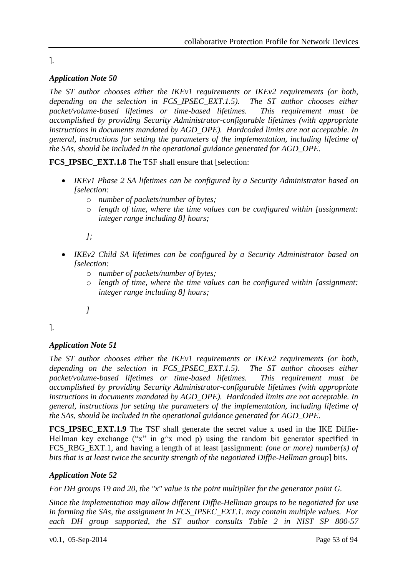#### ].

## *Application Note 50*

*The ST author chooses either the IKEv1 requirements or IKEv2 requirements (or both, depending on the selection in FCS\_IPSEC\_EXT.1.5). The ST author chooses either packet/volume-based lifetimes or time-based lifetimes. This requirement must be accomplished by providing Security Administrator-configurable lifetimes (with appropriate instructions in documents mandated by AGD\_OPE). Hardcoded limits are not acceptable. In general, instructions for setting the parameters of the implementation, including lifetime of the SAs, should be included in the operational guidance generated for AGD\_OPE.* 

**FCS IPSEC EXT.1.8** The TSF shall ensure that [selection:

- *IKEv1 Phase 2 SA lifetimes can be configured by a Security Administrator based on [selection:*
	- o *number of packets/number of bytes;*
	- o *length of time, where the time values can be configured within [assignment: integer range including 8] hours;*

*];*

- *IKEv2 Child SA lifetimes can be configured by a Security Administrator based on [selection:*
	- o *number of packets/number of bytes;*
	- o *length of time, where the time values can be configured within [assignment: integer range including 8] hours;*
	- *]*

].

## *Application Note 51*

*The ST author chooses either the IKEv1 requirements or IKEv2 requirements (or both, depending on the selection in FCS\_IPSEC\_EXT.1.5). The ST author chooses either packet/volume-based lifetimes or time-based lifetimes. This requirement must be accomplished by providing Security Administrator-configurable lifetimes (with appropriate instructions in documents mandated by AGD\_OPE). Hardcoded limits are not acceptable. In general, instructions for setting the parameters of the implementation, including lifetime of the SAs, should be included in the operational guidance generated for AGD\_OPE.* 

**FCS\_IPSEC\_EXT.1.9** The TSF shall generate the secret value x used in the IKE Diffie-Hellman key exchange ("x" in  $g^x$  mod p) using the random bit generator specified in FCS\_RBG\_EXT.1, and having a length of at least [assignment: *(one or more) number(s) of bits that is at least twice the security strength of the negotiated Diffie-Hellman group*] bits.

## *Application Note 52*

*For DH groups 19 and 20, the "x" value is the point multiplier for the generator point G.* 

*Since the implementation may allow different Diffie-Hellman groups to be negotiated for use in forming the SAs, the assignment in FCS\_IPSEC\_EXT.1. may contain multiple values. For each DH group supported, the ST author consults Table 2 in NIST SP 800-57*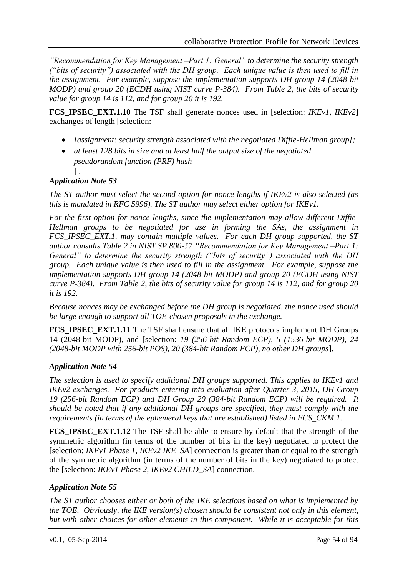*"Recommendation for Key Management –Part 1: General" to determine the security strength ("bits of security") associated with the DH group. Each unique value is then used to fill in the assignment. For example, suppose the implementation supports DH group 14 (2048-bit MODP) and group 20 (ECDH using NIST curve P-384). From Table 2, the bits of security value for group 14 is 112, and for group 20 it is 192.*

**FCS IPSEC EXT.1.10** The TSF shall generate nonces used in [selection: *IKEv1, IKEv2*] exchanges of length [selection:

- *Iassignment: security strength associated with the negotiated Diffie-Hellman group];*
- *at least 128 bits in size and at least half the output size of the negotiated pseudorandom function (PRF) hash*
	- ] .

## *Application Note 53*

*The ST author must select the second option for nonce lengths if IKEv2 is also selected (as this is mandated in RFC 5996). The ST author may select either option for IKEv1.*

*For the first option for nonce lengths, since the implementation may allow different Diffie-Hellman groups to be negotiated for use in forming the SAs, the assignment in FCS\_IPSEC\_EXT.1. may contain multiple values. For each DH group supported, the ST author consults Table 2 in NIST SP 800-57 "Recommendation for Key Management –Part 1: General" to determine the security strength ("bits of security") associated with the DH group. Each unique value is then used to fill in the assignment. For example, suppose the implementation supports DH group 14 (2048-bit MODP) and group 20 (ECDH using NIST curve P-384). From Table 2, the bits of security value for group 14 is 112, and for group 20 it is 192.* 

*Because nonces may be exchanged before the DH group is negotiated, the nonce used should be large enough to support all TOE-chosen proposals in the exchange.*

**FCS\_IPSEC\_EXT.1.11** The TSF shall ensure that all IKE protocols implement DH Groups 14 (2048-bit MODP), and [selection: *19 (256-bit Random ECP), 5 (1536-bit MODP), 24 (2048-bit MODP with 256-bit POS), 20 (384-bit Random ECP), no other DH groups*].

## *Application Note 54*

*The selection is used to specify additional DH groups supported. This applies to IKEv1 and IKEv2 exchanges. For products entering into evaluation after Quarter 3, 2015, DH Group 19 (256-bit Random ECP) and DH Group 20 (384-bit Random ECP) will be required. It should be noted that if any additional DH groups are specified, they must comply with the requirements (in terms of the ephemeral keys that are established) listed in FCS\_CKM.1.*

**FCS\_IPSEC\_EXT.1.12** The TSF shall be able to ensure by default that the strength of the symmetric algorithm (in terms of the number of bits in the key) negotiated to protect the [selection: *IKEv1 Phase 1, IKEv2 IKE\_SA*] connection is greater than or equal to the strength of the symmetric algorithm (in terms of the number of bits in the key) negotiated to protect the [selection: *IKEv1 Phase 2, IKEv2 CHILD\_SA*] connection.

## *Application Note 55*

*The ST author chooses either or both of the IKE selections based on what is implemented by the TOE. Obviously, the IKE version(s) chosen should be consistent not only in this element, but with other choices for other elements in this component. While it is acceptable for this*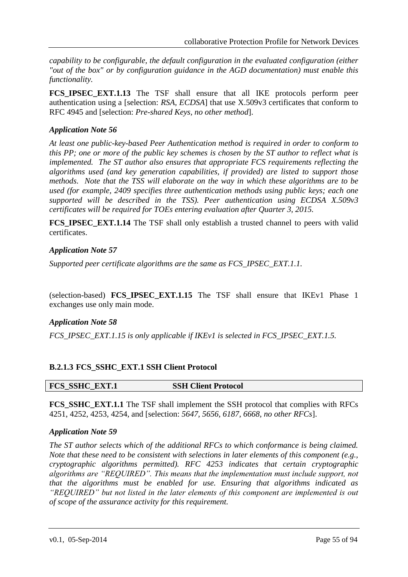*capability to be configurable, the default configuration in the evaluated configuration (either "out of the box" or by configuration guidance in the AGD documentation) must enable this functionality.*

**FCS\_IPSEC\_EXT.1.13** The TSF shall ensure that all IKE protocols perform peer authentication using a [selection: *RSA, ECDSA*] that use X.509v3 certificates that conform to RFC 4945 and [selection: *Pre-shared Keys, no other method*].

## *Application Note 56*

*At least one public-key-based Peer Authentication method is required in order to conform to this PP; one or more of the public key schemes is chosen by the ST author to reflect what is implemented. The ST author also ensures that appropriate FCS requirements reflecting the algorithms used (and key generation capabilities, if provided) are listed to support those methods. Note that the TSS will elaborate on the way in which these algorithms are to be used (for example, 2409 specifies three authentication methods using public keys; each one supported will be described in the TSS). Peer authentication using ECDSA X.509v3 certificates will be required for TOEs entering evaluation after Quarter 3, 2015.*

**FCS IPSEC EXT.1.14** The TSF shall only establish a trusted channel to peers with valid certificates.

## *Application Note 57*

*Supported peer certificate algorithms are the same as FCS\_IPSEC\_EXT.1.1.*

(selection-based) **FCS\_IPSEC\_EXT.1.15** The TSF shall ensure that IKEv1 Phase 1 exchanges use only main mode.

## *Application Note 58*

*FCS\_IPSEC\_EXT.1.15 is only applicable if IKEv1 is selected in FCS\_IPSEC\_EXT.1.5.*

## **B.2.1.3 FCS\_SSHC\_EXT.1 SSH Client Protocol**

## **FCS\_SSHC\_EXT.1 SSH Client Protocol**

**FCS\_SSHC\_EXT.1.1** The TSF shall implement the SSH protocol that complies with RFCs 4251, 4252, 4253, 4254, and [selection: *5647, 5656, 6187, 6668, no other RFCs*].

#### *Application Note 59*

*The ST author selects which of the additional RFCs to which conformance is being claimed. Note that these need to be consistent with selections in later elements of this component (e.g., cryptographic algorithms permitted). RFC 4253 indicates that certain cryptographic algorithms are "REQUIRED". This means that the implementation must include support, not that the algorithms must be enabled for use. Ensuring that algorithms indicated as "REQUIRED" but not listed in the later elements of this component are implemented is out of scope of the assurance activity for this requirement.*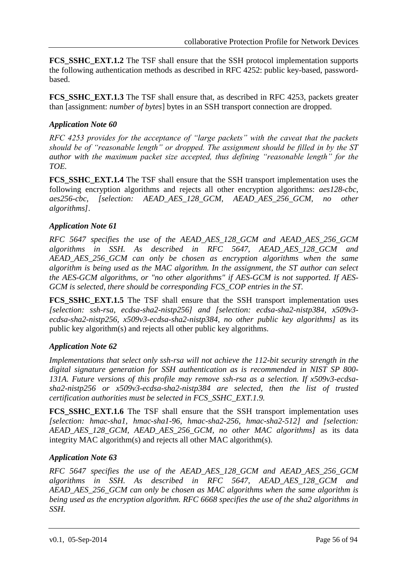**FCS SSHC EXT.1.2** The TSF shall ensure that the SSH protocol implementation supports the following authentication methods as described in RFC 4252: public key-based, passwordbased.

**FCS SSHC EXT.1.3** The TSF shall ensure that, as described in RFC 4253, packets greater than [assignment: *number of bytes*] bytes in an SSH transport connection are dropped.

## *Application Note 60*

*RFC 4253 provides for the acceptance of "large packets" with the caveat that the packets should be of "reasonable length" or dropped. The assignment should be filled in by the ST author with the maximum packet size accepted, thus defining "reasonable length" for the TOE.*

**FCS\_SSHC\_EXT.1.4** The TSF shall ensure that the SSH transport implementation uses the following encryption algorithms and rejects all other encryption algorithms: *aes128-cbc, aes256-cbc, [selection: AEAD\_AES\_128\_GCM, AEAD\_AES\_256\_GCM, no other algorithms]*.

## *Application Note 61*

*RFC 5647 specifies the use of the AEAD\_AES\_128\_GCM and AEAD\_AES\_256\_GCM algorithms in SSH. As described in RFC 5647, AEAD\_AES\_128\_GCM and AEAD\_AES\_256\_GCM can only be chosen as encryption algorithms when the same algorithm is being used as the MAC algorithm. In the assignment, the ST author can select the AES-GCM algorithms, or "no other algorithms" if AES-GCM is not supported. If AES-GCM is selected, there should be corresponding FCS\_COP entries in the ST.*

**FCS\_SSHC\_EXT.1.5** The TSF shall ensure that the SSH transport implementation uses *[selection: ssh-rsa, ecdsa-sha2-nistp256] and [selection: ecdsa-sha2-nistp384, x509v3 ecdsa-sha2-nistp256, x509v3-ecdsa-sha2-nistp384, no other public key algorithms]* as its public key algorithm(s) and rejects all other public key algorithms.

## *Application Note 62*

*Implementations that select only ssh-rsa will not achieve the 112-bit security strength in the digital signature generation for SSH authentication as is recommended in NIST SP 800- 131A. Future versions of this profile may remove ssh-rsa as a selection. If x509v3-ecdsasha2-nistp256 or x509v3-ecdsa-sha2-nistp384 are selected, then the list of trusted certification authorities must be selected in FCS\_SSHC\_EXT.1.9.*

**FCS SSHC EXT.1.6** The TSF shall ensure that the SSH transport implementation uses *[selection: hmac-sha1, hmac-sha1-96, hmac-sha2-256, hmac-sha2-512] and [selection: AEAD\_AES\_128\_GCM, AEAD\_AES\_256\_GCM, no other MAC algorithms]* as its data integrity MAC algorithm(s) and rejects all other MAC algorithm(s).

## *Application Note 63*

*RFC 5647 specifies the use of the AEAD\_AES\_128\_GCM and AEAD\_AES\_256\_GCM algorithms in SSH. As described in RFC 5647, AEAD\_AES\_128\_GCM and AEAD\_AES\_256\_GCM can only be chosen as MAC algorithms when the same algorithm is being used as the encryption algorithm. RFC 6668 specifies the use of the sha2 algorithms in SSH.*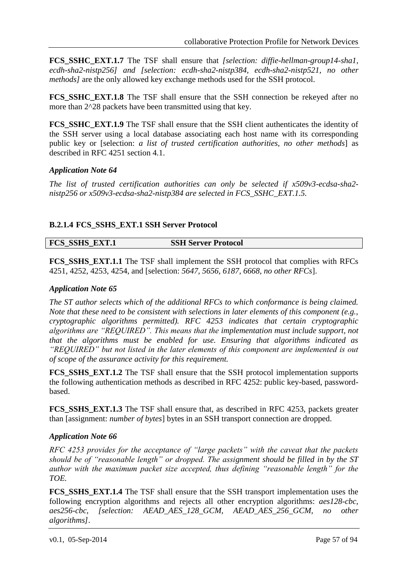**FCS SSHC EXT.1.7** The TSF shall ensure that *[selection: diffie-hellman-group14-sha1, ecdh-sha2-nistp256] and [selection: ecdh-sha2-nistp384, ecdh-sha2-nistp521, no other methods]* are the only allowed key exchange methods used for the SSH protocol.

**FCS SSHC EXT.1.8** The TSF shall ensure that the SSH connection be rekeyed after no more than 2^28 packets have been transmitted using that key.

**FCS\_SSHC\_EXT.1.9** The TSF shall ensure that the SSH client authenticates the identity of the SSH server using a local database associating each host name with its corresponding public key or [selection: *a list of trusted certification authorities, no other methods*] as described in RFC 4251 section 4.1.

## *Application Note 64*

*The list of trusted certification authorities can only be selected if x509v3-ecdsa-sha2 nistp256 or x509v3-ecdsa-sha2-nistp384 are selected in FCS\_SSHC\_EXT.1.5.*

## **B.2.1.4 FCS\_SSHS\_EXT.1 SSH Server Protocol**

**FCS\_SSHS\_EXT.1 SSH Server Protocol**

**FCS\_SSHS\_EXT.1.1** The TSF shall implement the SSH protocol that complies with RFCs 4251, 4252, 4253, 4254, and [selection: *5647, 5656, 6187, 6668, no other RFCs*].

## *Application Note 65*

*The ST author selects which of the additional RFCs to which conformance is being claimed. Note that these need to be consistent with selections in later elements of this component (e.g., cryptographic algorithms permitted). RFC 4253 indicates that certain cryptographic algorithms are "REQUIRED". This means that the implementation must include support, not that the algorithms must be enabled for use. Ensuring that algorithms indicated as "REQUIRED" but not listed in the later elements of this component are implemented is out of scope of the assurance activity for this requirement.*

**FCS SSHS EXT.1.2** The TSF shall ensure that the SSH protocol implementation supports the following authentication methods as described in RFC 4252: public key-based, passwordbased.

**FCS\_SSHS\_EXT.1.3** The TSF shall ensure that, as described in RFC 4253, packets greater than [assignment: *number of bytes*] bytes in an SSH transport connection are dropped.

#### *Application Note 66*

*RFC 4253 provides for the acceptance of "large packets" with the caveat that the packets should be of "reasonable length" or dropped. The assignment should be filled in by the ST author with the maximum packet size accepted, thus defining "reasonable length" for the TOE.* 

**FCS\_SSHS\_EXT.1.4** The TSF shall ensure that the SSH transport implementation uses the following encryption algorithms and rejects all other encryption algorithms: *aes128-cbc, aes256-cbc, [selection: AEAD\_AES\_128\_GCM, AEAD\_AES\_256\_GCM, no other algorithms]*.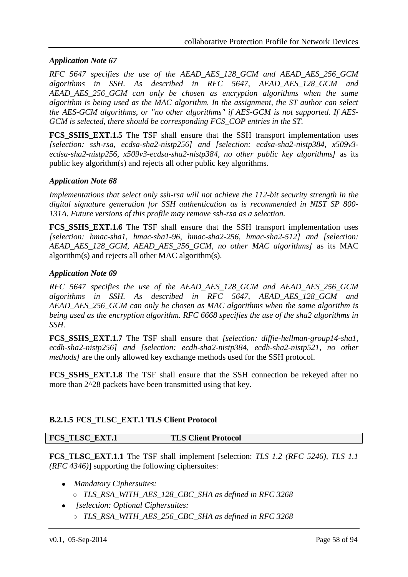## *Application Note 67*

*RFC 5647 specifies the use of the AEAD\_AES\_128\_GCM and AEAD\_AES\_256\_GCM algorithms in SSH. As described in RFC 5647, AEAD\_AES\_128\_GCM and AEAD\_AES\_256\_GCM can only be chosen as encryption algorithms when the same algorithm is being used as the MAC algorithm. In the assignment, the ST author can select the AES-GCM algorithms, or "no other algorithms" if AES-GCM is not supported. If AES-GCM is selected, there should be corresponding FCS\_COP entries in the ST.* 

**FCS\_SSHS\_EXT.1.5** The TSF shall ensure that the SSH transport implementation uses *[selection: ssh-rsa, ecdsa-sha2-nistp256] and [selection: ecdsa-sha2-nistp384, x509v3 ecdsa-sha2-nistp256, x509v3-ecdsa-sha2-nistp384, no other public key algorithms]* as its public key algorithm(s) and rejects all other public key algorithms.

## *Application Note 68*

*Implementations that select only ssh-rsa will not achieve the 112-bit security strength in the digital signature generation for SSH authentication as is recommended in NIST SP 800- 131A. Future versions of this profile may remove ssh-rsa as a selection.* 

**FCS\_SSHS\_EXT.1.6** The TSF shall ensure that the SSH transport implementation uses *[selection: hmac-sha1, hmac-sha1-96, hmac-sha2-256, hmac-sha2-512] and [selection: AEAD\_AES\_128\_GCM, AEAD\_AES\_256\_GCM, no other MAC algorithms]* as its MAC algorithm(s) and rejects all other MAC algorithm(s).

#### *Application Note 69*

*RFC 5647 specifies the use of the AEAD\_AES\_128\_GCM and AEAD\_AES\_256\_GCM algorithms in SSH. As described in RFC 5647, AEAD\_AES\_128\_GCM and AEAD\_AES\_256\_GCM can only be chosen as MAC algorithms when the same algorithm is being used as the encryption algorithm. RFC 6668 specifies the use of the sha2 algorithms in SSH.*

**FCS\_SSHS\_EXT.1.7** The TSF shall ensure that *[selection: diffie-hellman-group14-sha1, ecdh-sha2-nistp256] and [selection: ecdh-sha2-nistp384, ecdh-sha2-nistp521, no other methods]* are the only allowed key exchange methods used for the SSH protocol.

**FCS SSHS EXT.1.8** The TSF shall ensure that the SSH connection be rekeyed after no more than 2^28 packets have been transmitted using that key.

## **B.2.1.5 FCS\_TLSC\_EXT.1 TLS Client Protocol**

#### **FCS\_TLSC\_EXT.1 TLS Client Protocol**

**FCS\_TLSC\_EXT.1.1** The TSF shall implement [selection: *TLS 1.2 (RFC 5246), TLS 1.1 (RFC 4346)*] supporting the following ciphersuites:

- *Mandatory Ciphersuites:* ○ *TLS\_RSA\_WITH\_AES\_128\_CBC\_SHA as defined in RFC 3268*
- *[selection: Optional Ciphersuites:* ○ *TLS\_RSA\_WITH\_AES\_256\_CBC\_SHA as defined in RFC 3268*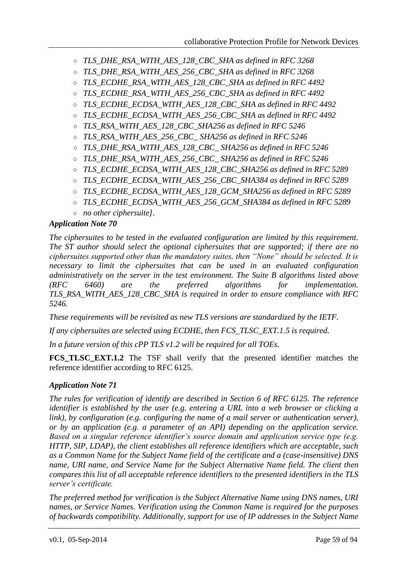- *TLS\_DHE\_RSA\_WITH\_AES\_128\_CBC\_SHA as defined in RFC 3268*
- *TLS\_DHE\_RSA\_WITH\_AES\_256\_CBC\_SHA as defined in RFC 3268*
- *TLS\_ECDHE\_RSA\_WITH\_AES\_128\_CBC\_SHA as defined in RFC 4492*
- *TLS\_ECDHE\_RSA\_WITH\_AES\_256\_CBC\_SHA as defined in RFC 4492*
- *TLS\_ECDHE\_ECDSA\_WITH\_AES\_128\_CBC\_SHA as defined in RFC 4492*
- *TLS\_ECDHE\_ECDSA\_WITH\_AES\_256\_CBC\_SHA as defined in RFC 4492*
- *TLS\_RSA\_WITH\_AES\_128\_CBC\_SHA256 as defined in RFC 5246*
- *TLS\_RSA\_WITH\_AES\_256\_CBC\_ SHA256 as defined in RFC 5246*
- *TLS\_DHE\_RSA\_WITH\_AES\_128\_CBC\_ SHA256 as defined in RFC 5246*
- *TLS\_DHE\_RSA\_WITH\_AES\_256\_CBC\_ SHA256 as defined in RFC 5246*
- *TLS\_ECDHE\_ECDSA\_WITH\_AES\_128\_CBC\_SHA256 as defined in RFC 5289*
- *TLS\_ECDHE\_ECDSA\_WITH\_AES\_256\_CBC\_SHA384 as defined in RFC 5289*
- *TLS\_ECDHE\_ECDSA\_WITH\_AES\_128\_GCM\_SHA256 as defined in RFC 5289*
- *TLS\_ECDHE\_ECDSA\_WITH\_AES\_256\_GCM\_SHA384 as defined in RFC 5289*
- *no other ciphersuite]*.

## *Application Note 70*

*The ciphersuites to be tested in the evaluated configuration are limited by this requirement. The ST author should select the optional ciphersuites that are supported; if there are no ciphersuites supported other than the mandatory suites, then "None" should be selected. It is necessary to limit the ciphersuites that can be used in an evaluated configuration administratively on the server in the test environment. The Suite B algorithms listed above (RFC 6460) are the preferred algorithms for implementation. TLS\_RSA\_WITH\_AES\_128\_CBC\_SHA is required in order to ensure compliance with RFC 5246.* 

*These requirements will be revisited as new TLS versions are standardized by the IETF.*

*If any ciphersuites are selected using ECDHE, then FCS\_TLSC\_EXT.1.5 is required.*

*In a future version of this cPP TLS v1.2 will be required for all TOEs.*

**FCS\_TLSC\_EXT.1.2** The TSF shall verify that the presented identifier matches the reference identifier according to RFC 6125.

## *Application Note 71*

*The rules for verification of identify are described in Section 6 of RFC 6125. The reference identifier is established by the user (e.g. entering a URL into a web browser or clicking a link), by configuration (e.g. configuring the name of a mail server or authentication server), or by an application (e.g. a parameter of an API) depending on the application service. Based on a singular reference identifier's source domain and application service type (e.g. HTTP, SIP, LDAP), the client establishes all reference identifiers which are acceptable, such as a Common Name for the Subject Name field of the certificate and a (case-insensitive) DNS name, URI name, and Service Name for the Subject Alternative Name field. The client then compares this list of all acceptable reference identifiers to the presented identifiers in the TLS server's certificate.* 

*The preferred method for verification is the Subject Alternative Name using DNS names, URI names, or Service Names. Verification using the Common Name is required for the purposes of backwards compatibility. Additionally, support for use of IP addresses in the Subject Name*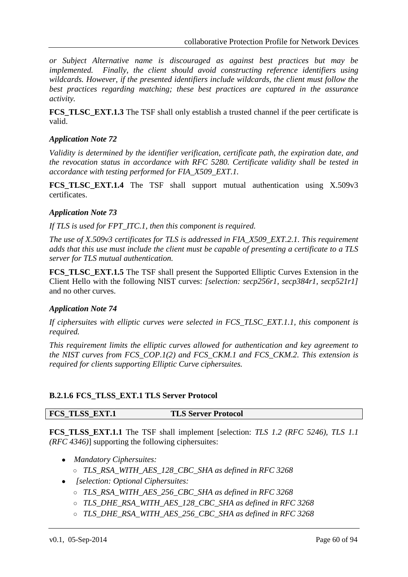*or Subject Alternative name is discouraged as against best practices but may be implemented. Finally, the client should avoid constructing reference identifiers using wildcards. However, if the presented identifiers include wildcards, the client must follow the best practices regarding matching; these best practices are captured in the assurance activity.*

**FCS** TLSC EXT.1.3 The TSF shall only establish a trusted channel if the peer certificate is valid.

## *Application Note 72*

*Validity is determined by the identifier verification, certificate path, the expiration date, and the revocation status in accordance with RFC 5280. Certificate validity shall be tested in accordance with testing performed for FIA\_X509\_EXT.1.*

**FCS\_TLSC\_EXT.1.4** The TSF shall support mutual authentication using X.509v3 certificates.

## *Application Note 73*

*If TLS is used for FPT\_ITC.1, then this component is required.*

*The use of X.509v3 certificates for TLS is addressed in FIA\_X509\_EXT.2.1. This requirement adds that this use must include the client must be capable of presenting a certificate to a TLS server for TLS mutual authentication.*

**FCS\_TLSC\_EXT.1.5** The TSF shall present the Supported Elliptic Curves Extension in the Client Hello with the following NIST curves: *[selection: secp256r1, secp384r1, secp521r1]* and no other curves.

## *Application Note 74*

*If ciphersuites with elliptic curves were selected in FCS\_TLSC\_EXT.1.1, this component is required.*

*This requirement limits the elliptic curves allowed for authentication and key agreement to the NIST curves from FCS\_COP.1(2) and FCS\_CKM.1 and FCS\_CKM.2. This extension is required for clients supporting Elliptic Curve ciphersuites.*

## **B.2.1.6 FCS\_TLSS\_EXT.1 TLS Server Protocol**

## **FCS\_TLSS\_EXT.1 TLS Server Protocol**

**FCS\_TLSS\_EXT.1.1** The TSF shall implement [selection: *TLS 1.2 (RFC 5246), TLS 1.1 (RFC 4346)*] supporting the following ciphersuites:

- *Mandatory Ciphersuites:*
	- *TLS\_RSA\_WITH\_AES\_128\_CBC\_SHA as defined in RFC 3268*
- *[selection: Optional Ciphersuites:*
	- *TLS\_RSA\_WITH\_AES\_256\_CBC\_SHA as defined in RFC 3268*
	- *TLS\_DHE\_RSA\_WITH\_AES\_128\_CBC\_SHA as defined in RFC 3268*
	- *TLS\_DHE\_RSA\_WITH\_AES\_256\_CBC\_SHA as defined in RFC 3268*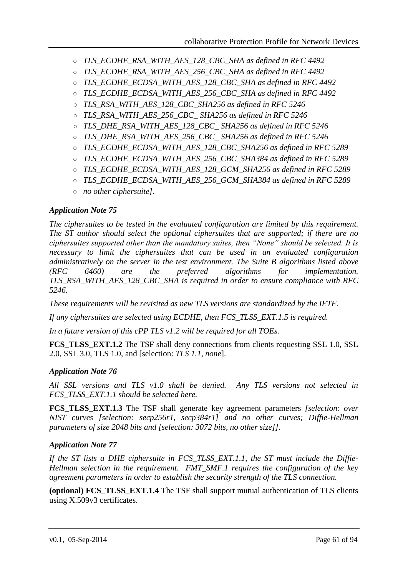- *TLS\_ECDHE\_RSA\_WITH\_AES\_128\_CBC\_SHA as defined in RFC 4492*
- *TLS\_ECDHE\_RSA\_WITH\_AES\_256\_CBC\_SHA as defined in RFC 4492*
- *TLS\_ECDHE\_ECDSA\_WITH\_AES\_128\_CBC\_SHA as defined in RFC 4492*
- *TLS\_ECDHE\_ECDSA\_WITH\_AES\_256\_CBC\_SHA as defined in RFC 4492*
- *TLS\_RSA\_WITH\_AES\_128\_CBC\_SHA256 as defined in RFC 5246*
- *TLS\_RSA\_WITH\_AES\_256\_CBC\_ SHA256 as defined in RFC 5246*
- *TLS\_DHE\_RSA\_WITH\_AES\_128\_CBC\_ SHA256 as defined in RFC 5246*
- *TLS\_DHE\_RSA\_WITH\_AES\_256\_CBC\_ SHA256 as defined in RFC 5246*
- *TLS\_ECDHE\_ECDSA\_WITH\_AES\_128\_CBC\_SHA256 as defined in RFC 5289*
- *TLS\_ECDHE\_ECDSA\_WITH\_AES\_256\_CBC\_SHA384 as defined in RFC 5289*
- *TLS\_ECDHE\_ECDSA\_WITH\_AES\_128\_GCM\_SHA256 as defined in RFC 5289*
- *TLS\_ECDHE\_ECDSA\_WITH\_AES\_256\_GCM\_SHA384 as defined in RFC 5289*
- *no other ciphersuite]*.

## *Application Note 75*

*The ciphersuites to be tested in the evaluated configuration are limited by this requirement. The ST author should select the optional ciphersuites that are supported; if there are no ciphersuites supported other than the mandatory suites, then "None" should be selected. It is necessary to limit the ciphersuites that can be used in an evaluated configuration administratively on the server in the test environment. The Suite B algorithms listed above (RFC 6460) are the preferred algorithms for implementation. TLS\_RSA\_WITH\_AES\_128\_CBC\_SHA is required in order to ensure compliance with RFC 5246.* 

*These requirements will be revisited as new TLS versions are standardized by the IETF.*

*If any ciphersuites are selected using ECDHE, then FCS\_TLSS\_EXT.1.5 is required.*

*In a future version of this cPP TLS v1.2 will be required for all TOEs.*

**FCS\_TLSS\_EXT.1.2** The TSF shall deny connections from clients requesting SSL 1.0, SSL 2.0, SSL 3.0, TLS 1.0, and [selection: *TLS 1.1, none*].

## *Application Note 76*

*All SSL versions and TLS v1.0 shall be denied. Any TLS versions not selected in FCS\_TLSS\_EXT.1.1 should be selected here.*

**FCS\_TLSS\_EXT.1.3** The TSF shall generate key agreement parameters *[selection: over NIST curves [selection: secp256r1, secp384r1] and no other curves; Diffie-Hellman parameters of size 2048 bits and [selection: 3072 bits, no other size]]*.

## *Application Note 77*

*If the ST lists a DHE ciphersuite in FCS\_TLSS\_EXT.1.1, the ST must include the Diffie-Hellman selection in the requirement. FMT\_SMF.1 requires the configuration of the key agreement parameters in order to establish the security strength of the TLS connection.*

**(optional) FCS\_TLSS\_EXT.1.4** The TSF shall support mutual authentication of TLS clients using X.509v3 certificates.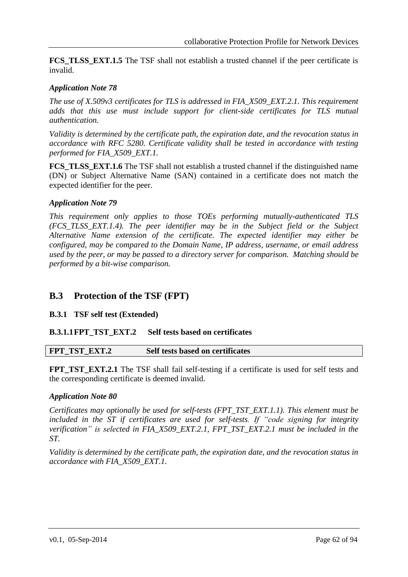**FCS TLSS EXT.1.5** The TSF shall not establish a trusted channel if the peer certificate is invalid.

## *Application Note 78*

*The use of X.509v3 certificates for TLS is addressed in FIA\_X509\_EXT.2.1. This requirement adds that this use must include support for client-side certificates for TLS mutual authentication.*

*Validity is determined by the certificate path, the expiration date, and the revocation status in accordance with RFC 5280. Certificate validity shall be tested in accordance with testing performed for FIA\_X509\_EXT.1.*

**FCS\_TLSS\_EXT.1.6** The TSF shall not establish a trusted channel if the distinguished name (DN) or Subject Alternative Name (SAN) contained in a certificate does not match the expected identifier for the peer.

#### *Application Note 79*

*This requirement only applies to those TOEs performing mutually-authenticated TLS (FCS\_TLSS\_EXT.1.4). The peer identifier may be in the Subject field or the Subject Alternative Name extension of the certificate. The expected identifier may either be configured, may be compared to the Domain Name, IP address, username, or email address used by the peer, or may be passed to a directory server for comparison. Matching should be performed by a bit-wise comparison.*

## **B.3 Protection of the TSF (FPT)**

## **B.3.1 TSF self test (Extended)**

## **B.3.1.1FPT\_TST\_EXT.2 Self tests based on certificates**

| FPT_TST_EXT.2<br>Self tests based on certificates |  |
|---------------------------------------------------|--|
|---------------------------------------------------|--|

**FPT\_TST\_EXT.2.1** The TSF shall fail self-testing if a certificate is used for self tests and the corresponding certificate is deemed invalid.

#### *Application Note 80*

*Certificates may optionally be used for self-tests (FPT\_TST\_EXT.1.1). This element must be included in the ST if certificates are used for self-tests. If "code signing for integrity verification" is selected in FIA\_X509\_EXT.2.1, FPT\_TST\_EXT.2.1 must be included in the ST.* 

*Validity is determined by the certificate path, the expiration date, and the revocation status in accordance with FIA\_X509\_EXT.1.*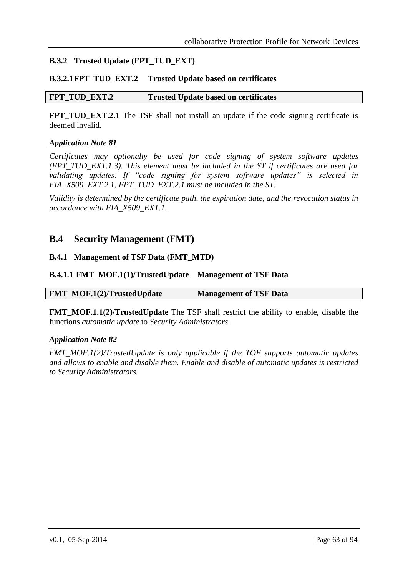## **B.3.2 Trusted Update (FPT\_TUD\_EXT)**

#### **B.3.2.1FPT\_TUD\_EXT.2 Trusted Update based on certificates**

## **FPT\_TUD\_EXT.2 Trusted Update based on certificates**

**FPT\_TUD\_EXT.2.1** The TSF shall not install an update if the code signing certificate is deemed invalid.

#### *Application Note 81*

*Certificates may optionally be used for code signing of system software updates (FPT\_TUD\_EXT.1.3). This element must be included in the ST if certificates are used for validating updates. If "code signing for system software updates" is selected in FIA\_X509\_EXT.2.1, FPT\_TUD\_EXT.2.1 must be included in the ST.*

*Validity is determined by the certificate path, the expiration date, and the revocation status in accordance with FIA\_X509\_EXT.1.*

## **B.4 Security Management (FMT)**

#### **B.4.1 Management of TSF Data (FMT\_MTD)**

#### **B.4.1.1 FMT\_MOF.1(1)/TrustedUpdate Management of TSF Data**

| FMT_MOF.1(2)/TrustedUpdate | <b>Management of TSF Data</b> |
|----------------------------|-------------------------------|
|----------------------------|-------------------------------|

**FMT\_MOF.1.1(2)/TrustedUpdate** The TSF shall restrict the ability to enable, disable the functions *automatic update* to *Security Administrators*.

#### *Application Note 82*

*FMT\_MOF.1(2)/TrustedUpdate is only applicable if the TOE supports automatic updates and allows to enable and disable them. Enable and disable of automatic updates is restricted to Security Administrators.*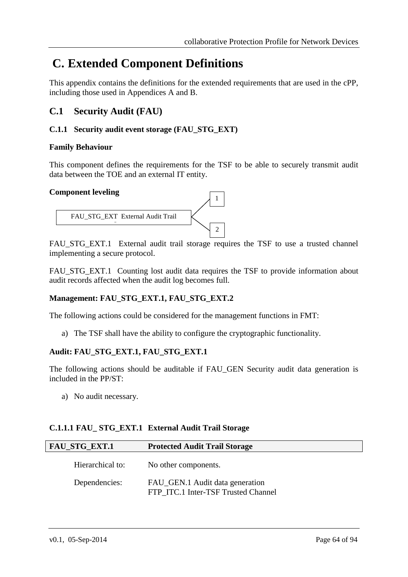# **C. Extended Component Definitions**

This appendix contains the definitions for the extended requirements that are used in the cPP, including those used in Appendices A and B.

# **C.1 Security Audit (FAU)**

## **C.1.1 Security audit event storage (FAU\_STG\_EXT)**

## **Family Behaviour**

This component defines the requirements for the TSF to be able to securely transmit audit data between the TOE and an external IT entity.

#### **Component leveling**



FAU STG EXT.1 External audit trail storage requires the TSF to use a trusted channel implementing a secure protocol.

FAU\_STG\_EXT.1 Counting lost audit data requires the TSF to provide information about audit records affected when the audit log becomes full.

## **Management: FAU\_STG\_EXT.1, FAU\_STG\_EXT.2**

The following actions could be considered for the management functions in FMT:

a) The TSF shall have the ability to configure the cryptographic functionality.

## **Audit: FAU\_STG\_EXT.1, FAU\_STG\_EXT.1**

The following actions should be auditable if FAU\_GEN Security audit data generation is included in the PP/ST:

a) No audit necessary.

## **C.1.1.1 FAU\_ STG\_EXT.1 External Audit Trail Storage**

| <b>FAU_STG_EXT.1</b> | <b>Protected Audit Trail Storage</b>                                   |
|----------------------|------------------------------------------------------------------------|
| Hierarchical to:     | No other components.                                                   |
| Dependencies:        | FAU_GEN.1 Audit data generation<br>FTP ITC.1 Inter-TSF Trusted Channel |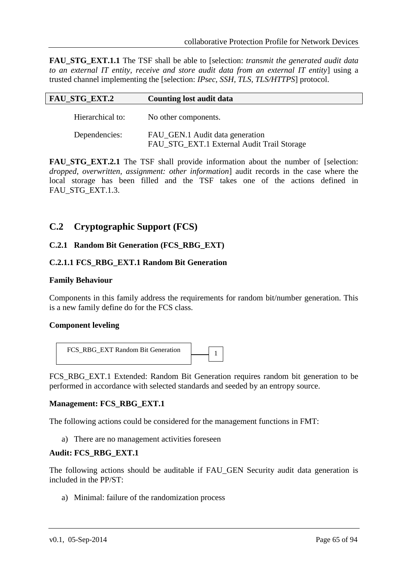**FAU\_STG\_EXT.1.1** The TSF shall be able to [selection: *transmit the generated audit data to an external IT entity, receive and store audit data from an external IT entity*] using a trusted channel implementing the [selection: *IPsec, SSH, TLS, TLS/HTTPS*] protocol.

| <b>FAU_STG_EXT.2</b> | <b>Counting lost audit data</b>                                               |
|----------------------|-------------------------------------------------------------------------------|
| Hierarchical to:     | No other components.                                                          |
| Dependencies:        | FAU_GEN.1 Audit data generation<br>FAU_STG_EXT.1 External Audit Trail Storage |

**FAU STG EXT.2.1** The TSF shall provide information about the number of [selection: *dropped, overwritten, assignment: other information*] audit records in the case where the local storage has been filled and the TSF takes one of the actions defined in FAU STG EXT.1.3.

## **C.2 Cryptographic Support (FCS)**

#### **C.2.1 Random Bit Generation (FCS\_RBG\_EXT)**

#### **C.2.1.1 FCS\_RBG\_EXT.1 Random Bit Generation**

#### **Family Behaviour**

Components in this family address the requirements for random bit/number generation. This is a new family define do for the FCS class.

#### **Component leveling**



FCS\_RBG\_EXT.1 Extended: Random Bit Generation requires random bit generation to be performed in accordance with selected standards and seeded by an entropy source.

#### **Management: FCS\_RBG\_EXT.1**

The following actions could be considered for the management functions in FMT:

a) There are no management activities foreseen

#### **Audit: FCS\_RBG\_EXT.1**

The following actions should be auditable if FAU\_GEN Security audit data generation is included in the PP/ST:

a) Minimal: failure of the randomization process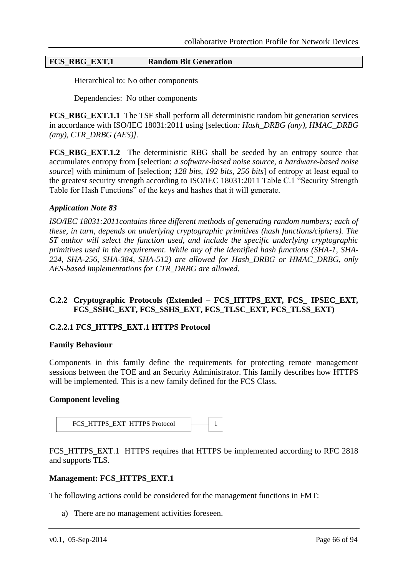#### **FCS\_RBG\_EXT.1 Random Bit Generation**

Hierarchical to: No other components

Dependencies: No other components

**FCS\_RBG\_EXT.1.1** The TSF shall perform all deterministic random bit generation services in accordance with ISO/IEC 18031:2011 using [selection*: Hash\_DRBG (any), HMAC\_DRBG (any), CTR\_DRBG (AES)]*.

**FCS\_RBG\_EXT.1.2** The deterministic RBG shall be seeded by an entropy source that accumulates entropy from [selection: *a software-based noise source, a hardware-based noise source*] with minimum of [selection; *128 bits, 192 bits, 256 bits*] of entropy at least equal to the greatest security strength according to ISO/IEC 18031:2011 Table C.1 "Security Strength Table for Hash Functions" of the keys and hashes that it will generate.

#### *Application Note 83*

*ISO/IEC 18031:2011contains three different methods of generating random numbers; each of these, in turn, depends on underlying cryptographic primitives (hash functions/ciphers). The ST author will select the function used, and include the specific underlying cryptographic primitives used in the requirement. While any of the identified hash functions (SHA-1, SHA-224, SHA-256, SHA-384, SHA-512) are allowed for Hash\_DRBG or HMAC\_DRBG, only AES-based implementations for CTR\_DRBG are allowed.*

#### **C.2.2 Cryptographic Protocols (Extended – FCS\_HTTPS\_EXT, FCS\_ IPSEC\_EXT***,*  **FCS\_SSHC\_EXT, FCS\_SSHS\_EXT, FCS\_TLSC\_EXT, FCS\_TLSS\_EXT)**

#### **C.2.2.1 FCS\_HTTPS\_EXT.1 HTTPS Protocol**

#### **Family Behaviour**

Components in this family define the requirements for protecting remote management sessions between the TOE and an Security Administrator. This family describes how HTTPS will be implemented. This is a new family defined for the FCS Class.

#### **Component leveling**



FCS\_HTTPS\_EXT.1 HTTPS requires that HTTPS be implemented according to RFC 2818 and supports TLS.

#### **Management: FCS\_HTTPS\_EXT.1**

The following actions could be considered for the management functions in FMT:

a) There are no management activities foreseen.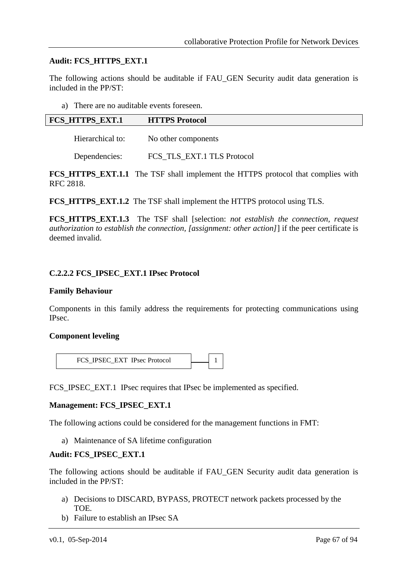#### **Audit: FCS\_HTTPS\_EXT.1**

The following actions should be auditable if FAU\_GEN Security audit data generation is included in the PP/ST:

a) There are no auditable events foreseen.

| <b>FCS HTTPS EXT.1</b> | <b>HTTPS Protocol</b> |
|------------------------|-----------------------|
| Hierarchical to:       | No other components   |

Dependencies: FCS\_TLS\_EXT.1 TLS Protocol

**FCS\_HTTPS\_EXT.1.1** The TSF shall implement the HTTPS protocol that complies with RFC 2818.

**FCS\_HTTPS\_EXT.1.2** The TSF shall implement the HTTPS protocol using TLS.

**FCS\_HTTPS\_EXT.1.3** The TSF shall [selection: *not establish the connection, request authorization to establish the connection, [assignment: other action]*] if the peer certificate is deemed invalid.

#### **C.2.2.2 FCS\_IPSEC\_EXT.1 IPsec Protocol**

#### **Family Behaviour**

Components in this family address the requirements for protecting communications using IPsec.

#### **Component leveling**

FCS\_IPSEC\_EXT IPsec Protocol 1

FCS\_IPSEC\_EXT.1 IPsec requires that IPsec be implemented as specified.

## **Management: FCS\_IPSEC\_EXT.1**

The following actions could be considered for the management functions in FMT:

a) Maintenance of SA lifetime configuration

## **Audit: FCS\_IPSEC\_EXT.1**

The following actions should be auditable if FAU\_GEN Security audit data generation is included in the PP/ST:

- a) Decisions to DISCARD, BYPASS, PROTECT network packets processed by the TOE.
- b) Failure to establish an IPsec SA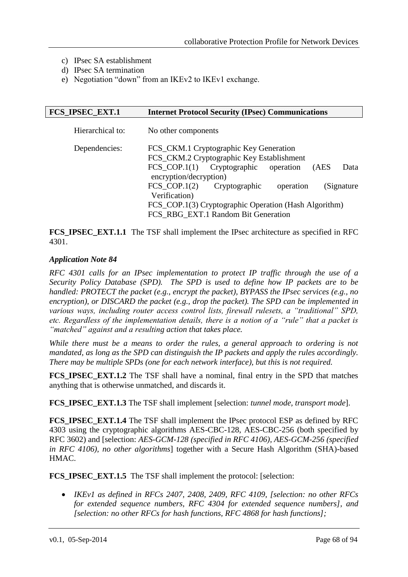- c) IPsec SA establishment
- d) IPsec SA termination
- e) Negotiation "down" from an IKEv2 to IKEv1 exchange.

| <b>FCS_IPSEC_EXT.1</b> | <b>Internet Protocol Security (IPsec) Communications</b>                                                                                                                                                                                                                                                                                                        |  |  |  |  |  |
|------------------------|-----------------------------------------------------------------------------------------------------------------------------------------------------------------------------------------------------------------------------------------------------------------------------------------------------------------------------------------------------------------|--|--|--|--|--|
| Hierarchical to:       | No other components                                                                                                                                                                                                                                                                                                                                             |  |  |  |  |  |
| Dependencies:          | FCS_CKM.1 Cryptographic Key Generation<br>FCS_CKM.2 Cryptographic Key Establishment<br>FCS COP.1 $(1)$<br>Cryptographic<br>operation<br>(AES)<br>Data<br>encryption/decryption)<br>FCS COP.1 $(2)$<br>Cryptographic<br>(Signature<br>operation<br>Verification)<br>FCS_COP.1(3) Cryptographic Operation (Hash Algorithm)<br>FCS RBG EXT.1 Random Bit Generation |  |  |  |  |  |
|                        |                                                                                                                                                                                                                                                                                                                                                                 |  |  |  |  |  |

**FCS\_IPSEC\_EXT.1.1** The TSF shall implement the IPsec architecture as specified in RFC 4301.

## *Application Note 84*

*RFC 4301 calls for an IPsec implementation to protect IP traffic through the use of a Security Policy Database (SPD). The SPD is used to define how IP packets are to be handled: PROTECT the packet (e.g., encrypt the packet), BYPASS the IPsec services (e.g., no encryption), or DISCARD the packet (e.g., drop the packet). The SPD can be implemented in various ways, including router access control lists, firewall rulesets, a "traditional" SPD, etc. Regardless of the implementation details, there is a notion of a "rule" that a packet is "matched" against and a resulting action that takes place.* 

*While there must be a means to order the rules, a general approach to ordering is not mandated, as long as the SPD can distinguish the IP packets and apply the rules accordingly. There may be multiple SPDs (one for each network interface), but this is not required.*

**FCS\_IPSEC\_EXT.1.2** The TSF shall have a nominal, final entry in the SPD that matches anything that is otherwise unmatched, and discards it.

**FCS\_IPSEC\_EXT.1.3** The TSF shall implement [selection: *tunnel mode, transport mode*].

**FCS\_IPSEC\_EXT.1.4** The TSF shall implement the IPsec protocol ESP as defined by RFC 4303 using the cryptographic algorithms AES-CBC-128, AES-CBC-256 (both specified by RFC 3602) and [selection: *AES-GCM-128 (specified in RFC 4106), AES-GCM-256 (specified in RFC 4106), no other algorithms*] together with a Secure Hash Algorithm (SHA)-based HMAC.

**FCS\_IPSEC\_EXT.1.5** The TSF shall implement the protocol: [selection:

 *IKEv1 as defined in RFCs 2407, 2408, 2409, RFC 4109, [selection: no other RFCs for extended sequence numbers, RFC 4304 for extended sequence numbers], and [selection: no other RFCs for hash functions, RFC 4868 for hash functions];*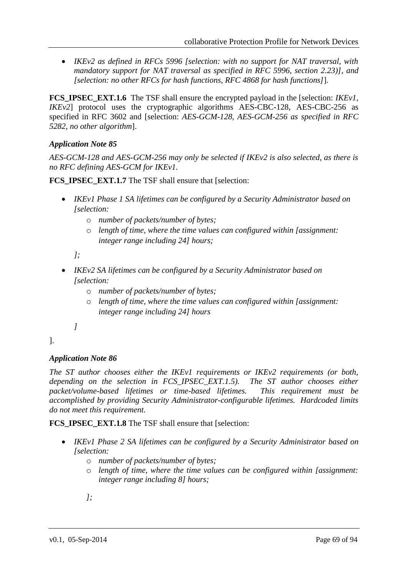*IKEv2 as defined in RFCs 5996 [selection: with no support for NAT traversal, with mandatory support for NAT traversal as specified in RFC 5996, section 2.23)], and [selection: no other RFCs for hash functions, RFC 4868 for hash functions]*].

**FCS IPSEC EXT.1.6** The TSF shall ensure the encrypted payload in the [selection: *IKEv1*, *IKEv2*] protocol uses the cryptographic algorithms AES-CBC-128, AES-CBC-256 as specified in RFC 3602 and [selection: *AES-GCM-128, AES-GCM-256 as specified in RFC 5282, no other algorithm*].

## *Application Note 85*

*AES-GCM-128 and AES-GCM-256 may only be selected if IKEv2 is also selected, as there is no RFC defining AES-GCM for IKEv1.* 

**FCS\_IPSEC\_EXT.1.7** The TSF shall ensure that [selection:

- *IKEv1 Phase 1 SA lifetimes can be configured by a Security Administrator based on [selection:* 
	- o *number of packets/number of bytes;*
	- o *length of time, where the time values can configured within [assignment: integer range including 24] hours;*

*];*

- *IKEv2 SA lifetimes can be configured by a Security Administrator based on [selection:* 
	- o *number of packets/number of bytes;*
	- o *length of time, where the time values can configured within [assignment: integer range including 24] hours*
	- *]*

## ].

## *Application Note 86*

*The ST author chooses either the IKEv1 requirements or IKEv2 requirements (or both, depending on the selection in FCS\_IPSEC\_EXT.1.5). The ST author chooses either packet/volume-based lifetimes or time-based lifetimes. This requirement must be accomplished by providing Security Administrator-configurable lifetimes. Hardcoded limits do not meet this requirement.* 

**FCS\_IPSEC\_EXT.1.8** The TSF shall ensure that [selection:

- *IKEv1 Phase 2 SA lifetimes can be configured by a Security Administrator based on [selection:*
	- o *number of packets/number of bytes;*
	- o *length of time, where the time values can be configured within [assignment: integer range including 8] hours;*
	- *];*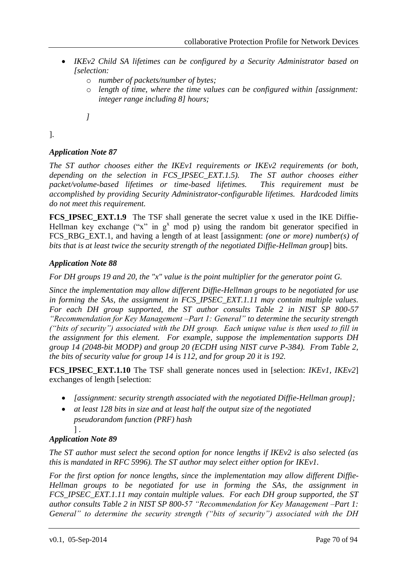- *IKEv2 Child SA lifetimes can be configured by a Security Administrator based on [selection:*
	- o *number of packets/number of bytes;*
	- o *length of time, where the time values can be configured within [assignment: integer range including 8] hours;*
	- *]*

].

## *Application Note 87*

*The ST author chooses either the IKEv1 requirements or IKEv2 requirements (or both, depending on the selection in FCS\_IPSEC\_EXT.1.5). The ST author chooses either packet/volume-based lifetimes or time-based lifetimes. This requirement must be accomplished by providing Security Administrator-configurable lifetimes. Hardcoded limits do not meet this requirement.* 

**FCS\_IPSEC\_EXT.1.9** The TSF shall generate the secret value x used in the IKE Diffie-Hellman key exchange ("x" in  $g<sup>x</sup>$  mod p) using the random bit generator specified in FCS RBG EXT.1, and having a length of at least [assignment: *(one or more) number(s) of bits that is at least twice the security strength of the negotiated Diffie-Hellman group*] bits.

## *Application Note 88*

*For DH groups 19 and 20, the "x" value is the point multiplier for the generator point G.* 

*Since the implementation may allow different Diffie-Hellman groups to be negotiated for use in forming the SAs, the assignment in FCS\_IPSEC\_EXT.1.11 may contain multiple values. For each DH group supported, the ST author consults Table 2 in NIST SP 800-57 "Recommendation for Key Management –Part 1: General" to determine the security strength ("bits of security") associated with the DH group. Each unique value is then used to fill in the assignment for this element. For example, suppose the implementation supports DH group 14 (2048-bit MODP) and group 20 (ECDH using NIST curve P-384). From Table 2, the bits of security value for group 14 is 112, and for group 20 it is 192.*

**FCS\_IPSEC\_EXT.1.10** The TSF shall generate nonces used in [selection: *IKEv1, IKEv2*] exchanges of length [selection:

- *[assignment: security strength associated with the negotiated Diffie-Hellman group];*
- *at least 128 bits in size and at least half the output size of the negotiated pseudorandom function (PRF) hash*

#### ] . *Application Note 89*

*The ST author must select the second option for nonce lengths if IKEv2 is also selected (as this is mandated in RFC 5996). The ST author may select either option for IKEv1.*

*For the first option for nonce lengths, since the implementation may allow different Diffie-Hellman groups to be negotiated for use in forming the SAs, the assignment in FCS\_IPSEC\_EXT.1.11 may contain multiple values. For each DH group supported, the ST author consults Table 2 in NIST SP 800-57 "Recommendation for Key Management –Part 1: General" to determine the security strength ("bits of security") associated with the DH*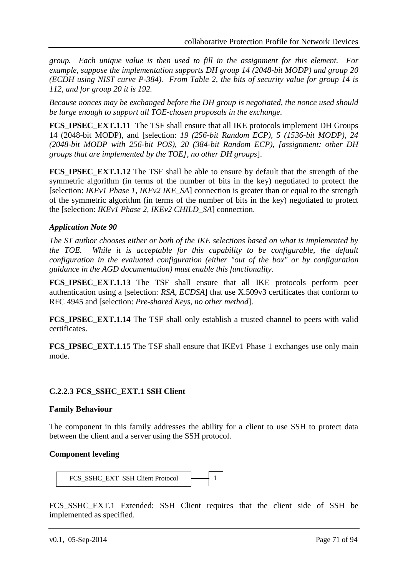*group. Each unique value is then used to fill in the assignment for this element. For example, suppose the implementation supports DH group 14 (2048-bit MODP) and group 20 (ECDH using NIST curve P-384). From Table 2, the bits of security value for group 14 is 112, and for group 20 it is 192.* 

*Because nonces may be exchanged before the DH group is negotiated, the nonce used should be large enough to support all TOE-chosen proposals in the exchange.*

**FCS IPSEC EXT.1.11** The TSF shall ensure that all IKE protocols implement DH Groups 14 (2048-bit MODP), and [selection: *19 (256-bit Random ECP), 5 (1536-bit MODP), 24 (2048-bit MODP with 256-bit POS), 20 (384-bit Random ECP), [assignment: other DH groups that are implemented by the TOE], no other DH groups*].

**FCS\_IPSEC\_EXT.1.12** The TSF shall be able to ensure by default that the strength of the symmetric algorithm (in terms of the number of bits in the key) negotiated to protect the [selection: *IKEv1 Phase 1, IKEv2 IKE\_SA*] connection is greater than or equal to the strength of the symmetric algorithm (in terms of the number of bits in the key) negotiated to protect the [selection: *IKEv1 Phase 2, IKEv2 CHILD\_SA*] connection.

## *Application Note 90*

*The ST author chooses either or both of the IKE selections based on what is implemented by the TOE. While it is acceptable for this capability to be configurable, the default configuration in the evaluated configuration (either "out of the box" or by configuration guidance in the AGD documentation) must enable this functionality.*

**FCS\_IPSEC\_EXT.1.13** The TSF shall ensure that all IKE protocols perform peer authentication using a [selection: *RSA, ECDSA*] that use X.509v3 certificates that conform to RFC 4945 and [selection: *Pre-shared Keys, no other method*].

**FCS IPSEC EXT.1.14** The TSF shall only establish a trusted channel to peers with valid certificates.

**FCS\_IPSEC\_EXT.1.15** The TSF shall ensure that IKEv1 Phase 1 exchanges use only main mode.

## **C.2.2.3 FCS\_SSHC\_EXT.1 SSH Client**

## **Family Behaviour**

The component in this family addresses the ability for a client to use SSH to protect data between the client and a server using the SSH protocol.

## **Component leveling**

FCS\_SSHC\_EXT SSH Client Protocol 1 F

FCS\_SSHC\_EXT.1 Extended: SSH Client requires that the client side of SSH be implemented as specified.  $\overline{a}$ 

5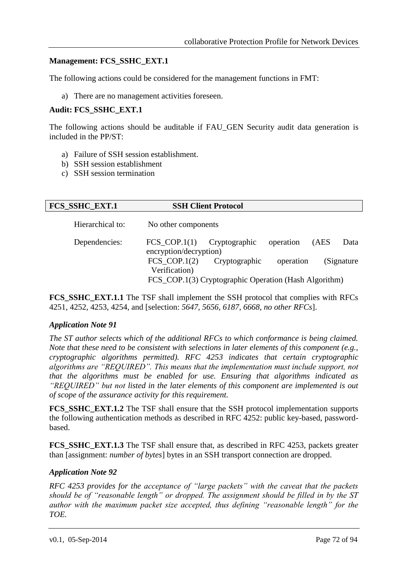## **Management: FCS\_SSHC\_EXT.1**

The following actions could be considered for the management functions in FMT:

a) There are no management activities foreseen.

## **Audit: FCS\_SSHC\_EXT.1**

The following actions should be auditable if FAU\_GEN Security audit data generation is included in the PP/ST:

- a) Failure of SSH session establishment.
- b) SSH session establishment
- c) SSH session termination

| <b>FCS_SSHC_EXT.1</b> |                                                       | <b>SSH Client Protocol</b> |           |      |             |
|-----------------------|-------------------------------------------------------|----------------------------|-----------|------|-------------|
| Hierarchical to:      | No other components                                   |                            |           |      |             |
| Dependencies:         | $FCS_COP.1(1)$<br>encryption/decryption)              | Cryptographic              | operation | (AES | Data        |
|                       | $FCS_COP.1(2)$<br>Verification)                       | Cryptographic              | operation |      | (Signature) |
|                       | FCS_COP.1(3) Cryptographic Operation (Hash Algorithm) |                            |           |      |             |

**FCS SSHC EXT.1.1** The TSF shall implement the SSH protocol that complies with RFCs 4251, 4252, 4253, 4254, and [selection: *5647, 5656, 6187, 6668, no other RFCs*].

## *Application Note 91*

*The ST author selects which of the additional RFCs to which conformance is being claimed. Note that these need to be consistent with selections in later elements of this component (e.g., cryptographic algorithms permitted). RFC 4253 indicates that certain cryptographic algorithms are "REQUIRED". This means that the implementation must include support, not that the algorithms must be enabled for use. Ensuring that algorithms indicated as "REQUIRED" but not listed in the later elements of this component are implemented is out of scope of the assurance activity for this requirement.*

**FCS\_SSHC\_EXT.1.2** The TSF shall ensure that the SSH protocol implementation supports the following authentication methods as described in RFC 4252: public key-based, passwordbased.

**FCS\_SSHC\_EXT.1.3** The TSF shall ensure that, as described in RFC 4253, packets greater than [assignment: *number of bytes*] bytes in an SSH transport connection are dropped.

## *Application Note 92*

*RFC 4253 provides for the acceptance of "large packets" with the caveat that the packets should be of "reasonable length" or dropped. The assignment should be filled in by the ST author with the maximum packet size accepted, thus defining "reasonable length" for the TOE.*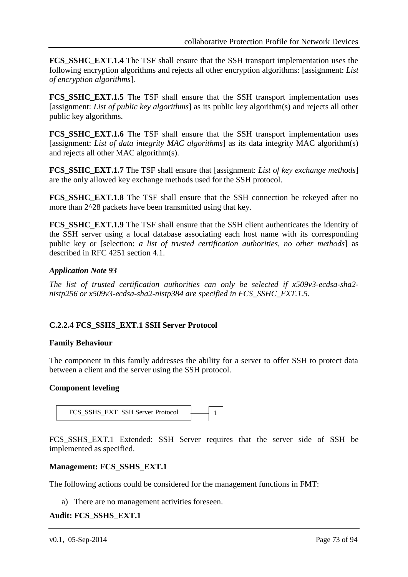**FCS SSHC EXT.1.4** The TSF shall ensure that the SSH transport implementation uses the following encryption algorithms and rejects all other encryption algorithms: [assignment: *List of encryption algorithms*].

**FCS SSHC EXT.1.5** The TSF shall ensure that the SSH transport implementation uses [assignment: *List of public key algorithms*] as its public key algorithm(s) and rejects all other public key algorithms.

**FCS SSHC EXT.1.6** The TSF shall ensure that the SSH transport implementation uses [assignment: *List of data integrity MAC algorithms*] as its data integrity MAC algorithm(s) and rejects all other MAC algorithm(s).

**FCS** SSHC EXT.1.7 The TSF shall ensure that [assignment: *List of key exchange methods*] are the only allowed key exchange methods used for the SSH protocol.

**FCS SSHC EXT.1.8** The TSF shall ensure that the SSH connection be rekeyed after no more than 2^28 packets have been transmitted using that key.

**FCS SSHC EXT.1.9** The TSF shall ensure that the SSH client authenticates the identity of the SSH server using a local database associating each host name with its corresponding public key or [selection: *a list of trusted certification authorities, no other methods*] as described in RFC 4251 section 4.1.

### *Application Note 93*

*The list of trusted certification authorities can only be selected if x509v3-ecdsa-sha2 nistp256 or x509v3-ecdsa-sha2-nistp384 are specified in FCS\_SSHC\_EXT.1.5.*

### **C.2.2.4 FCS\_SSHS\_EXT.1 SSH Server Protocol**

#### **Family Behaviour**

The component in this family addresses the ability for a server to offer SSH to protect data between a client and the server using the SSH protocol.

#### **Component leveling**

FCS\_SSHS\_EXT SSH Server Protocol 1 F

FCS\_SSHS\_EXT.1 Extended: SSH Server requires that the server side of SSH be implemented as specified.

.

#### **Management: FCS\_SSHS\_EXT.1**

The following actions could be considered for the management functions in FMT:

a) There are no management activities foreseen.

#### **Audit: FCS\_SSHS\_EXT.1**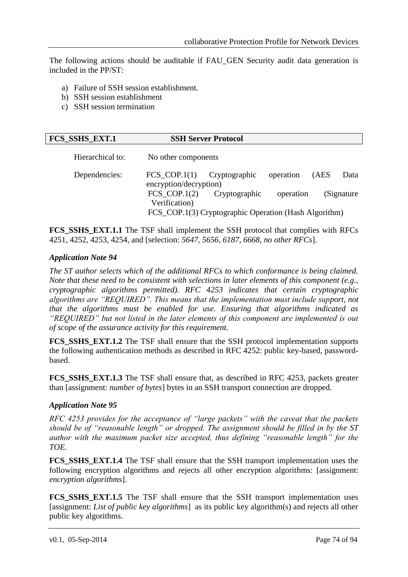The following actions should be auditable if FAU\_GEN Security audit data generation is included in the PP/ST:

- a) Failure of SSH session establishment.
- b) SSH session establishment
- c) SSH session termination

| <b>FCS SSHS EXT.1</b> | <b>SSH Server Protocol</b> |
|-----------------------|----------------------------|
|-----------------------|----------------------------|

| Hierarchical to: | No other components                                                       |                                                       |                        |      |                     |
|------------------|---------------------------------------------------------------------------|-------------------------------------------------------|------------------------|------|---------------------|
| Dependencies:    | $FCS\_COP.1(1)$ Cryptographic<br>encryption/decryption)<br>$FCS_COP.1(2)$ | Cryptographic                                         | operation<br>operation | (AES | Data<br>(Signature) |
|                  | Verification)                                                             | FCS_COP.1(3) Cryptographic Operation (Hash Algorithm) |                        |      |                     |

**FCS SSHS EXT.1.1** The TSF shall implement the SSH protocol that complies with RFCs 4251, 4252, 4253, 4254, and [selection: *5647, 5656, 6187, 6668, no other RFCs*].

#### *Application Note 94*

*The ST author selects which of the additional RFCs to which conformance is being claimed. Note that these need to be consistent with selections in later elements of this component (e.g., cryptographic algorithms permitted). RFC 4253 indicates that certain cryptographic algorithms are "REQUIRED". This means that the implementation must include support, not that the algorithms must be enabled for use. Ensuring that algorithms indicated as "REQUIRED" but not listed in the later elements of this component are implemented is out of scope of the assurance activity for this requirement.*

**FCS\_SSHS\_EXT.1.2** The TSF shall ensure that the SSH protocol implementation supports the following authentication methods as described in RFC 4252: public key-based, passwordbased.

**FCS\_SSHS\_EXT.1.3** The TSF shall ensure that, as described in RFC 4253, packets greater than [assignment: *number of bytes*] bytes in an SSH transport connection are dropped.

#### *Application Note 95*

*RFC 4253 provides for the acceptance of "large packets" with the caveat that the packets should be of "reasonable length" or dropped. The assignment should be filled in by the ST author with the maximum packet size accepted, thus defining "reasonable length" for the TOE.* 

**FCS\_SSHS\_EXT.1.4** The TSF shall ensure that the SSH transport implementation uses the following encryption algorithms and rejects all other encryption algorithms: [assignment: *encryption algorithms*].

**FCS\_SSHS\_EXT.1.5** The TSF shall ensure that the SSH transport implementation uses [assignment: *List of public key algorithms*] as its public key algorithm(s) and rejects all other public key algorithms.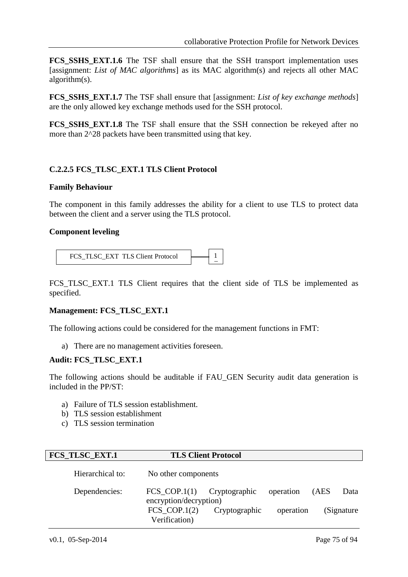**FCS SSHS EXT.1.6** The TSF shall ensure that the SSH transport implementation uses [assignment: *List of MAC algorithms*] as its MAC algorithm(s) and rejects all other MAC algorithm(s).

**FCS** SSHS EXT.1.7 The TSF shall ensure that [assignment: *List of key exchange methods*] are the only allowed key exchange methods used for the SSH protocol.

**FCS SSHS EXT.1.8** The TSF shall ensure that the SSH connection be rekeyed after no more than 2^28 packets have been transmitted using that key.

#### **C.2.2.5 FCS\_TLSC\_EXT.1 TLS Client Protocol**

#### **Family Behaviour**

The component in this family addresses the ability for a client to use TLS to protect data between the client and a server using the TLS protocol.

#### **Component leveling**

FCS\_TLSC\_EXT\_TLS Client Protocol 1 F

FCS\_TLSC\_EXT.1 TLS Client requires that the client side of TLS be implemented as specified.

#### **Management: FCS\_TLSC\_EXT.1**

The following actions could be considered for the management functions in FMT:  $\overline{\phantom{a}}$ 

a) There are no management activities foreseen.  $\overline{a}$ 

#### **Audit: FCS\_TLSC\_EXT.1**

The following actions should be auditable if FAU\_GEN Security audit data generation is included in the PP/ST:

- a) Failure of TLS session establishment.
- b) TLS session establishment
- c) TLS session termination

| FCS_TLSC_EXT.1   |                                                      | <b>TLS Client Protocol</b> |           |      |             |
|------------------|------------------------------------------------------|----------------------------|-----------|------|-------------|
| Hierarchical to: | No other components                                  |                            |           |      |             |
| Dependencies:    | $FCS$ <sub>_COP.1(1)</sub><br>encryption/decryption) | Cryptographic              | operation | (AES | Data        |
|                  | FCS COP.1 $(2)$<br>Verification)                     | Cryptographic              | operation |      | (Signature) |

c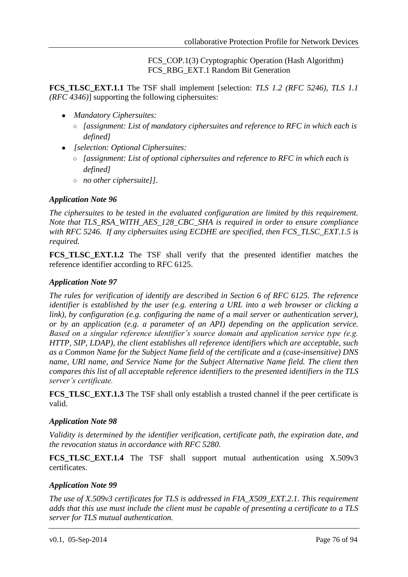FCS COP.1(3) Cryptographic Operation (Hash Algorithm) FCS\_RBG\_EXT.1 Random Bit Generation

**FCS\_TLSC\_EXT.1.1** The TSF shall implement [selection: *TLS 1.2 (RFC 5246), TLS 1.1 (RFC 4346)*] supporting the following ciphersuites:

- *Mandatory Ciphersuites:*
	- *[assignment: List of mandatory ciphersuites and reference to RFC in which each is defined]*
- *[selection: Optional Ciphersuites:*
	- *[assignment: List of optional ciphersuites and reference to RFC in which each is defined]*
	- *no other ciphersuite]].*

### *Application Note 96*

*The ciphersuites to be tested in the evaluated configuration are limited by this requirement. Note that TLS\_RSA\_WITH\_AES\_128\_CBC\_SHA is required in order to ensure compliance with RFC 5246. If any ciphersuites using ECDHE are specified, then FCS\_TLSC\_EXT.1.5 is required.*

**FCS\_TLSC\_EXT.1.2** The TSF shall verify that the presented identifier matches the reference identifier according to RFC 6125.

#### *Application Note 97*

*The rules for verification of identify are described in Section 6 of RFC 6125. The reference identifier is established by the user (e.g. entering a URL into a web browser or clicking a link), by configuration (e.g. configuring the name of a mail server or authentication server), or by an application (e.g. a parameter of an API) depending on the application service. Based on a singular reference identifier's source domain and application service type (e.g. HTTP, SIP, LDAP), the client establishes all reference identifiers which are acceptable, such as a Common Name for the Subject Name field of the certificate and a (case-insensitive) DNS name, URI name, and Service Name for the Subject Alternative Name field. The client then compares this list of all acceptable reference identifiers to the presented identifiers in the TLS server's certificate.* 

**FCS\_TLSC\_EXT.1.3** The TSF shall only establish a trusted channel if the peer certificate is valid.

#### *Application Note 98*

*Validity is determined by the identifier verification, certificate path, the expiration date, and the revocation status in accordance with RFC 5280.*

**FCS\_TLSC\_EXT.1.4** The TSF shall support mutual authentication using X.509v3 certificates.

### *Application Note 99*

*The use of X.509v3 certificates for TLS is addressed in FIA\_X509\_EXT.2.1. This requirement adds that this use must include the client must be capable of presenting a certificate to a TLS server for TLS mutual authentication.*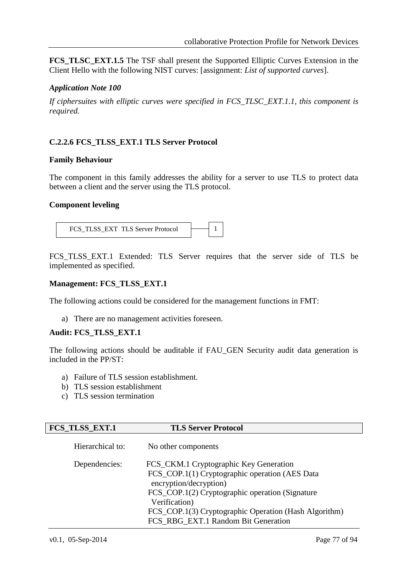**FCS TLSC EXT.1.5** The TSF shall present the Supported Elliptic Curves Extension in the Client Hello with the following NIST curves: [assignment: *List of supported curves*].

#### *Application Note 100*

*If ciphersuites with elliptic curves were specified in FCS\_TLSC\_EXT.1.1, this component is required.*

## **C.2.2.6 FCS\_TLSS\_EXT.1 TLS Server Protocol**

#### **Family Behaviour**

The component in this family addresses the ability for a server to use TLS to protect data between a client and the server using the TLS protocol.

#### **Component leveling**



FCS\_TLSS\_EXT.1 Extended: TLS Server requires that the server side of TLS be implemented as specified.  $\overline{a}$ 

#### **Management: FCS\_TLSS\_EXT.1**

The following actions could be considered for the management functions in FMT:  $\ddot{\phantom{0}}$ 

a) There are no management activities foreseen.  $\overline{a}$ 

#### **Audit: FCS\_TLSS\_EXT.1**

The following actions should be auditable if FAU\_GEN Security audit data generation is included in the PP/ST:

- a) Failure of TLS session establishment.
- b) TLS session establishment
- c) TLS session termination

| FCS_TLSS_EXT.1   | <b>TLS Server Protocol</b>                                                                                                                                                                                                                                                             |
|------------------|----------------------------------------------------------------------------------------------------------------------------------------------------------------------------------------------------------------------------------------------------------------------------------------|
| Hierarchical to: | No other components                                                                                                                                                                                                                                                                    |
| Dependencies:    | FCS_CKM.1 Cryptographic Key Generation<br>FCS_COP.1(1) Cryptographic operation (AES Data<br>encryption/decryption)<br>FCS_COP.1(2) Cryptographic operation (Signature<br>Verification)<br>FCS_COP.1(3) Cryptographic Operation (Hash Algorithm)<br>FCS_RBG_EXT.1 Random Bit Generation |

a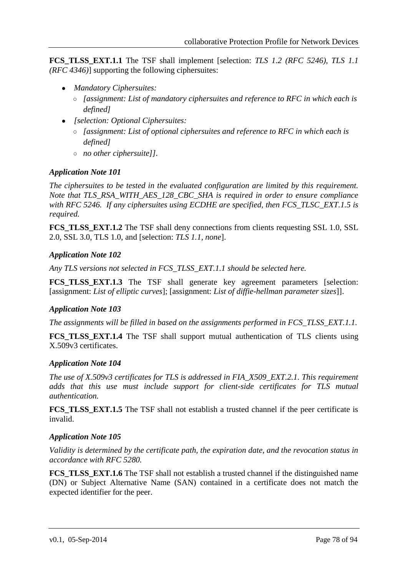**FCS TLSS EXT.1.1** The TSF shall implement [selection: *TLS 1.2 (RFC 5246), TLS 1.1 (RFC 4346)*] supporting the following ciphersuites:

- *Mandatory Ciphersuites:*
	- *[assignment: List of mandatory ciphersuites and reference to RFC in which each is defined]*
- *[selection: Optional Ciphersuites:*
	- *[assignment: List of optional ciphersuites and reference to RFC in which each is defined]*
	- *no other ciphersuite]].*

#### *Application Note 101*

*The ciphersuites to be tested in the evaluated configuration are limited by this requirement. Note that TLS\_RSA\_WITH\_AES\_128\_CBC\_SHA is required in order to ensure compliance with RFC 5246. If any ciphersuites using ECDHE are specified, then FCS\_TLSC\_EXT.1.5 is required.*

**FCS\_TLSS\_EXT.1.2** The TSF shall deny connections from clients requesting SSL 1.0, SSL 2.0, SSL 3.0, TLS 1.0, and [selection: *TLS 1.1, none*].

#### *Application Note 102*

*Any TLS versions not selected in FCS\_TLSS\_EXT.1.1 should be selected here.*

**FCS TLSS EXT.1.3** The TSF shall generate key agreement parameters [selection: [assignment: *List of elliptic curves*]; [assignment: *List of diffie-hellman parameter sizes*]].

### *Application Note 103*

*The assignments will be filled in based on the assignments performed in FCS\_TLSS\_EXT.1.1.*

**FCS TLSS EXT.1.4** The TSF shall support mutual authentication of TLS clients using X.509v3 certificates.

#### *Application Note 104*

*The use of X.509v3 certificates for TLS is addressed in FIA\_X509\_EXT.2.1. This requirement adds that this use must include support for client-side certificates for TLS mutual authentication.*

**FCS TLSS EXT.1.5** The TSF shall not establish a trusted channel if the peer certificate is invalid.

### *Application Note 105*

*Validity is determined by the certificate path, the expiration date, and the revocation status in accordance with RFC 5280.*

**FCS\_TLSS\_EXT.1.6** The TSF shall not establish a trusted channel if the distinguished name (DN) or Subject Alternative Name (SAN) contained in a certificate does not match the expected identifier for the peer.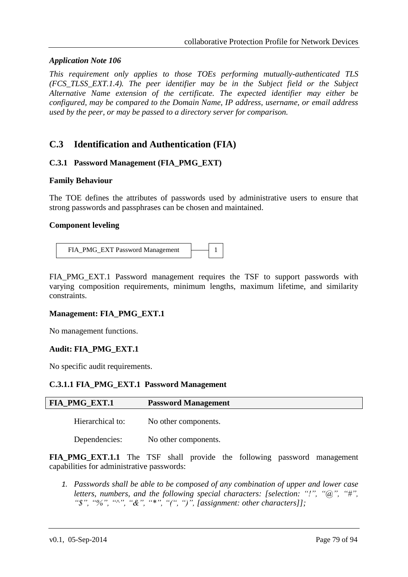#### *Application Note 106*

*This requirement only applies to those TOEs performing mutually-authenticated TLS (FCS\_TLSS\_EXT.1.4). The peer identifier may be in the Subject field or the Subject Alternative Name extension of the certificate. The expected identifier may either be configured, may be compared to the Domain Name, IP address, username, or email address used by the peer, or may be passed to a directory server for comparison.* 

# **C.3 Identification and Authentication (FIA)**

#### **C.3.1 Password Management (FIA\_PMG\_EXT)**

#### **Family Behaviour**

The TOE defines the attributes of passwords used by administrative users to ensure that strong passwords and passphrases can be chosen and maintained.

#### **Component leveling**

| FIA_PMG_EXT Password Management |  |  |  |
|---------------------------------|--|--|--|
|---------------------------------|--|--|--|

FIA\_PMG\_EXT.1 Password management requires the TSF to support passwords with varying composition requirements, minimum lengths, maximum lifetime, and similarity constraints.

#### **Management: FIA\_PMG\_EXT.1**

No management functions.

#### **Audit: FIA\_PMG\_EXT.1**

No specific audit requirements.

#### **C.3.1.1 FIA\_PMG\_EXT.1 Password Management**

| <b>FIA_PMG_EXT.1</b> | <b>Password Management</b> |
|----------------------|----------------------------|
| Hierarchical to:     | No other components.       |
| Dependencies:        | No other components.       |

**FIA\_PMG\_EXT.1.1** The TSF shall provide the following password management capabilities for administrative passwords:

*1. Passwords shall be able to be composed of any combination of upper and lower case letters, numbers, and the following special characters: [selection: "!", "@", "#", "\$", "%", "^", "&", "\*", "(", ")", [assignment: other characters]];*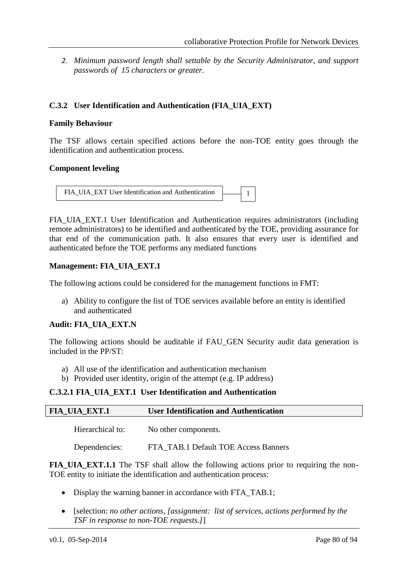*2. Minimum password length shall settable by the Security Administrator, and support passwords of 15 characters or greater.*

## **C.3.2 User Identification and Authentication (FIA\_UIA\_EXT)**

#### **Family Behaviour**

The TSF allows certain specified actions before the non-TOE entity goes through the identification and authentication process.

#### **Component leveling**

```
FIA UIA EXT User Identification and Authentication \boxed{\phantom{a}} 1
```
FIA\_UIA\_EXT.1 User Identification and Authentication requires administrators (including remote administrators) to be identified and authenticated by the TOE, providing assurance for that end of the communication path. It also ensures that every user is identified and authenticated before the TOE performs any mediated functions

#### **Management: FIA\_UIA\_EXT.1**

The following actions could be considered for the management functions in FMT:

a) Ability to configure the list of TOE services available before an entity is identified and authenticated

### **Audit: FIA\_UIA\_EXT.N**

The following actions should be auditable if FAU\_GEN Security audit data generation is included in the PP/ST:

- a) All use of the identification and authentication mechanism
- b) Provided user identity, origin of the attempt (e.g. IP address)

#### **C.3.2.1 FIA\_UIA\_EXT.1 User Identification and Authentication**

| <b>User Identification and Authentication</b><br><b>FIA UIA EXT.1</b> |                                      |
|-----------------------------------------------------------------------|--------------------------------------|
| Hierarchical to:                                                      | No other components.                 |
| Dependencies:                                                         | FTA_TAB.1 Default TOE Access Banners |

**FIA\_UIA\_EXT.1.1** The TSF shall allow the following actions prior to requiring the non-TOE entity to initiate the identification and authentication process:

- Display the warning banner in accordance with FTA TAB.1;
- [selection: *no other actions, [assignment: list of services, actions performed by the TSF in response to non-TOE requests.]*]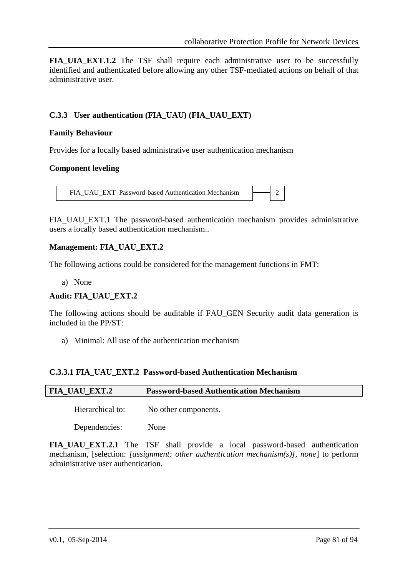**FIA UIA EXT.1.2** The TSF shall require each administrative user to be successfully identified and authenticated before allowing any other TSF-mediated actions on behalf of that administrative user.

## **C.3.3 User authentication (FIA\_UAU) (FIA\_UAU\_EXT)**

#### **Family Behaviour**

Provides for a locally based administrative user authentication mechanism

#### **Component leveling**

FIA\_UAU\_EXT\_Password-based Authentication Mechanism  $\rightarrow$  2

FIA\_UAU\_EXT.1 The password-based authentication mechanism provides administrative users a locally based authentication mechanism..

#### **Management: FIA\_UAU\_EXT.2**

The following actions could be considered for the management functions in FMT:

a) None

#### **Audit: FIA\_UAU\_EXT.2**

The following actions should be auditable if FAU\_GEN Security audit data generation is included in the PP/ST:

a) Minimal: All use of the authentication mechanism

### **C.3.3.1 FIA\_UAU\_EXT.2 Password-based Authentication Mechanism**

| <b>FIA_UAU_EXT.2</b> | <b>Password-based Authentication Mechanism</b> |
|----------------------|------------------------------------------------|
| Hierarchical to:     | No other components.                           |
| Dependencies:        | None                                           |

**FIA\_UAU\_EXT.2.1** The TSF shall provide a local password-based authentication mechanism, [selection: *[assignment: other authentication mechanism(s)], none*] to perform administrative user authentication.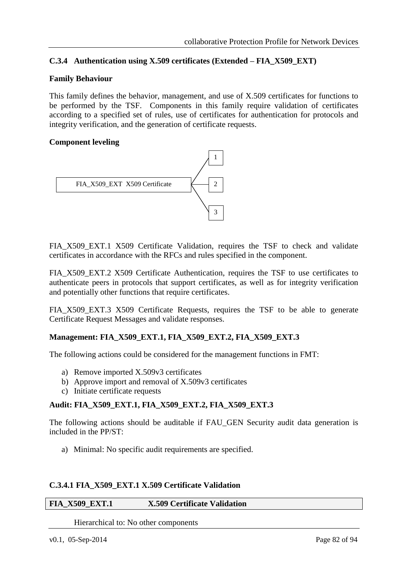# **C.3.4 Authentication using X.509 certificates (Extended – FIA\_X509\_EXT)**

#### **Family Behaviour**

This family defines the behavior, management, and use of X.509 certificates for functions to be performed by the TSF. Components in this family require validation of certificates according to a specified set of rules, use of certificates for authentication for protocols and integrity verification, and the generation of certificate requests.

#### **Component leveling**



FIA\_X509\_EXT.1 X509 Certificate Validation, requires the TSF to check and validate  $c$ ertificates in accordance with the RFCs and rules specified in the component. T s

FIA\_X509\_EXT.2 X509 Certificate Authentication, requires the TSF to use certificates to authenticate peers in protocols that support certificates, as well as for integrity verification and potentially other functions that require certificates. . e  $\mathbf{r}$ fi .<br>.<br>2

FIA\_X509\_EXT.3 X509 Certificate Requests, requires the TSF to be able to generate TIA\_A305\_EA1.5 A305 Centricate Requests, req<br>Certificate Request Messages and validate responses.  $\zeta$  $\overline{1}$ re --<br>م .

#### **Management: FIA\_X509\_EXT.1, FIA\_X509\_EXT.2, FIA\_X509\_EXT.3** r t for the state of the state of the state of the state of the state of the state of the state of the state of th i  $\overline{\mathbf{v}}$  $\overline{a}$

The following actions could be considered for the management functions in FMT: <sup>l</sup> a e r

- a) Remove imported X.509v3 certificates
- b) Approve import and removal of X.509v3 certificates  $\epsilon$ e: <sup>t</sup>
- c) Initiate certificate requests

#### **Audit: FIA\_X509\_EXT.1, FIA\_X509\_EXT.2, FIA\_X509\_EXT.3** e  $\overline{a}$ t h .<br>T

The following actions should be auditable if FAU\_GEN Security audit data generation is included in the PP/ST: اد<br>ا e n t

r

u

n

a) Minimal: No specific audit requirements are specified. r r .<br>n t

#### **C.3.4.1 FIA\_X509\_EXT.1 X.509 Certificate Validation** l. <u>li</u> ı: t

#### **FIA\_X509\_EXT.1 X.509 Certificate Validation** i r t e i  $\ddot{\cdot}$

Hierarchical to: No other components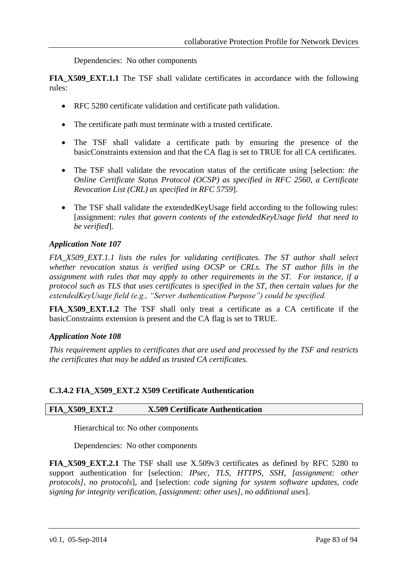Dependencies: No other components

**FIA\_X509\_EXT.1.1** The TSF shall validate certificates in accordance with the following rules:

- RFC 5280 certificate validation and certificate path validation.
- The certificate path must terminate with a trusted certificate.
- The TSF shall validate a certificate path by ensuring the presence of the basicConstraints extension and that the CA flag is set to TRUE for all CA certificates.
- The TSF shall validate the revocation status of the certificate using [selection: *the Online Certificate Status Protocol (OCSP) as specified in RFC 2560, a Certificate Revocation List (CRL) as specified in RFC 5759*].
- The TSF shall validate the extendedKeyUsage field according to the following rules: [assignment: *rules that govern contents of the extendedKeyUsage field that need to be verified*].

#### *Application Note 107*

*FIA\_X509\_EXT.1.1 lists the rules for validating certificates. The ST author shall select whether revocation status is verified using OCSP or CRLs. The ST author fills in the assignment with rules that may apply to other requirements in the ST. For instance, if a protocol such as TLS that uses certificates is specified in the ST, then certain values for the extendedKeyUsage field (e.g., "Server Authentication Purpose") could be specified.*

**FIA\_X509\_EXT.1.2** The TSF shall only treat a certificate as a CA certificate if the basicConstraints extension is present and the CA flag is set to TRUE.

#### *Application Note 108*

*This requirement applies to certificates that are used and processed by the TSF and restricts the certificates that may be added as trusted CA certificates.*

#### **C.3.4.2 FIA\_X509\_EXT.2 X509 Certificate Authentication**

### **FIA\_X509\_EXT.2 X.509 Certificate Authentication**

Hierarchical to: No other components

Dependencies: No other components

**FIA\_X509\_EXT.2.1** The TSF shall use X.509v3 certificates as defined by RFC 5280 to support authentication for [selection*: IPsec, TLS, HTTPS, SSH, [assignment: other protocols], no protocols*], and [selection: *code signing for system software updates, code signing for integrity verification, [assignment: other uses], no additional uses*].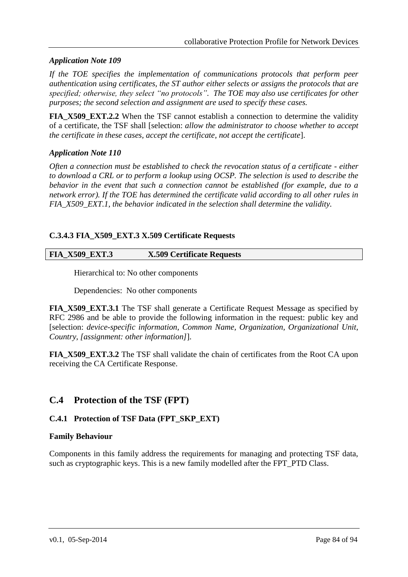### *Application Note 109*

*If the TOE specifies the implementation of communications protocols that perform peer authentication using certificates, the ST author either selects or assigns the protocols that are specified; otherwise, they select "no protocols". The TOE may also use certificates for other purposes; the second selection and assignment are used to specify these cases.*

**FIA X509 EXT.2.2** When the TSF cannot establish a connection to determine the validity of a certificate, the TSF shall [selection: *allow the administrator to choose whether to accept the certificate in these cases, accept the certificate, not accept the certificate*].

#### *Application Note 110*

*Often a connection must be established to check the revocation status of a certificate - either to download a CRL or to perform a lookup using OCSP. The selection is used to describe the behavior in the event that such a connection cannot be established (for example, due to a network error). If the TOE has determined the certificate valid according to all other rules in FIA\_X509\_EXT.1, the behavior indicated in the selection shall determine the validity.*

### **C.3.4.3 FIA\_X509\_EXT.3 X.509 Certificate Requests**

#### **FIA\_X509\_EXT.3 X.509 Certificate Requests**

Hierarchical to: No other components

Dependencies: No other components

**FIA\_X509\_EXT.3.1** The TSF shall generate a Certificate Request Message as specified by RFC 2986 and be able to provide the following information in the request: public key and [selection: *device-specific information, Common Name, Organization, Organizational Unit, Country, [assignment: other information]*].

**FIA\_X509\_EXT.3.2** The TSF shall validate the chain of certificates from the Root CA upon receiving the CA Certificate Response.

# **C.4 Protection of the TSF (FPT)**

### **C.4.1 Protection of TSF Data (FPT\_SKP\_EXT)**

#### **Family Behaviour**

Components in this family address the requirements for managing and protecting TSF data, such as cryptographic keys. This is a new family modelled after the FPT PTD Class.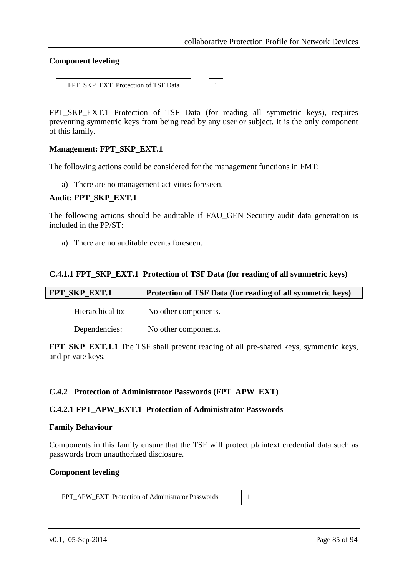#### **Component leveling**



FPT\_SKP\_EXT.1 Protection of TSF Data (for reading all symmetric keys), requires preventing symmetric keys from being read by any user or subject. It is the only component of this family.

#### **Management: FPT\_SKP\_EXT.1**

The following actions could be considered for the management functions in FMT:

a) There are no management activities foreseen.

#### **Audit: FPT\_SKP\_EXT.1**

The following actions should be auditable if FAU\_GEN Security audit data generation is included in the PP/ST:

a) There are no auditable events foreseen.

#### **C.4.1.1 FPT\_SKP\_EXT.1 Protection of TSF Data (for reading of all symmetric keys)**

| FPT_SKP_EXT.1    | Protection of TSF Data (for reading of all symmetric keys) |
|------------------|------------------------------------------------------------|
| Hierarchical to: | No other components.                                       |
| Dependencies:    | No other components.                                       |

**FPT\_SKP\_EXT.1.1** The TSF shall prevent reading of all pre-shared keys, symmetric keys, and private keys.

#### **C.4.2 Protection of Administrator Passwords (FPT\_APW\_EXT)**

#### **C.4.2.1 FPT\_APW\_EXT.1 Protection of Administrator Passwords**

#### **Family Behaviour**

Components in this family ensure that the TSF will protect plaintext credential data such as passwords from unauthorized disclosure.

#### **Component leveling**

FPT\_APW\_EXT Protection of Administrator Passwords 1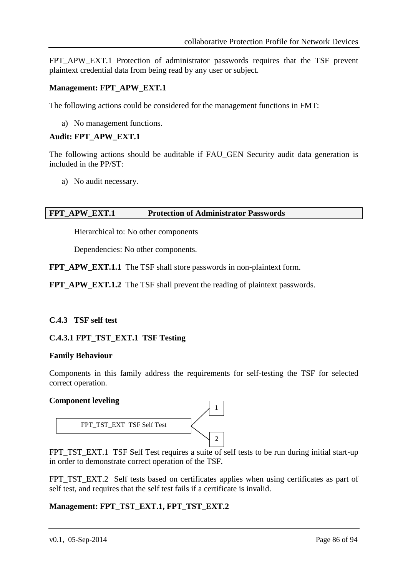FPT APW EXT.1 Protection of administrator passwords requires that the TSF prevent plaintext credential data from being read by any user or subject.

### **Management: FPT\_APW\_EXT.1**

The following actions could be considered for the management functions in FMT:

a) No management functions.

#### **Audit: FPT\_APW\_EXT.1**

The following actions should be auditable if FAU\_GEN Security audit data generation is included in the PP/ST:

a) No audit necessary.

#### **FPT\_APW\_EXT.1 Protection of Administrator Passwords**

Hierarchical to: No other components

Dependencies: No other components.

**FPT\_APW\_EXT.1.1** The TSF shall store passwords in non-plaintext form.

**FPT\_APW\_EXT.1.2** The TSF shall prevent the reading of plaintext passwords.

#### **C.4.3 TSF self test**

#### **C.4.3.1 FPT\_TST\_EXT.1 TSF Testing**

#### **Family Behaviour**

Components in this family address the requirements for self-testing the TSF for selected correct operation.

#### **Component leveling**



FPT\_TST\_EXT.1 TSF Self Test requires a suite of self tests to be run during initial start-up in order to demonstrate correct operation of the TSF.

FPT\_TST\_EXT.2 Self tests based on certificates applies when using certificates as part of self test, and requires that the self test fails if a certificate is invalid.

#### **Management: FPT\_TST\_EXT.1, FPT\_TST\_EXT.2**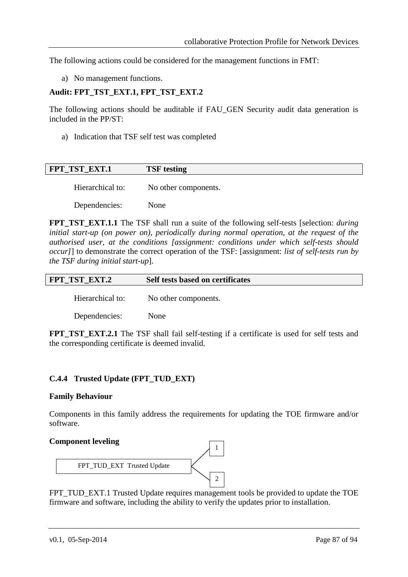The following actions could be considered for the management functions in FMT:

a) No management functions.

#### **Audit: FPT\_TST\_EXT.1, FPT\_TST\_EXT.2**

The following actions should be auditable if FAU\_GEN Security audit data generation is included in the PP/ST:

a) Indication that TSF self test was completed

| <b>FPT TST EXT.1</b> | <b>TSF</b> testing   |
|----------------------|----------------------|
| Hierarchical to:     | No other components. |

Dependencies: None

**FPT\_TST\_EXT.1.1** The TSF shall run a suite of the following self-tests [selection: *during initial start-up (on power on), periodically during normal operation, at the request of the authorised user, at the conditions [assignment: conditions under which self-tests should occur]*] to demonstrate the correct operation of the TSF: [assignment: *list of self-tests run by the TSF during initial start-up*].

| FPT TST EXT.2<br>Self tests based on certificates |
|---------------------------------------------------|
|---------------------------------------------------|

Hierarchical to: No other components.

Dependencies: None

**FPT TST EXT.2.1** The TSF shall fail self-testing if a certificate is used for self tests and the corresponding certificate is deemed invalid.

### **C.4.4 Trusted Update (FPT\_TUD\_EXT)**

#### **Family Behaviour**

Components in this family address the requirements for updating the TOE firmware and/or software.

#### **Component leveling**



FPT\_TUD\_EXT.1 Trusted Update requires management tools be provided to update the TOE firmware and software, including the ability to verify the updates prior to installation.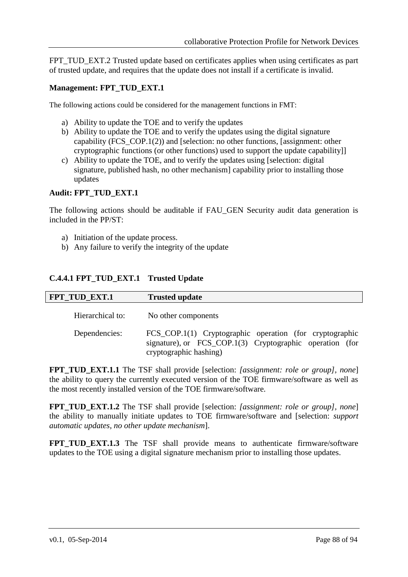FPT\_TUD\_EXT.2 Trusted update based on certificates applies when using certificates as part of trusted update, and requires that the update does not install if a certificate is invalid.

#### **Management: FPT\_TUD\_EXT.1**

The following actions could be considered for the management functions in FMT:

- a) Ability to update the TOE and to verify the updates
- b) Ability to update the TOE and to verify the updates using the digital signature capability (FCS\_COP.1(2)) and [selection: no other functions, [assignment: other cryptographic functions (or other functions) used to support the update capability]]
- c) Ability to update the TOE, and to verify the updates using [selection: digital signature, published hash, no other mechanism capability prior to installing those updates

#### **Audit: FPT\_TUD\_EXT.1**

The following actions should be auditable if FAU\_GEN Security audit data generation is included in the PP/ST:

- a) Initiation of the update process.
- b) Any failure to verify the integrity of the update

### **C.4.4.1 FPT\_TUD\_EXT.1 Trusted Update**

| <b>FPT_TUD_EXT.1</b> | <b>Trusted update</b>                                                                                                                         |
|----------------------|-----------------------------------------------------------------------------------------------------------------------------------------------|
| Hierarchical to:     | No other components                                                                                                                           |
| Dependencies:        | FCS_COP.1(1) Cryptographic operation (for cryptographic<br>signature), or FCS_COP.1(3) Cryptographic operation (for<br>cryptographic hashing) |

**FPT\_TUD\_EXT.1.1** The TSF shall provide [selection: *[assignment: role or group], none*] the ability to query the currently executed version of the TOE firmware/software as well as the most recently installed version of the TOE firmware/software.

**FPT\_TUD\_EXT.1.2** The TSF shall provide [selection: *[assignment: role or group], none*] the ability to manually initiate updates to TOE firmware/software and [selection: *support automatic updates, no other update mechanism*].

**FPT\_TUD\_EXT.1.3** The TSF shall provide means to authenticate firmware/software updates to the TOE using a digital signature mechanism prior to installing those updates.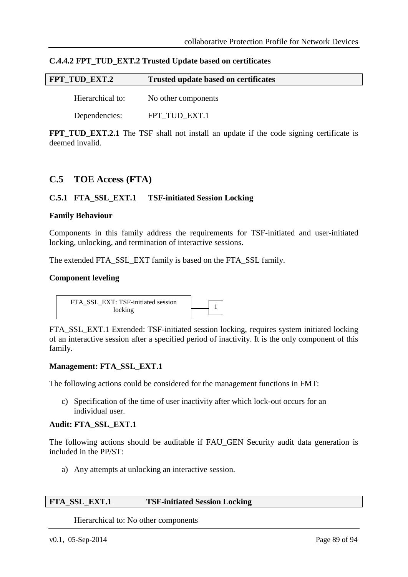| C.4.4.2 FPT_TUD_EXT.2 Trusted Update based on certificates |  |  |
|------------------------------------------------------------|--|--|
|------------------------------------------------------------|--|--|

| FPT TUD EXT.2    | <b>Trusted update based on certificates</b> |  |
|------------------|---------------------------------------------|--|
| Hierarchical to: | No other components                         |  |

Dependencies: FPT\_TUD\_EXT.1

**FPT\_TUD\_EXT.2.1** The TSF shall not install an update if the code signing certificate is deemed invalid.

# **C.5 TOE Access (FTA)**

#### **C.5.1 FTA\_SSL\_EXT.1 TSF-initiated Session Locking**

#### **Family Behaviour**

Components in this family address the requirements for TSF-initiated and user-initiated locking, unlocking, and termination of interactive sessions.

The extended FTA\_SSL\_EXT family is based on the FTA\_SSL family.

#### **Component leveling**

FTA\_SSL\_EXT: TSF-initiated session  $\overline{\text{locking}}$  1

FTA\_SSL\_EXT.1 Extended: TSF-initiated session locking, requires system initiated locking of an interactive session after a specified period of inactivity. It is the only component of this family.

#### **Management: FTA\_SSL\_EXT.1**

The following actions could be considered for the management functions in FMT:

c) Specification of the time of user inactivity after which lock-out occurs for an individual user.

#### **Audit: FTA\_SSL\_EXT.1**

The following actions should be auditable if FAU\_GEN Security audit data generation is included in the PP/ST:

a) Any attempts at unlocking an interactive session.

#### **FTA\_SSL\_EXT.1 TSF-initiated Session Locking**

Hierarchical to: No other components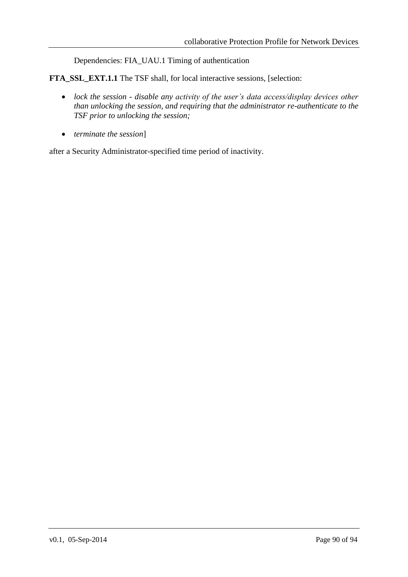Dependencies: FIA\_UAU.1 Timing of authentication

**FTA\_SSL\_EXT.1.1** The TSF shall, for local interactive sessions, [selection:

- *lock the session - disable any activity of the user's data access/display devices other than unlocking the session, and requiring that the administrator re-authenticate to the TSF prior to unlocking the session;*
- *terminate the session*]

after a Security Administrator-specified time period of inactivity.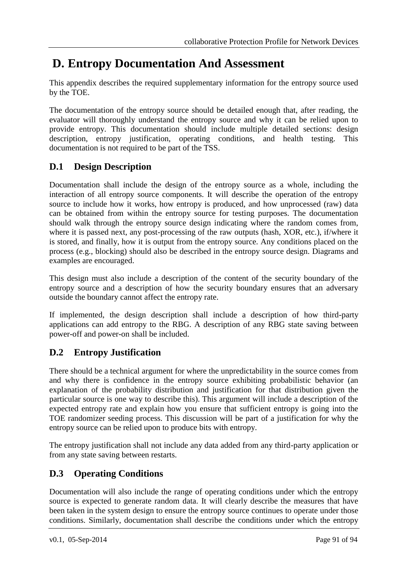# **D. Entropy Documentation And Assessment**

This appendix describes the required supplementary information for the entropy source used by the TOE.

The documentation of the entropy source should be detailed enough that, after reading, the evaluator will thoroughly understand the entropy source and why it can be relied upon to provide entropy. This documentation should include multiple detailed sections: design description, entropy justification, operating conditions, and health testing. This documentation is not required to be part of the TSS.

# **D.1 Design Description**

Documentation shall include the design of the entropy source as a whole, including the interaction of all entropy source components. It will describe the operation of the entropy source to include how it works, how entropy is produced, and how unprocessed (raw) data can be obtained from within the entropy source for testing purposes. The documentation should walk through the entropy source design indicating where the random comes from, where it is passed next, any post-processing of the raw outputs (hash, XOR, etc.), if/where it is stored, and finally, how it is output from the entropy source. Any conditions placed on the process (e.g., blocking) should also be described in the entropy source design. Diagrams and examples are encouraged.

This design must also include a description of the content of the security boundary of the entropy source and a description of how the security boundary ensures that an adversary outside the boundary cannot affect the entropy rate.

If implemented, the design description shall include a description of how third-party applications can add entropy to the RBG. A description of any RBG state saving between power-off and power-on shall be included.

# **D.2 Entropy Justification**

There should be a technical argument for where the unpredictability in the source comes from and why there is confidence in the entropy source exhibiting probabilistic behavior (an explanation of the probability distribution and justification for that distribution given the particular source is one way to describe this). This argument will include a description of the expected entropy rate and explain how you ensure that sufficient entropy is going into the TOE randomizer seeding process. This discussion will be part of a justification for why the entropy source can be relied upon to produce bits with entropy.

The entropy justification shall not include any data added from any third-party application or from any state saving between restarts.

# **D.3 Operating Conditions**

Documentation will also include the range of operating conditions under which the entropy source is expected to generate random data. It will clearly describe the measures that have been taken in the system design to ensure the entropy source continues to operate under those conditions. Similarly, documentation shall describe the conditions under which the entropy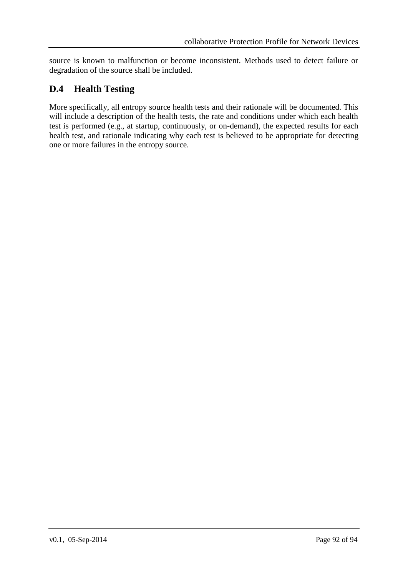source is known to malfunction or become inconsistent. Methods used to detect failure or degradation of the source shall be included.

# **D.4 Health Testing**

More specifically, all entropy source health tests and their rationale will be documented. This will include a description of the health tests, the rate and conditions under which each health test is performed (e.g., at startup, continuously, or on-demand), the expected results for each health test, and rationale indicating why each test is believed to be appropriate for detecting one or more failures in the entropy source.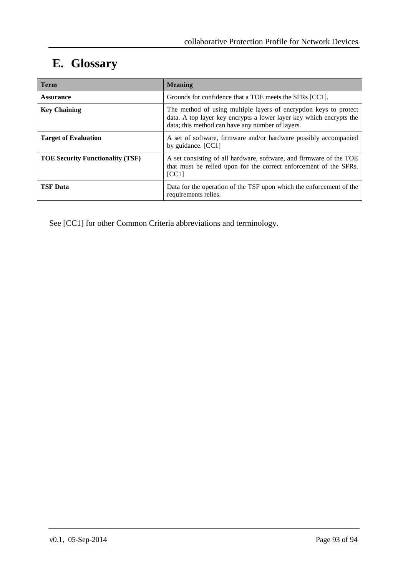# **E. Glossary**

| Term                                    | <b>Meaning</b>                                                                                                                                                                               |
|-----------------------------------------|----------------------------------------------------------------------------------------------------------------------------------------------------------------------------------------------|
| <b>Assurance</b>                        | Grounds for confidence that a TOE meets the SFRs [CC1].                                                                                                                                      |
| <b>Key Chaining</b>                     | The method of using multiple layers of encryption keys to protect<br>data. A top layer key encrypts a lower layer key which encrypts the<br>data; this method can have any number of layers. |
| <b>Target of Evaluation</b>             | A set of software, firmware and/or hardware possibly accompanied<br>by guidance. [CC1]                                                                                                       |
| <b>TOE Security Functionality (TSF)</b> | A set consisting of all hardware, software, and firmware of the TOE<br>that must be relied upon for the correct enforcement of the SFRs.<br>[CC1]                                            |
| <b>TSF Data</b>                         | Data for the operation of the TSF upon which the enforcement of the<br>requirements relies.                                                                                                  |

See [CC1] for other Common Criteria abbreviations and terminology.